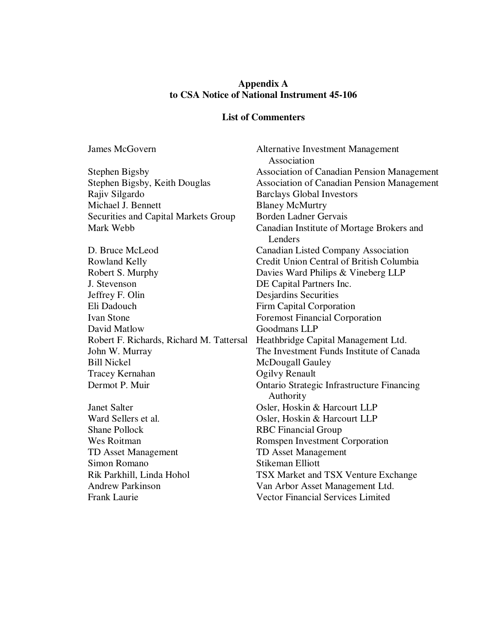#### **Appendix A to CSA Notice of National Instrument 45-106**

#### **List of Commenters**

James McGovern Alternative Investment Management Association Stephen Bigsby Association of Canadian Pension Management Stephen Bigsby, Keith Douglas<br>
Rajiv Silgardo<br>
Association of Canadian Pension Management<br>
Rajiv Silgardo<br>
Association of Canadian Pension Management Barclays Global Investors Michael J. Bennett Blaney McMurtry Securities and Capital Markets Group Borden Ladner Gervais Mark Webb Canadian Institute of Mortage Brokers and Lenders D. Bruce McLeod Canadian Listed Company Association Rowland Kelly Credit Union Central of British Columbia Robert S. Murphy Davies Ward Philips & Vineberg LLP J. Stevenson DE Capital Partners Inc. Jeffrey F. Olin Desjardins Securities Eli Dadouch Firm Capital Corporation Ivan Stone Foremost Financial Corporation David Matlow Goodmans LLP Robert F. Richards, Richard M. Tattersal Heathbridge Capital Management Ltd. John W. Murray The Investment Funds Institute of Canada Bill Nickel McDougall Gauley Tracey Kernahan Ogilvy Renault Dermot P. Muir Ontario Strategic Infrastructure Financing Authority Janet Salter Osler, Hoskin & Harcourt LLP Ward Sellers et al. **Osler, Hoskin & Harcourt LLP** Shane Pollock RBC Financial Group Wes Roitman Romspen Investment Corporation TD Asset Management TD Asset Management Simon Romano Stikeman Elliott Rik Parkhill, Linda Hohol TSX Market and TSX Venture Exchange Andrew Parkinson Van Arbor Asset Management Ltd. Frank Laurie Vector Financial Services Limited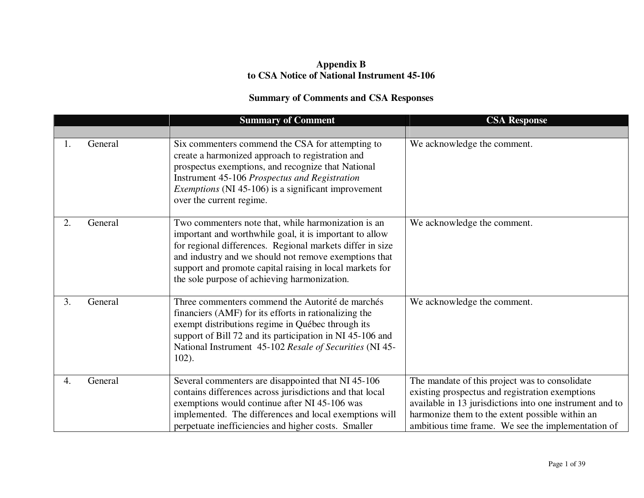### **Appendix B to CSA Notice of National Instrument 45-106**

# **Summary of Comments and CSA Responses**

|    |         | <b>Summary of Comment</b>                                                                                                                                                                                                                                                                                                                        | <b>CSA Response</b>                                                                                                                                                                                                                                                    |
|----|---------|--------------------------------------------------------------------------------------------------------------------------------------------------------------------------------------------------------------------------------------------------------------------------------------------------------------------------------------------------|------------------------------------------------------------------------------------------------------------------------------------------------------------------------------------------------------------------------------------------------------------------------|
|    |         |                                                                                                                                                                                                                                                                                                                                                  |                                                                                                                                                                                                                                                                        |
| 1. | General | Six commenters commend the CSA for attempting to<br>create a harmonized approach to registration and<br>prospectus exemptions, and recognize that National<br><b>Instrument 45-106 Prospectus and Registration</b><br><i>Exemptions</i> (NI 45-106) is a significant improvement<br>over the current regime.                                     | We acknowledge the comment.                                                                                                                                                                                                                                            |
| 2. | General | Two commenters note that, while harmonization is an<br>important and worthwhile goal, it is important to allow<br>for regional differences. Regional markets differ in size<br>and industry and we should not remove exemptions that<br>support and promote capital raising in local markets for<br>the sole purpose of achieving harmonization. | We acknowledge the comment.                                                                                                                                                                                                                                            |
| 3. | General | Three commenters commend the Autorité de marchés<br>financiers (AMF) for its efforts in rationalizing the<br>exempt distributions regime in Québec through its<br>support of Bill 72 and its participation in NI 45-106 and<br>National Instrument 45-102 Resale of Securities (NI 45-<br>$102$ ).                                               | We acknowledge the comment.                                                                                                                                                                                                                                            |
| 4. | General | Several commenters are disappointed that NI 45-106<br>contains differences across jurisdictions and that local<br>exemptions would continue after NI 45-106 was<br>implemented. The differences and local exemptions will<br>perpetuate inefficiencies and higher costs. Smaller                                                                 | The mandate of this project was to consolidate<br>existing prospectus and registration exemptions<br>available in 13 jurisdictions into one instrument and to<br>harmonize them to the extent possible within an<br>ambitious time frame. We see the implementation of |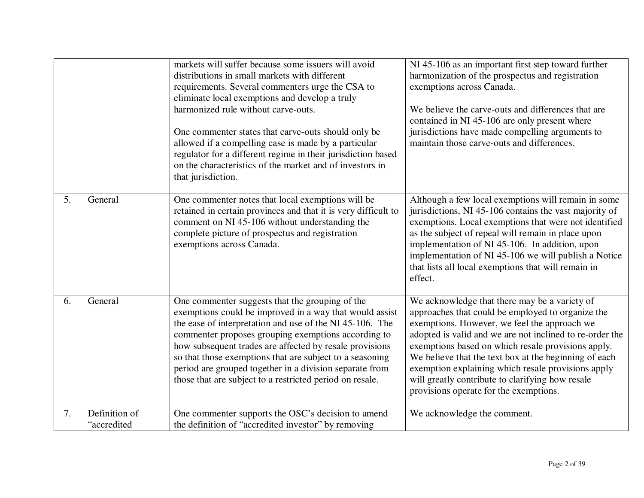|    |                              | markets will suffer because some issuers will avoid<br>distributions in small markets with different<br>requirements. Several commenters urge the CSA to<br>eliminate local exemptions and develop a truly<br>harmonized rule without carve-outs.<br>One commenter states that carve-outs should only be<br>allowed if a compelling case is made by a particular<br>regulator for a different regime in their jurisdiction based<br>on the characteristics of the market and of investors in<br>that jurisdiction. | NI 45-106 as an important first step toward further<br>harmonization of the prospectus and registration<br>exemptions across Canada.<br>We believe the carve-outs and differences that are<br>contained in NI 45-106 are only present where<br>jurisdictions have made compelling arguments to<br>maintain those carve-outs and differences.                                                                                                                                      |
|----|------------------------------|--------------------------------------------------------------------------------------------------------------------------------------------------------------------------------------------------------------------------------------------------------------------------------------------------------------------------------------------------------------------------------------------------------------------------------------------------------------------------------------------------------------------|-----------------------------------------------------------------------------------------------------------------------------------------------------------------------------------------------------------------------------------------------------------------------------------------------------------------------------------------------------------------------------------------------------------------------------------------------------------------------------------|
| 5. | General                      | One commenter notes that local exemptions will be<br>retained in certain provinces and that it is very difficult to<br>comment on NI 45-106 without understanding the<br>complete picture of prospectus and registration<br>exemptions across Canada.                                                                                                                                                                                                                                                              | Although a few local exemptions will remain in some<br>jurisdictions, NI 45-106 contains the vast majority of<br>exemptions. Local exemptions that were not identified<br>as the subject of repeal will remain in place upon<br>implementation of NI 45-106. In addition, upon<br>implementation of NI 45-106 we will publish a Notice<br>that lists all local exemptions that will remain in<br>effect.                                                                          |
| 6. | General                      | One commenter suggests that the grouping of the<br>exemptions could be improved in a way that would assist<br>the ease of interpretation and use of the NI 45-106. The<br>commenter proposes grouping exemptions according to<br>how subsequent trades are affected by resale provisions<br>so that those exemptions that are subject to a seasoning<br>period are grouped together in a division separate from<br>those that are subject to a restricted period on resale.                                        | We acknowledge that there may be a variety of<br>approaches that could be employed to organize the<br>exemptions. However, we feel the approach we<br>adopted is valid and we are not inclined to re-order the<br>exemptions based on which resale provisions apply.<br>We believe that the text box at the beginning of each<br>exemption explaining which resale provisions apply<br>will greatly contribute to clarifying how resale<br>provisions operate for the exemptions. |
| 7. | Definition of<br>"accredited | One commenter supports the OSC's decision to amend<br>the definition of "accredited investor" by removing                                                                                                                                                                                                                                                                                                                                                                                                          | We acknowledge the comment.                                                                                                                                                                                                                                                                                                                                                                                                                                                       |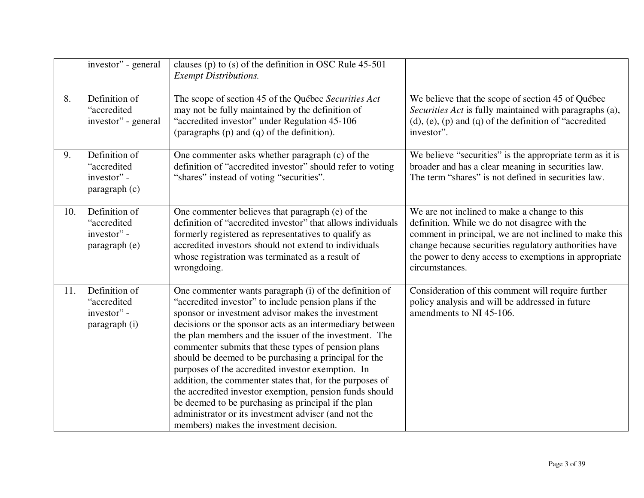|     | investor" - general                                          | clauses (p) to (s) of the definition in OSC Rule $45-501$<br><b>Exempt Distributions.</b>                                                                                                                                                                                                                                                                                                                                                                                                                                                                                                                                                                                                                                                         |                                                                                                                                                                                                                                                                                             |
|-----|--------------------------------------------------------------|---------------------------------------------------------------------------------------------------------------------------------------------------------------------------------------------------------------------------------------------------------------------------------------------------------------------------------------------------------------------------------------------------------------------------------------------------------------------------------------------------------------------------------------------------------------------------------------------------------------------------------------------------------------------------------------------------------------------------------------------------|---------------------------------------------------------------------------------------------------------------------------------------------------------------------------------------------------------------------------------------------------------------------------------------------|
| 8.  | Definition of<br>"accredited<br>investor" - general          | The scope of section 45 of the Québec Securities Act<br>may not be fully maintained by the definition of<br>"accredited investor" under Regulation 45-106<br>(paragraphs (p) and (q) of the definition).                                                                                                                                                                                                                                                                                                                                                                                                                                                                                                                                          | We believe that the scope of section 45 of Québec<br>Securities Act is fully maintained with paragraphs (a),<br>$(d)$ , $(e)$ , $(p)$ and $(q)$ of the definition of "accredited"<br>investor".                                                                                             |
| 9.  | Definition of<br>"accredited<br>investor" -<br>paragraph (c) | One commenter asks whether paragraph (c) of the<br>definition of "accredited investor" should refer to voting<br>"shares" instead of voting "securities".                                                                                                                                                                                                                                                                                                                                                                                                                                                                                                                                                                                         | We believe "securities" is the appropriate term as it is<br>broader and has a clear meaning in securities law.<br>The term "shares" is not defined in securities law.                                                                                                                       |
| 10. | Definition of<br>"accredited<br>investor" -<br>paragraph (e) | One commenter believes that paragraph (e) of the<br>definition of "accredited investor" that allows individuals<br>formerly registered as representatives to qualify as<br>accredited investors should not extend to individuals<br>whose registration was terminated as a result of<br>wrongdoing.                                                                                                                                                                                                                                                                                                                                                                                                                                               | We are not inclined to make a change to this<br>definition. While we do not disagree with the<br>comment in principal, we are not inclined to make this<br>change because securities regulatory authorities have<br>the power to deny access to exemptions in appropriate<br>circumstances. |
| 11. | Definition of<br>"accredited<br>investor" -<br>paragraph (i) | One commenter wants paragraph (i) of the definition of<br>"accredited investor" to include pension plans if the<br>sponsor or investment advisor makes the investment<br>decisions or the sponsor acts as an intermediary between<br>the plan members and the issuer of the investment. The<br>commenter submits that these types of pension plans<br>should be deemed to be purchasing a principal for the<br>purposes of the accredited investor exemption. In<br>addition, the commenter states that, for the purposes of<br>the accredited investor exemption, pension funds should<br>be deemed to be purchasing as principal if the plan<br>administrator or its investment adviser (and not the<br>members) makes the investment decision. | Consideration of this comment will require further<br>policy analysis and will be addressed in future<br>amendments to NI 45-106.                                                                                                                                                           |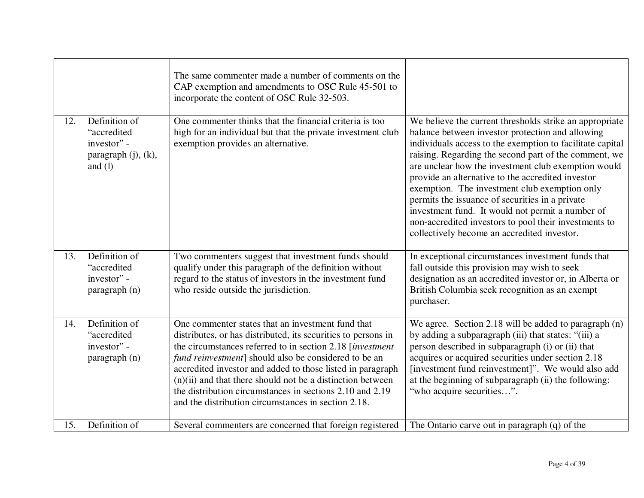|     |                                                                                 | The same commenter made a number of comments on the<br>CAP exemption and amendments to OSC Rule 45-501 to<br>incorporate the content of OSC Rule 32-503.                                                                                                                                                                                                                                                                                                                                   |                                                                                                                                                                                                                                                                                                                                                                                                                                                                                                                                                                                                               |
|-----|---------------------------------------------------------------------------------|--------------------------------------------------------------------------------------------------------------------------------------------------------------------------------------------------------------------------------------------------------------------------------------------------------------------------------------------------------------------------------------------------------------------------------------------------------------------------------------------|---------------------------------------------------------------------------------------------------------------------------------------------------------------------------------------------------------------------------------------------------------------------------------------------------------------------------------------------------------------------------------------------------------------------------------------------------------------------------------------------------------------------------------------------------------------------------------------------------------------|
| 12. | Definition of<br>"accredited<br>investor" -<br>paragraph (j), (k),<br>and $(l)$ | One commenter thinks that the financial criteria is too<br>high for an individual but that the private investment club<br>exemption provides an alternative.                                                                                                                                                                                                                                                                                                                               | We believe the current thresholds strike an appropriate<br>balance between investor protection and allowing<br>individuals access to the exemption to facilitate capital<br>raising. Regarding the second part of the comment, we<br>are unclear how the investment club exemption would<br>provide an alternative to the accredited investor<br>exemption. The investment club exemption only<br>permits the issuance of securities in a private<br>investment fund. It would not permit a number of<br>non-accredited investors to pool their investments to<br>collectively become an accredited investor. |
| 13. | Definition of<br>"accredited<br>investor" -<br>paragraph (n)                    | Two commenters suggest that investment funds should<br>qualify under this paragraph of the definition without<br>regard to the status of investors in the investment fund<br>who reside outside the jurisdiction.                                                                                                                                                                                                                                                                          | In exceptional circumstances investment funds that<br>fall outside this provision may wish to seek<br>designation as an accredited investor or, in Alberta or<br>British Columbia seek recognition as an exempt<br>purchaser.                                                                                                                                                                                                                                                                                                                                                                                 |
| 14. | Definition of<br>"accredited<br>investor" -<br>paragraph (n)                    | One commenter states that an investment fund that<br>distributes, or has distributed, its securities to persons in<br>the circumstances referred to in section 2.18 [investment]<br>fund reinvestment] should also be considered to be an<br>accredited investor and added to those listed in paragraph<br>$(n)(ii)$ and that there should not be a distinction between<br>the distribution circumstances in sections 2.10 and 2.19<br>and the distribution circumstances in section 2.18. | We agree. Section 2.18 will be added to paragraph (n)<br>by adding a subparagraph (iii) that states: "(iii) a<br>person described in subparagraph (i) or (ii) that<br>acquires or acquired securities under section 2.18<br>[investment fund reinvestment]". We would also add<br>at the beginning of subparagraph (ii) the following:<br>"who acquire securities".                                                                                                                                                                                                                                           |
| 15. | Definition of                                                                   | Several commenters are concerned that foreign registered                                                                                                                                                                                                                                                                                                                                                                                                                                   | The Ontario carve out in paragraph $(q)$ of the                                                                                                                                                                                                                                                                                                                                                                                                                                                                                                                                                               |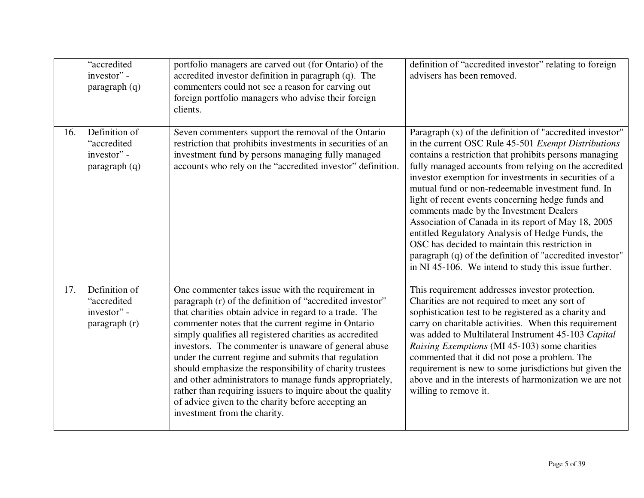|     | "accredited<br>investor" -<br>paragraph (q)                  | portfolio managers are carved out (for Ontario) of the<br>accredited investor definition in paragraph (q). The<br>commenters could not see a reason for carving out<br>foreign portfolio managers who advise their foreign<br>clients.                                                                                                                                                                                                                                                                                                                                                                                                                                             | definition of "accredited investor" relating to foreign<br>advisers has been removed.                                                                                                                                                                                                                                                                                                                                                                                                                                                                                                                                                                                                                                              |
|-----|--------------------------------------------------------------|------------------------------------------------------------------------------------------------------------------------------------------------------------------------------------------------------------------------------------------------------------------------------------------------------------------------------------------------------------------------------------------------------------------------------------------------------------------------------------------------------------------------------------------------------------------------------------------------------------------------------------------------------------------------------------|------------------------------------------------------------------------------------------------------------------------------------------------------------------------------------------------------------------------------------------------------------------------------------------------------------------------------------------------------------------------------------------------------------------------------------------------------------------------------------------------------------------------------------------------------------------------------------------------------------------------------------------------------------------------------------------------------------------------------------|
| 16. | Definition of<br>"accredited<br>investor" -<br>paragraph(q)  | Seven commenters support the removal of the Ontario<br>restriction that prohibits investments in securities of an<br>investment fund by persons managing fully managed<br>accounts who rely on the "accredited investor" definition.                                                                                                                                                                                                                                                                                                                                                                                                                                               | Paragraph (x) of the definition of "accredited investor"<br>in the current OSC Rule 45-501 Exempt Distributions<br>contains a restriction that prohibits persons managing<br>fully managed accounts from relying on the accredited<br>investor exemption for investments in securities of a<br>mutual fund or non-redeemable investment fund. In<br>light of recent events concerning hedge funds and<br>comments made by the Investment Dealers<br>Association of Canada in its report of May 18, 2005<br>entitled Regulatory Analysis of Hedge Funds, the<br>OSC has decided to maintain this restriction in<br>paragraph (q) of the definition of "accredited investor"<br>in NI 45-106. We intend to study this issue further. |
| 17. | Definition of<br>"accredited<br>investor" -<br>paragraph (r) | One commenter takes issue with the requirement in<br>paragraph (r) of the definition of "accredited investor"<br>that charities obtain advice in regard to a trade. The<br>commenter notes that the current regime in Ontario<br>simply qualifies all registered charities as accredited<br>investors. The commenter is unaware of general abuse<br>under the current regime and submits that regulation<br>should emphasize the responsibility of charity trustees<br>and other administrators to manage funds appropriately,<br>rather than requiring issuers to inquire about the quality<br>of advice given to the charity before accepting an<br>investment from the charity. | This requirement addresses investor protection.<br>Charities are not required to meet any sort of<br>sophistication test to be registered as a charity and<br>carry on charitable activities. When this requirement<br>was added to Multilateral Instrument 45-103 Capital<br>Raising Exemptions (MI 45-103) some charities<br>commented that it did not pose a problem. The<br>requirement is new to some jurisdictions but given the<br>above and in the interests of harmonization we are not<br>willing to remove it.                                                                                                                                                                                                          |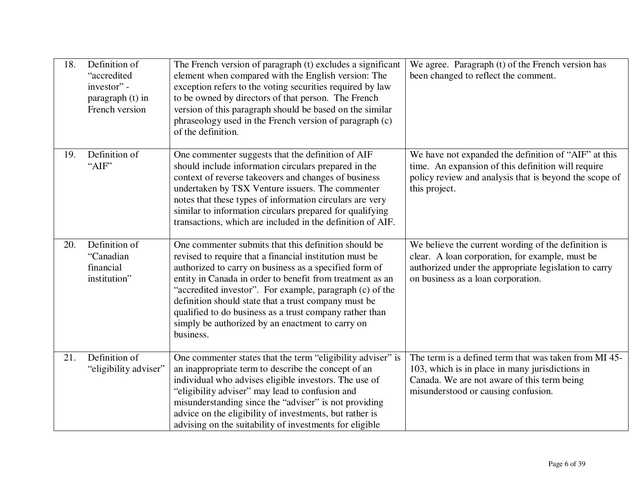| 18. | Definition of<br>"accredited<br>investor" -<br>paragraph (t) in<br>French version | The French version of paragraph (t) excludes a significant<br>element when compared with the English version: The<br>exception refers to the voting securities required by law<br>to be owned by directors of that person. The French<br>version of this paragraph should be based on the similar<br>phraseology used in the French version of paragraph (c)<br>of the definition.                                                                                                     | We agree. Paragraph (t) of the French version has<br>been changed to reflect the comment.                                                                                                             |
|-----|-----------------------------------------------------------------------------------|----------------------------------------------------------------------------------------------------------------------------------------------------------------------------------------------------------------------------------------------------------------------------------------------------------------------------------------------------------------------------------------------------------------------------------------------------------------------------------------|-------------------------------------------------------------------------------------------------------------------------------------------------------------------------------------------------------|
| 19. | Definition of<br>"AIF"                                                            | One commenter suggests that the definition of AIF<br>should include information circulars prepared in the<br>context of reverse takeovers and changes of business<br>undertaken by TSX Venture issuers. The commenter<br>notes that these types of information circulars are very<br>similar to information circulars prepared for qualifying<br>transactions, which are included in the definition of AIF.                                                                            | We have not expanded the definition of "AIF" at this<br>time. An expansion of this definition will require<br>policy review and analysis that is beyond the scope of<br>this project.                 |
| 20. | Definition of<br>"Canadian<br>financial<br>institution"                           | One commenter submits that this definition should be<br>revised to require that a financial institution must be<br>authorized to carry on business as a specified form of<br>entity in Canada in order to benefit from treatment as an<br>"accredited investor". For example, paragraph (c) of the<br>definition should state that a trust company must be<br>qualified to do business as a trust company rather than<br>simply be authorized by an enactment to carry on<br>business. | We believe the current wording of the definition is<br>clear. A loan corporation, for example, must be<br>authorized under the appropriate legislation to carry<br>on business as a loan corporation. |
| 21. | Definition of<br>"eligibility adviser"                                            | One commenter states that the term "eligibility adviser" is<br>an inappropriate term to describe the concept of an<br>individual who advises eligible investors. The use of<br>"eligibility adviser" may lead to confusion and<br>misunderstanding since the "adviser" is not providing<br>advice on the eligibility of investments, but rather is<br>advising on the suitability of investments for eligible                                                                          | The term is a defined term that was taken from MI 45-<br>103, which is in place in many jurisdictions in<br>Canada. We are not aware of this term being<br>misunderstood or causing confusion.        |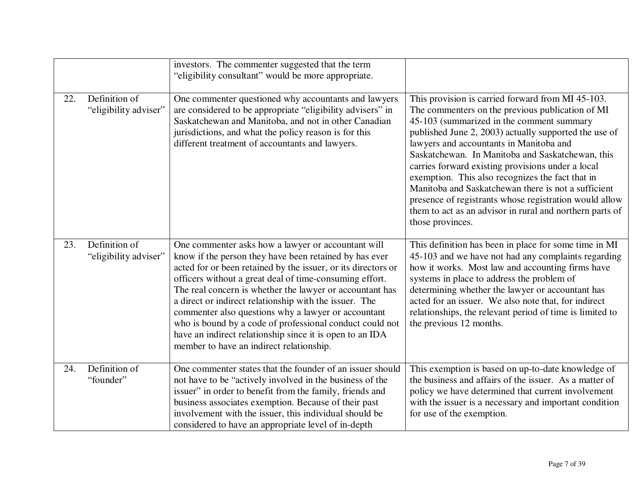|     |                                        | investors. The commenter suggested that the term<br>"eligibility consultant" would be more appropriate.                                                                                                                                                                                                                                                                                                                                                                                                                                                                                   |                                                                                                                                                                                                                                                                                                                                                                                                                                                                                                                                                                                                                      |
|-----|----------------------------------------|-------------------------------------------------------------------------------------------------------------------------------------------------------------------------------------------------------------------------------------------------------------------------------------------------------------------------------------------------------------------------------------------------------------------------------------------------------------------------------------------------------------------------------------------------------------------------------------------|----------------------------------------------------------------------------------------------------------------------------------------------------------------------------------------------------------------------------------------------------------------------------------------------------------------------------------------------------------------------------------------------------------------------------------------------------------------------------------------------------------------------------------------------------------------------------------------------------------------------|
| 22. | Definition of<br>"eligibility adviser" | One commenter questioned why accountants and lawyers<br>are considered to be appropriate "eligibility advisers" in<br>Saskatchewan and Manitoba, and not in other Canadian<br>jurisdictions, and what the policy reason is for this<br>different treatment of accountants and lawyers.                                                                                                                                                                                                                                                                                                    | This provision is carried forward from MI 45-103.<br>The commenters on the previous publication of MI<br>45-103 (summarized in the comment summary<br>published June 2, 2003) actually supported the use of<br>lawyers and accountants in Manitoba and<br>Saskatchewan. In Manitoba and Saskatchewan, this<br>carries forward existing provisions under a local<br>exemption. This also recognizes the fact that in<br>Manitoba and Saskatchewan there is not a sufficient<br>presence of registrants whose registration would allow<br>them to act as an advisor in rural and northern parts of<br>those provinces. |
| 23. | Definition of<br>"eligibility adviser" | One commenter asks how a lawyer or accountant will<br>know if the person they have been retained by has ever<br>acted for or been retained by the issuer, or its directors or<br>officers without a great deal of time-consuming effort.<br>The real concern is whether the lawyer or accountant has<br>a direct or indirect relationship with the issuer. The<br>commenter also questions why a lawyer or accountant<br>who is bound by a code of professional conduct could not<br>have an indirect relationship since it is open to an IDA<br>member to have an indirect relationship. | This definition has been in place for some time in MI<br>45-103 and we have not had any complaints regarding<br>how it works. Most law and accounting firms have<br>systems in place to address the problem of<br>determining whether the lawyer or accountant has<br>acted for an issuer. We also note that, for indirect<br>relationships, the relevant period of time is limited to<br>the previous 12 months.                                                                                                                                                                                                    |
| 24. | Definition of<br>"founder"             | One commenter states that the founder of an issuer should<br>not have to be "actively involved in the business of the<br>issuer" in order to benefit from the family, friends and<br>business associates exemption. Because of their past<br>involvement with the issuer, this individual should be<br>considered to have an appropriate level of in-depth                                                                                                                                                                                                                                | This exemption is based on up-to-date knowledge of<br>the business and affairs of the issuer. As a matter of<br>policy we have determined that current involvement<br>with the issuer is a necessary and important condition<br>for use of the exemption.                                                                                                                                                                                                                                                                                                                                                            |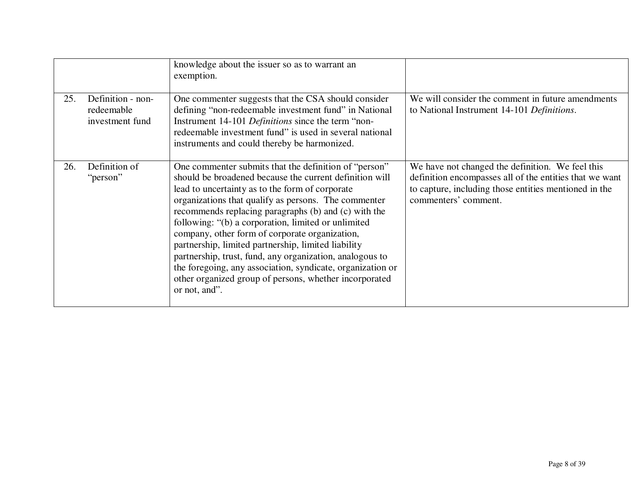|     |                                                    | knowledge about the issuer so as to warrant an<br>exemption.                                                                                                                                                                                                                                                                                                                                                                                                                                                                                                                                                                                             |                                                                                                                                                                                              |
|-----|----------------------------------------------------|----------------------------------------------------------------------------------------------------------------------------------------------------------------------------------------------------------------------------------------------------------------------------------------------------------------------------------------------------------------------------------------------------------------------------------------------------------------------------------------------------------------------------------------------------------------------------------------------------------------------------------------------------------|----------------------------------------------------------------------------------------------------------------------------------------------------------------------------------------------|
| 25. | Definition - non-<br>redeemable<br>investment fund | One commenter suggests that the CSA should consider<br>defining "non-redeemable investment fund" in National<br>Instrument 14-101 Definitions since the term "non-<br>redeemable investment fund" is used in several national<br>instruments and could thereby be harmonized.                                                                                                                                                                                                                                                                                                                                                                            | We will consider the comment in future amendments<br>to National Instrument 14-101 Definitions.                                                                                              |
| 26. | Definition of<br>"person"                          | One commenter submits that the definition of "person"<br>should be broadened because the current definition will<br>lead to uncertainty as to the form of corporate<br>organizations that qualify as persons. The commenter<br>recommends replacing paragraphs (b) and (c) with the<br>following: "(b) a corporation, limited or unlimited<br>company, other form of corporate organization,<br>partnership, limited partnership, limited liability<br>partnership, trust, fund, any organization, analogous to<br>the foregoing, any association, syndicate, organization or<br>other organized group of persons, whether incorporated<br>or not, and". | We have not changed the definition. We feel this<br>definition encompasses all of the entities that we want<br>to capture, including those entities mentioned in the<br>commenters' comment. |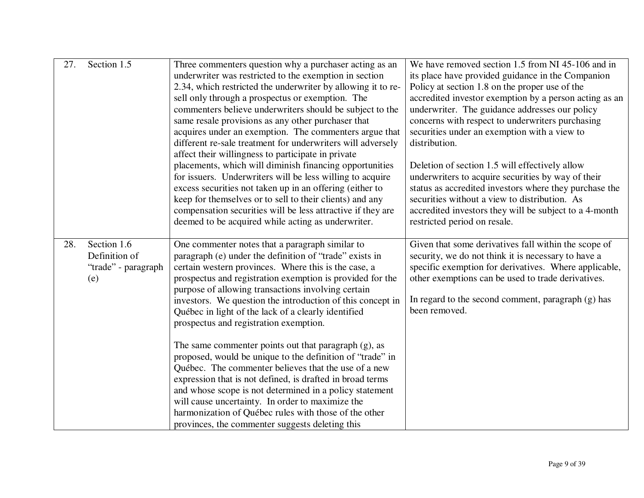| 27. | Section 1.5                                                | Three commenters question why a purchaser acting as an<br>underwriter was restricted to the exemption in section<br>2.34, which restricted the underwriter by allowing it to re-<br>sell only through a prospectus or exemption. The<br>commenters believe underwriters should be subject to the<br>same resale provisions as any other purchaser that<br>acquires under an exemption. The commenters argue that<br>different re-sale treatment for underwriters will adversely<br>affect their willingness to participate in private                                                                                                                                                                                                                                                                                                                                                                                        | We have removed section 1.5 from NI 45-106 and in<br>its place have provided guidance in the Companion<br>Policy at section 1.8 on the proper use of the<br>accredited investor exemption by a person acting as an<br>underwriter. The guidance addresses our policy<br>concerns with respect to underwriters purchasing<br>securities under an exemption with a view to<br>distribution. |
|-----|------------------------------------------------------------|------------------------------------------------------------------------------------------------------------------------------------------------------------------------------------------------------------------------------------------------------------------------------------------------------------------------------------------------------------------------------------------------------------------------------------------------------------------------------------------------------------------------------------------------------------------------------------------------------------------------------------------------------------------------------------------------------------------------------------------------------------------------------------------------------------------------------------------------------------------------------------------------------------------------------|-------------------------------------------------------------------------------------------------------------------------------------------------------------------------------------------------------------------------------------------------------------------------------------------------------------------------------------------------------------------------------------------|
|     |                                                            | placements, which will diminish financing opportunities<br>for issuers. Underwriters will be less willing to acquire<br>excess securities not taken up in an offering (either to<br>keep for themselves or to sell to their clients) and any<br>compensation securities will be less attractive if they are<br>deemed to be acquired while acting as underwriter.                                                                                                                                                                                                                                                                                                                                                                                                                                                                                                                                                            | Deletion of section 1.5 will effectively allow<br>underwriters to acquire securities by way of their<br>status as accredited investors where they purchase the<br>securities without a view to distribution. As<br>accredited investors they will be subject to a 4-month<br>restricted period on resale.                                                                                 |
| 28. | Section 1.6<br>Definition of<br>"trade" - paragraph<br>(e) | One commenter notes that a paragraph similar to<br>paragraph (e) under the definition of "trade" exists in<br>certain western provinces. Where this is the case, a<br>prospectus and registration exemption is provided for the<br>purpose of allowing transactions involving certain<br>investors. We question the introduction of this concept in<br>Québec in light of the lack of a clearly identified<br>prospectus and registration exemption.<br>The same commenter points out that paragraph $(g)$ , as<br>proposed, would be unique to the definition of "trade" in<br>Québec. The commenter believes that the use of a new<br>expression that is not defined, is drafted in broad terms<br>and whose scope is not determined in a policy statement<br>will cause uncertainty. In order to maximize the<br>harmonization of Québec rules with those of the other<br>provinces, the commenter suggests deleting this | Given that some derivatives fall within the scope of<br>security, we do not think it is necessary to have a<br>specific exemption for derivatives. Where applicable,<br>other exemptions can be used to trade derivatives.<br>In regard to the second comment, paragraph $(g)$ has<br>been removed.                                                                                       |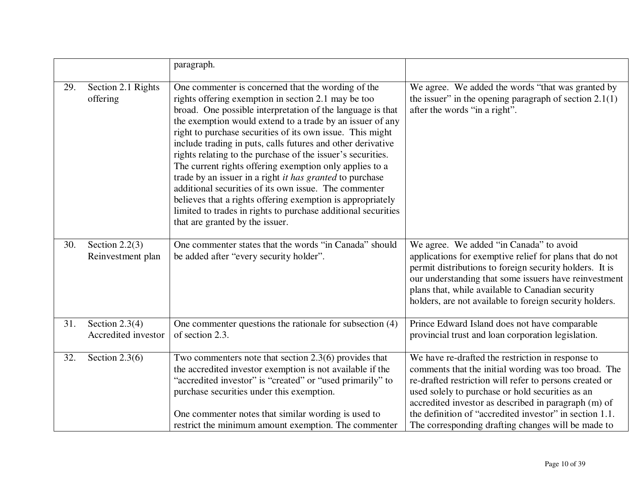|     |                                         | paragraph.                                                                                                                                                                                                                                                                                                                                                                                                                                                                                                                                                                                                                                                                                                                                                                               |                                                                                                                                                                                                                                                                                                                                                                                                   |
|-----|-----------------------------------------|------------------------------------------------------------------------------------------------------------------------------------------------------------------------------------------------------------------------------------------------------------------------------------------------------------------------------------------------------------------------------------------------------------------------------------------------------------------------------------------------------------------------------------------------------------------------------------------------------------------------------------------------------------------------------------------------------------------------------------------------------------------------------------------|---------------------------------------------------------------------------------------------------------------------------------------------------------------------------------------------------------------------------------------------------------------------------------------------------------------------------------------------------------------------------------------------------|
| 29. | Section 2.1 Rights<br>offering          | One commenter is concerned that the wording of the<br>rights offering exemption in section 2.1 may be too<br>broad. One possible interpretation of the language is that<br>the exemption would extend to a trade by an issuer of any<br>right to purchase securities of its own issue. This might<br>include trading in puts, calls futures and other derivative<br>rights relating to the purchase of the issuer's securities.<br>The current rights offering exemption only applies to a<br>trade by an issuer in a right <i>it has granted</i> to purchase<br>additional securities of its own issue. The commenter<br>believes that a rights offering exemption is appropriately<br>limited to trades in rights to purchase additional securities<br>that are granted by the issuer. | We agree. We added the words "that was granted by<br>the issuer" in the opening paragraph of section $2.1(1)$<br>after the words "in a right".                                                                                                                                                                                                                                                    |
| 30. | Section $2.2(3)$<br>Reinvestment plan   | One commenter states that the words "in Canada" should<br>be added after "every security holder".                                                                                                                                                                                                                                                                                                                                                                                                                                                                                                                                                                                                                                                                                        | We agree. We added "in Canada" to avoid<br>applications for exemptive relief for plans that do not<br>permit distributions to foreign security holders. It is<br>our understanding that some issuers have reinvestment<br>plans that, while available to Canadian security<br>holders, are not available to foreign security holders.                                                             |
| 31. | Section $2.3(4)$<br>Accredited investor | One commenter questions the rationale for subsection (4)<br>of section 2.3.                                                                                                                                                                                                                                                                                                                                                                                                                                                                                                                                                                                                                                                                                                              | Prince Edward Island does not have comparable<br>provincial trust and loan corporation legislation.                                                                                                                                                                                                                                                                                               |
| 32. | Section $2.3(6)$                        | Two commenters note that section $2.3(6)$ provides that<br>the accredited investor exemption is not available if the<br>"accredited investor" is "created" or "used primarily" to<br>purchase securities under this exemption.<br>One commenter notes that similar wording is used to<br>restrict the minimum amount exemption. The commenter                                                                                                                                                                                                                                                                                                                                                                                                                                            | We have re-drafted the restriction in response to<br>comments that the initial wording was too broad. The<br>re-drafted restriction will refer to persons created or<br>used solely to purchase or hold securities as an<br>accredited investor as described in paragraph (m) of<br>the definition of "accredited investor" in section 1.1.<br>The corresponding drafting changes will be made to |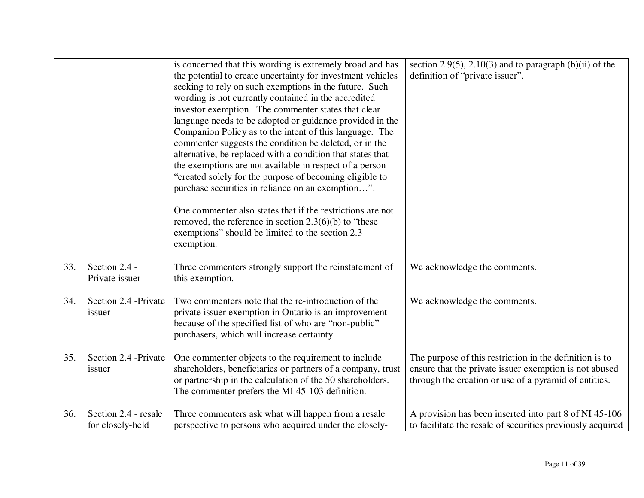|     |                                          | is concerned that this wording is extremely broad and has<br>the potential to create uncertainty for investment vehicles<br>seeking to rely on such exemptions in the future. Such<br>wording is not currently contained in the accredited<br>investor exemption. The commenter states that clear<br>language needs to be adopted or guidance provided in the<br>Companion Policy as to the intent of this language. The<br>commenter suggests the condition be deleted, or in the<br>alternative, be replaced with a condition that states that<br>the exemptions are not available in respect of a person<br>"created solely for the purpose of becoming eligible to<br>purchase securities in reliance on an exemption".<br>One commenter also states that if the restrictions are not<br>removed, the reference in section $2.3(6)(b)$ to "these<br>exemptions" should be limited to the section 2.3<br>exemption. | section 2.9(5), 2.10(3) and to paragraph $(b)(ii)$ of the<br>definition of "private issuer".                                                                               |
|-----|------------------------------------------|------------------------------------------------------------------------------------------------------------------------------------------------------------------------------------------------------------------------------------------------------------------------------------------------------------------------------------------------------------------------------------------------------------------------------------------------------------------------------------------------------------------------------------------------------------------------------------------------------------------------------------------------------------------------------------------------------------------------------------------------------------------------------------------------------------------------------------------------------------------------------------------------------------------------|----------------------------------------------------------------------------------------------------------------------------------------------------------------------------|
| 33. | Section 2.4 -<br>Private issuer          | Three commenters strongly support the reinstatement of<br>this exemption.                                                                                                                                                                                                                                                                                                                                                                                                                                                                                                                                                                                                                                                                                                                                                                                                                                              | We acknowledge the comments.                                                                                                                                               |
| 34. | Section 2.4 -Private<br>issuer           | Two commenters note that the re-introduction of the<br>private issuer exemption in Ontario is an improvement<br>because of the specified list of who are "non-public"<br>purchasers, which will increase certainty.                                                                                                                                                                                                                                                                                                                                                                                                                                                                                                                                                                                                                                                                                                    | We acknowledge the comments.                                                                                                                                               |
| 35. | Section 2.4 -Private<br>issuer           | One commenter objects to the requirement to include<br>shareholders, beneficiaries or partners of a company, trust<br>or partnership in the calculation of the 50 shareholders.<br>The commenter prefers the MI 45-103 definition.                                                                                                                                                                                                                                                                                                                                                                                                                                                                                                                                                                                                                                                                                     | The purpose of this restriction in the definition is to<br>ensure that the private issuer exemption is not abused<br>through the creation or use of a pyramid of entities. |
| 36. | Section 2.4 - resale<br>for closely-held | Three commenters ask what will happen from a resale<br>perspective to persons who acquired under the closely-                                                                                                                                                                                                                                                                                                                                                                                                                                                                                                                                                                                                                                                                                                                                                                                                          | A provision has been inserted into part 8 of NI 45-106<br>to facilitate the resale of securities previously acquired                                                       |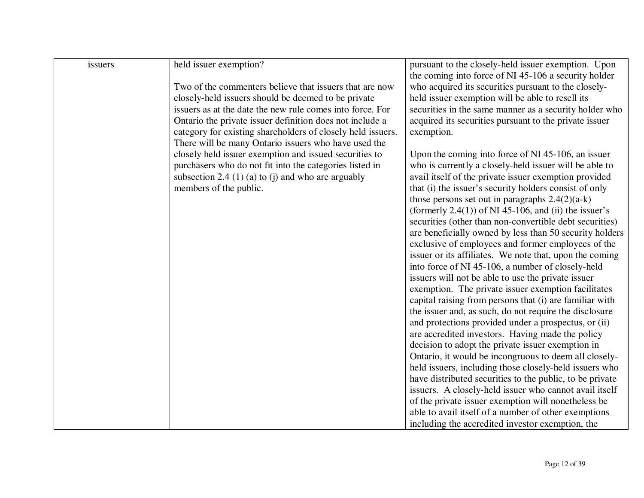| issuers | held issuer exemption?                                      | pursuant to the closely-held issuer exemption. Upon      |
|---------|-------------------------------------------------------------|----------------------------------------------------------|
|         |                                                             | the coming into force of NI 45-106 a security holder     |
|         | Two of the commenters believe that issuers that are now     | who acquired its securities pursuant to the closely-     |
|         | closely-held issuers should be deemed to be private         | held issuer exemption will be able to resell its         |
|         | issuers as at the date the new rule comes into force. For   | securities in the same manner as a security holder who   |
|         | Ontario the private issuer definition does not include a    | acquired its securities pursuant to the private issuer   |
|         | category for existing shareholders of closely held issuers. | exemption.                                               |
|         | There will be many Ontario issuers who have used the        |                                                          |
|         | closely held issuer exemption and issued securities to      | Upon the coming into force of NI 45-106, an issuer       |
|         | purchasers who do not fit into the categories listed in     | who is currently a closely-held issuer will be able to   |
|         | subsection 2.4 $(1)$ (a) to (j) and who are arguably        | avail itself of the private issuer exemption provided    |
|         | members of the public.                                      | that (i) the issuer's security holders consist of only   |
|         |                                                             | those persons set out in paragraphs $2.4(2)(a-k)$        |
|         |                                                             | (formerly $2.4(1)$ ) of NI 45-106, and (ii) the issuer's |
|         |                                                             | securities (other than non-convertible debt securities)  |
|         |                                                             | are beneficially owned by less than 50 security holders  |
|         |                                                             | exclusive of employees and former employees of the       |
|         |                                                             | issuer or its affiliates. We note that, upon the coming  |
|         |                                                             | into force of NI 45-106, a number of closely-held        |
|         |                                                             | issuers will not be able to use the private issuer       |
|         |                                                             | exemption. The private issuer exemption facilitates      |
|         |                                                             | capital raising from persons that (i) are familiar with  |
|         |                                                             | the issuer and, as such, do not require the disclosure   |
|         |                                                             | and protections provided under a prospectus, or (ii)     |
|         |                                                             | are accredited investors. Having made the policy         |
|         |                                                             | decision to adopt the private issuer exemption in        |
|         |                                                             | Ontario, it would be incongruous to deem all closely-    |
|         |                                                             | held issuers, including those closely-held issuers who   |
|         |                                                             | have distributed securities to the public, to be private |
|         |                                                             | issuers. A closely-held issuer who cannot avail itself   |
|         |                                                             | of the private issuer exemption will nonetheless be      |
|         |                                                             | able to avail itself of a number of other exemptions     |
|         |                                                             |                                                          |
|         |                                                             | including the accredited investor exemption, the         |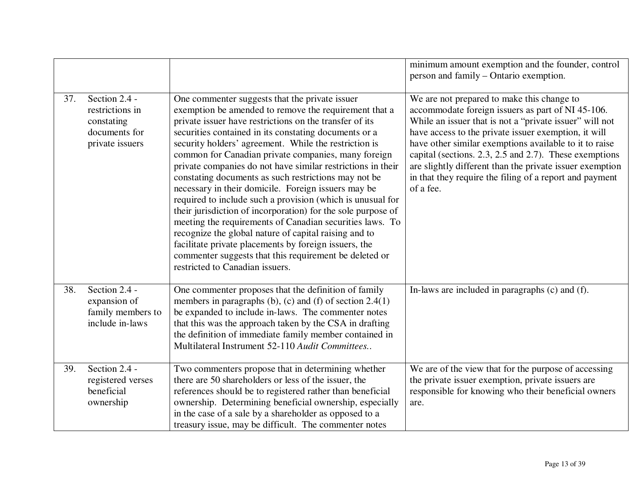|     |                                                                                    |                                                                                                                                                                                                                                                                                                                                                                                                                                                                                                                                                                                                                                                                                                                                                                                                                                                                                                                                    | minimum amount exemption and the founder, control<br>person and family – Ontario exemption.                                                                                                                                                                                                                                                                                                                                                                                |
|-----|------------------------------------------------------------------------------------|------------------------------------------------------------------------------------------------------------------------------------------------------------------------------------------------------------------------------------------------------------------------------------------------------------------------------------------------------------------------------------------------------------------------------------------------------------------------------------------------------------------------------------------------------------------------------------------------------------------------------------------------------------------------------------------------------------------------------------------------------------------------------------------------------------------------------------------------------------------------------------------------------------------------------------|----------------------------------------------------------------------------------------------------------------------------------------------------------------------------------------------------------------------------------------------------------------------------------------------------------------------------------------------------------------------------------------------------------------------------------------------------------------------------|
| 37. | Section 2.4 -<br>restrictions in<br>constating<br>documents for<br>private issuers | One commenter suggests that the private issuer<br>exemption be amended to remove the requirement that a<br>private issuer have restrictions on the transfer of its<br>securities contained in its constating documents or a<br>security holders' agreement. While the restriction is<br>common for Canadian private companies, many foreign<br>private companies do not have similar restrictions in their<br>constating documents as such restrictions may not be<br>necessary in their domicile. Foreign issuers may be<br>required to include such a provision (which is unusual for<br>their jurisdiction of incorporation) for the sole purpose of<br>meeting the requirements of Canadian securities laws. To<br>recognize the global nature of capital raising and to<br>facilitate private placements by foreign issuers, the<br>commenter suggests that this requirement be deleted or<br>restricted to Canadian issuers. | We are not prepared to make this change to<br>accommodate foreign issuers as part of NI 45-106.<br>While an issuer that is not a "private issuer" will not<br>have access to the private issuer exemption, it will<br>have other similar exemptions available to it to raise<br>capital (sections. 2.3, 2.5 and 2.7). These exemptions<br>are slightly different than the private issuer exemption<br>in that they require the filing of a report and payment<br>of a fee. |
| 38. | Section 2.4 -<br>expansion of<br>family members to<br>include in-laws              | One commenter proposes that the definition of family<br>members in paragraphs (b), (c) and (f) of section 2.4(1)<br>be expanded to include in-laws. The commenter notes<br>that this was the approach taken by the CSA in drafting<br>the definition of immediate family member contained in<br>Multilateral Instrument 52-110 Audit Committees                                                                                                                                                                                                                                                                                                                                                                                                                                                                                                                                                                                    | In-laws are included in paragraphs (c) and (f).                                                                                                                                                                                                                                                                                                                                                                                                                            |
| 39. | Section 2.4 -<br>registered verses<br>beneficial<br>ownership                      | Two commenters propose that in determining whether<br>there are 50 shareholders or less of the issuer, the<br>references should be to registered rather than beneficial<br>ownership. Determining beneficial ownership, especially<br>in the case of a sale by a shareholder as opposed to a<br>treasury issue, may be difficult. The commenter notes                                                                                                                                                                                                                                                                                                                                                                                                                                                                                                                                                                              | We are of the view that for the purpose of accessing<br>the private issuer exemption, private issuers are<br>responsible for knowing who their beneficial owners<br>are.                                                                                                                                                                                                                                                                                                   |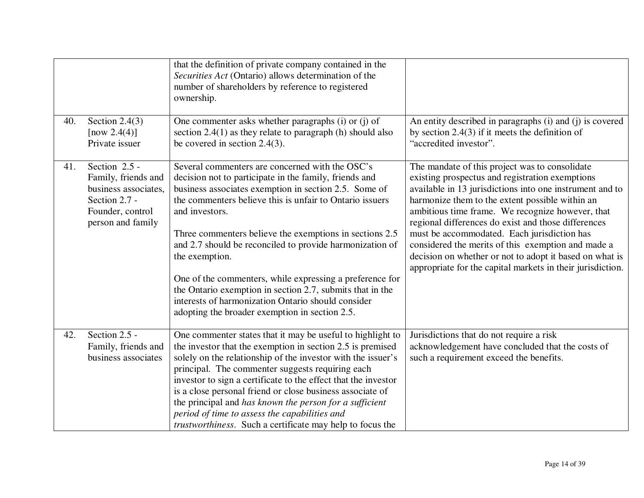|     |                                                                                                                        | that the definition of private company contained in the<br>Securities Act (Ontario) allows determination of the<br>number of shareholders by reference to registered<br>ownership.                                                                                                                                                                                                                                                                                                                                                                                                                                         |                                                                                                                                                                                                                                                                                                                                                                                                                                                                                                                                                           |
|-----|------------------------------------------------------------------------------------------------------------------------|----------------------------------------------------------------------------------------------------------------------------------------------------------------------------------------------------------------------------------------------------------------------------------------------------------------------------------------------------------------------------------------------------------------------------------------------------------------------------------------------------------------------------------------------------------------------------------------------------------------------------|-----------------------------------------------------------------------------------------------------------------------------------------------------------------------------------------------------------------------------------------------------------------------------------------------------------------------------------------------------------------------------------------------------------------------------------------------------------------------------------------------------------------------------------------------------------|
| 40. | Section $2.4(3)$<br>[now 2.4(4)]<br>Private issuer                                                                     | One commenter asks whether paragraphs (i) or (j) of<br>section $2.4(1)$ as they relate to paragraph (h) should also<br>be covered in section $2.4(3)$ .                                                                                                                                                                                                                                                                                                                                                                                                                                                                    | An entity described in paragraphs (i) and (j) is covered<br>by section $2.4(3)$ if it meets the definition of<br>"accredited investor".                                                                                                                                                                                                                                                                                                                                                                                                                   |
| 41. | Section 2.5 -<br>Family, friends and<br>business associates,<br>Section 2.7 -<br>Founder, control<br>person and family | Several commenters are concerned with the OSC's<br>decision not to participate in the family, friends and<br>business associates exemption in section 2.5. Some of<br>the commenters believe this is unfair to Ontario issuers<br>and investors.<br>Three commenters believe the exemptions in sections 2.5<br>and 2.7 should be reconciled to provide harmonization of<br>the exemption.<br>One of the commenters, while expressing a preference for<br>the Ontario exemption in section 2.7, submits that in the<br>interests of harmonization Ontario should consider<br>adopting the broader exemption in section 2.5. | The mandate of this project was to consolidate<br>existing prospectus and registration exemptions<br>available in 13 jurisdictions into one instrument and to<br>harmonize them to the extent possible within an<br>ambitious time frame. We recognize however, that<br>regional differences do exist and those differences<br>must be accommodated. Each jurisdiction has<br>considered the merits of this exemption and made a<br>decision on whether or not to adopt it based on what is<br>appropriate for the capital markets in their jurisdiction. |
| 42. | Section 2.5 -<br>Family, friends and<br>business associates                                                            | One commenter states that it may be useful to highlight to<br>the investor that the exemption in section 2.5 is premised<br>solely on the relationship of the investor with the issuer's<br>principal. The commenter suggests requiring each<br>investor to sign a certificate to the effect that the investor<br>is a close personal friend or close business associate of<br>the principal and has known the person for a sufficient<br>period of time to assess the capabilities and<br><i>trustworthiness.</i> Such a certificate may help to focus the                                                                | Jurisdictions that do not require a risk<br>acknowledgement have concluded that the costs of<br>such a requirement exceed the benefits.                                                                                                                                                                                                                                                                                                                                                                                                                   |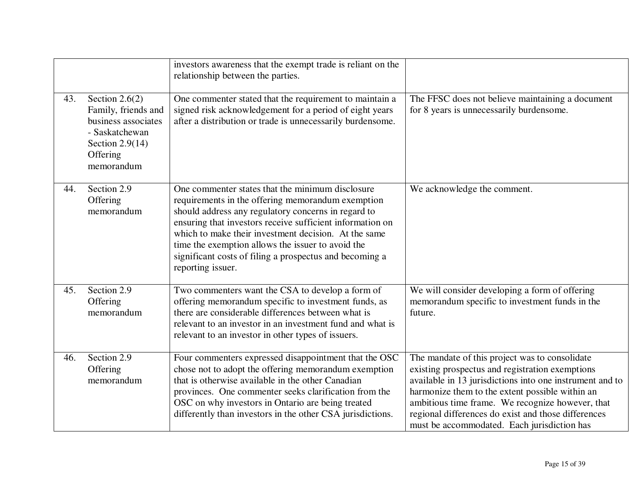|     |                                                                                                                                 | investors awareness that the exempt trade is reliant on the<br>relationship between the parties.                                                                                                                                                                                                                                                                                                                       |                                                                                                                                                                                                                                                                                                                                                                            |
|-----|---------------------------------------------------------------------------------------------------------------------------------|------------------------------------------------------------------------------------------------------------------------------------------------------------------------------------------------------------------------------------------------------------------------------------------------------------------------------------------------------------------------------------------------------------------------|----------------------------------------------------------------------------------------------------------------------------------------------------------------------------------------------------------------------------------------------------------------------------------------------------------------------------------------------------------------------------|
| 43. | Section $2.6(2)$<br>Family, friends and<br>business associates<br>- Saskatchewan<br>Section $2.9(14)$<br>Offering<br>memorandum | One commenter stated that the requirement to maintain a<br>signed risk acknowledgement for a period of eight years<br>after a distribution or trade is unnecessarily burdensome.                                                                                                                                                                                                                                       | The FFSC does not believe maintaining a document<br>for 8 years is unnecessarily burdensome.                                                                                                                                                                                                                                                                               |
| 44. | Section 2.9<br>Offering<br>memorandum                                                                                           | One commenter states that the minimum disclosure<br>requirements in the offering memorandum exemption<br>should address any regulatory concerns in regard to<br>ensuring that investors receive sufficient information on<br>which to make their investment decision. At the same<br>time the exemption allows the issuer to avoid the<br>significant costs of filing a prospectus and becoming a<br>reporting issuer. | We acknowledge the comment.                                                                                                                                                                                                                                                                                                                                                |
| 45. | Section 2.9<br>Offering<br>memorandum                                                                                           | Two commenters want the CSA to develop a form of<br>offering memorandum specific to investment funds, as<br>there are considerable differences between what is<br>relevant to an investor in an investment fund and what is<br>relevant to an investor in other types of issuers.                                                                                                                                      | We will consider developing a form of offering<br>memorandum specific to investment funds in the<br>future.                                                                                                                                                                                                                                                                |
| 46. | Section 2.9<br>Offering<br>memorandum                                                                                           | Four commenters expressed disappointment that the OSC<br>chose not to adopt the offering memorandum exemption<br>that is otherwise available in the other Canadian<br>provinces. One commenter seeks clarification from the<br>OSC on why investors in Ontario are being treated<br>differently than investors in the other CSA jurisdictions.                                                                         | The mandate of this project was to consolidate<br>existing prospectus and registration exemptions<br>available in 13 jurisdictions into one instrument and to<br>harmonize them to the extent possible within an<br>ambitious time frame. We recognize however, that<br>regional differences do exist and those differences<br>must be accommodated. Each jurisdiction has |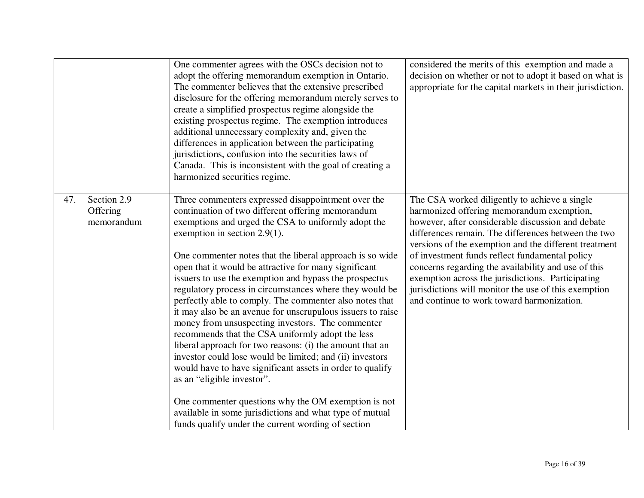|     |                                       | One commenter agrees with the OSCs decision not to<br>adopt the offering memorandum exemption in Ontario.<br>The commenter believes that the extensive prescribed<br>disclosure for the offering memorandum merely serves to<br>create a simplified prospectus regime alongside the<br>existing prospectus regime. The exemption introduces<br>additional unnecessary complexity and, given the<br>differences in application between the participating<br>jurisdictions, confusion into the securities laws of<br>Canada. This is inconsistent with the goal of creating a<br>harmonized securities regime.                                                                                                                                                                                                                                                                                                                                                                                                                                                            | considered the merits of this exemption and made a<br>decision on whether or not to adopt it based on what is<br>appropriate for the capital markets in their jurisdiction.                                                                                                                                                                                                                                                                                                                                                         |
|-----|---------------------------------------|-------------------------------------------------------------------------------------------------------------------------------------------------------------------------------------------------------------------------------------------------------------------------------------------------------------------------------------------------------------------------------------------------------------------------------------------------------------------------------------------------------------------------------------------------------------------------------------------------------------------------------------------------------------------------------------------------------------------------------------------------------------------------------------------------------------------------------------------------------------------------------------------------------------------------------------------------------------------------------------------------------------------------------------------------------------------------|-------------------------------------------------------------------------------------------------------------------------------------------------------------------------------------------------------------------------------------------------------------------------------------------------------------------------------------------------------------------------------------------------------------------------------------------------------------------------------------------------------------------------------------|
| 47. | Section 2.9<br>Offering<br>memorandum | Three commenters expressed disappointment over the<br>continuation of two different offering memorandum<br>exemptions and urged the CSA to uniformly adopt the<br>exemption in section $2.9(1)$ .<br>One commenter notes that the liberal approach is so wide<br>open that it would be attractive for many significant<br>issuers to use the exemption and bypass the prospectus<br>regulatory process in circumstances where they would be<br>perfectly able to comply. The commenter also notes that<br>it may also be an avenue for unscrupulous issuers to raise<br>money from unsuspecting investors. The commenter<br>recommends that the CSA uniformly adopt the less<br>liberal approach for two reasons: (i) the amount that an<br>investor could lose would be limited; and (ii) investors<br>would have to have significant assets in order to qualify<br>as an "eligible investor".<br>One commenter questions why the OM exemption is not<br>available in some jurisdictions and what type of mutual<br>funds qualify under the current wording of section | The CSA worked diligently to achieve a single<br>harmonized offering memorandum exemption,<br>however, after considerable discussion and debate<br>differences remain. The differences between the two<br>versions of the exemption and the different treatment<br>of investment funds reflect fundamental policy<br>concerns regarding the availability and use of this<br>exemption across the jurisdictions. Participating<br>jurisdictions will monitor the use of this exemption<br>and continue to work toward harmonization. |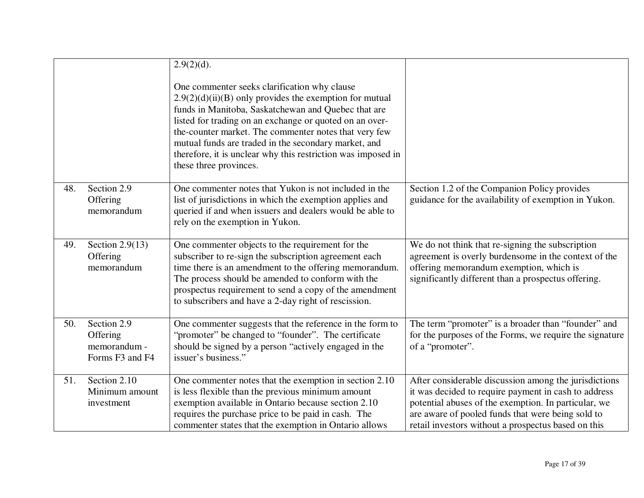|     |                                                            | $2.9(2)(d)$ .                                                                                                                                                                                                                                                                                                                                                                                                                          |                                                                                                                                                                                                                                                                                   |
|-----|------------------------------------------------------------|----------------------------------------------------------------------------------------------------------------------------------------------------------------------------------------------------------------------------------------------------------------------------------------------------------------------------------------------------------------------------------------------------------------------------------------|-----------------------------------------------------------------------------------------------------------------------------------------------------------------------------------------------------------------------------------------------------------------------------------|
|     |                                                            | One commenter seeks clarification why clause<br>$2.9(2)(d)(ii)(B)$ only provides the exemption for mutual<br>funds in Manitoba, Saskatchewan and Quebec that are<br>listed for trading on an exchange or quoted on an over-<br>the-counter market. The commenter notes that very few<br>mutual funds are traded in the secondary market, and<br>therefore, it is unclear why this restriction was imposed in<br>these three provinces. |                                                                                                                                                                                                                                                                                   |
| 48. | Section 2.9<br>Offering<br>memorandum                      | One commenter notes that Yukon is not included in the<br>list of jurisdictions in which the exemption applies and<br>queried if and when issuers and dealers would be able to<br>rely on the exemption in Yukon.                                                                                                                                                                                                                       | Section 1.2 of the Companion Policy provides<br>guidance for the availability of exemption in Yukon.                                                                                                                                                                              |
| 49. | Section $2.9(13)$<br>Offering<br>memorandum                | One commenter objects to the requirement for the<br>subscriber to re-sign the subscription agreement each<br>time there is an amendment to the offering memorandum.<br>The process should be amended to conform with the<br>prospectus requirement to send a copy of the amendment<br>to subscribers and have a 2-day right of rescission.                                                                                             | We do not think that re-signing the subscription<br>agreement is overly burdensome in the context of the<br>offering memorandum exemption, which is<br>significantly different than a prospectus offering.                                                                        |
| 50. | Section 2.9<br>Offering<br>memorandum -<br>Forms F3 and F4 | One commenter suggests that the reference in the form to<br>"promoter" be changed to "founder". The certificate<br>should be signed by a person "actively engaged in the<br>issuer's business."                                                                                                                                                                                                                                        | The term "promoter" is a broader than "founder" and<br>for the purposes of the Forms, we require the signature<br>of a "promoter".                                                                                                                                                |
| 51. | Section 2.10<br>Minimum amount<br>investment               | One commenter notes that the exemption in section 2.10<br>is less flexible than the previous minimum amount<br>exemption available in Ontario because section 2.10<br>requires the purchase price to be paid in cash. The<br>commenter states that the exemption in Ontario allows                                                                                                                                                     | After considerable discussion among the jurisdictions<br>it was decided to require payment in cash to address<br>potential abuses of the exemption. In particular, we<br>are aware of pooled funds that were being sold to<br>retail investors without a prospectus based on this |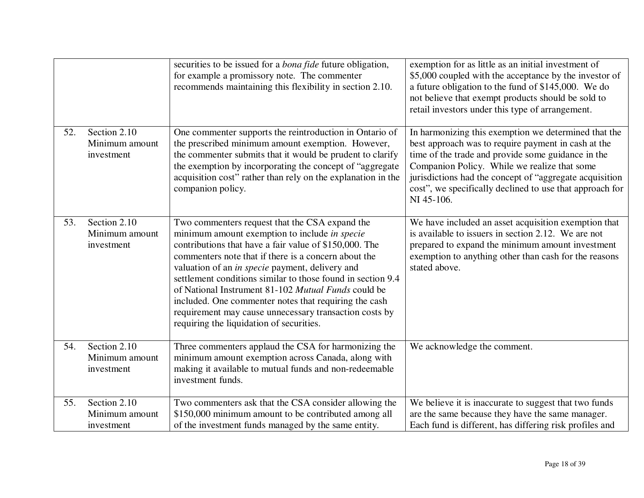|     |                                              | securities to be issued for a <i>bona fide</i> future obligation,<br>for example a promissory note. The commenter<br>recommends maintaining this flexibility in section 2.10.                                                                                                                                                                                                                                                                                                                                                                             | exemption for as little as an initial investment of<br>\$5,000 coupled with the acceptance by the investor of<br>a future obligation to the fund of \$145,000. We do<br>not believe that exempt products should be sold to<br>retail investors under this type of arrangement.                                                                          |
|-----|----------------------------------------------|-----------------------------------------------------------------------------------------------------------------------------------------------------------------------------------------------------------------------------------------------------------------------------------------------------------------------------------------------------------------------------------------------------------------------------------------------------------------------------------------------------------------------------------------------------------|---------------------------------------------------------------------------------------------------------------------------------------------------------------------------------------------------------------------------------------------------------------------------------------------------------------------------------------------------------|
| 52. | Section 2.10<br>Minimum amount<br>investment | One commenter supports the reintroduction in Ontario of<br>the prescribed minimum amount exemption. However,<br>the commenter submits that it would be prudent to clarify<br>the exemption by incorporating the concept of "aggregate"<br>acquisition cost" rather than rely on the explanation in the<br>companion policy.                                                                                                                                                                                                                               | In harmonizing this exemption we determined that the<br>best approach was to require payment in cash at the<br>time of the trade and provide some guidance in the<br>Companion Policy. While we realize that some<br>jurisdictions had the concept of "aggregate acquisition"<br>cost", we specifically declined to use that approach for<br>NI 45-106. |
| 53. | Section 2.10<br>Minimum amount<br>investment | Two commenters request that the CSA expand the<br>minimum amount exemption to include in specie<br>contributions that have a fair value of \$150,000. The<br>commenters note that if there is a concern about the<br>valuation of an in specie payment, delivery and<br>settlement conditions similar to those found in section 9.4<br>of National Instrument 81-102 Mutual Funds could be<br>included. One commenter notes that requiring the cash<br>requirement may cause unnecessary transaction costs by<br>requiring the liquidation of securities. | We have included an asset acquisition exemption that<br>is available to issuers in section 2.12. We are not<br>prepared to expand the minimum amount investment<br>exemption to anything other than cash for the reasons<br>stated above.                                                                                                               |
| 54. | Section 2.10<br>Minimum amount<br>investment | Three commenters applaud the CSA for harmonizing the<br>minimum amount exemption across Canada, along with<br>making it available to mutual funds and non-redeemable<br>investment funds.                                                                                                                                                                                                                                                                                                                                                                 | We acknowledge the comment.                                                                                                                                                                                                                                                                                                                             |
| 55. | Section 2.10<br>Minimum amount<br>investment | Two commenters ask that the CSA consider allowing the<br>\$150,000 minimum amount to be contributed among all<br>of the investment funds managed by the same entity.                                                                                                                                                                                                                                                                                                                                                                                      | We believe it is inaccurate to suggest that two funds<br>are the same because they have the same manager.<br>Each fund is different, has differing risk profiles and                                                                                                                                                                                    |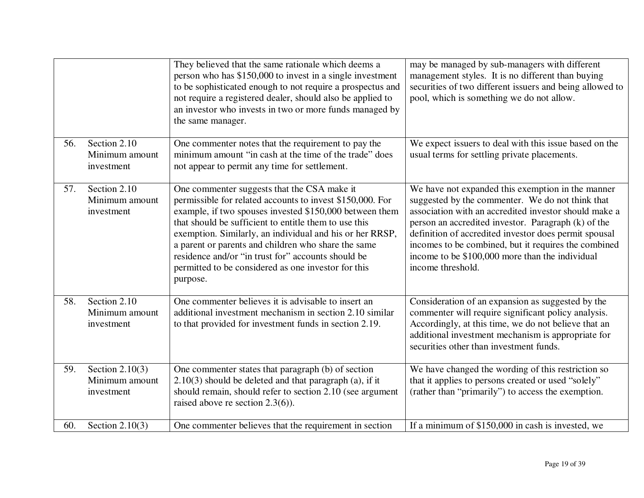|     |                                                   | They believed that the same rationale which deems a<br>person who has \$150,000 to invest in a single investment<br>to be sophisticated enough to not require a prospectus and<br>not require a registered dealer, should also be applied to<br>an investor who invests in two or more funds managed by<br>the same manager.                                                                                                                                             | may be managed by sub-managers with different<br>management styles. It is no different than buying<br>securities of two different issuers and being allowed to<br>pool, which is something we do not allow.                                                                                                                                                                                                    |
|-----|---------------------------------------------------|--------------------------------------------------------------------------------------------------------------------------------------------------------------------------------------------------------------------------------------------------------------------------------------------------------------------------------------------------------------------------------------------------------------------------------------------------------------------------|----------------------------------------------------------------------------------------------------------------------------------------------------------------------------------------------------------------------------------------------------------------------------------------------------------------------------------------------------------------------------------------------------------------|
| 56. | Section 2.10<br>Minimum amount<br>investment      | One commenter notes that the requirement to pay the<br>minimum amount "in cash at the time of the trade" does<br>not appear to permit any time for settlement.                                                                                                                                                                                                                                                                                                           | We expect issuers to deal with this issue based on the<br>usual terms for settling private placements.                                                                                                                                                                                                                                                                                                         |
| 57. | Section 2.10<br>Minimum amount<br>investment      | One commenter suggests that the CSA make it<br>permissible for related accounts to invest \$150,000. For<br>example, if two spouses invested \$150,000 between them<br>that should be sufficient to entitle them to use this<br>exemption. Similarly, an individual and his or her RRSP,<br>a parent or parents and children who share the same<br>residence and/or "in trust for" accounts should be<br>permitted to be considered as one investor for this<br>purpose. | We have not expanded this exemption in the manner<br>suggested by the commenter. We do not think that<br>association with an accredited investor should make a<br>person an accredited investor. Paragraph (k) of the<br>definition of accredited investor does permit spousal<br>incomes to be combined, but it requires the combined<br>income to be \$100,000 more than the individual<br>income threshold. |
| 58. | Section $2.10$<br>Minimum amount<br>investment    | One commenter believes it is advisable to insert an<br>additional investment mechanism in section 2.10 similar<br>to that provided for investment funds in section 2.19.                                                                                                                                                                                                                                                                                                 | Consideration of an expansion as suggested by the<br>commenter will require significant policy analysis.<br>Accordingly, at this time, we do not believe that an<br>additional investment mechanism is appropriate for<br>securities other than investment funds.                                                                                                                                              |
| 59. | Section $2.10(3)$<br>Minimum amount<br>investment | One commenter states that paragraph (b) of section<br>$2.10(3)$ should be deleted and that paragraph (a), if it<br>should remain, should refer to section 2.10 (see argument<br>raised above re section $2.3(6)$ ).                                                                                                                                                                                                                                                      | We have changed the wording of this restriction so<br>that it applies to persons created or used "solely"<br>(rather than "primarily") to access the exemption.                                                                                                                                                                                                                                                |
| 60. | Section $2.10(3)$                                 | One commenter believes that the requirement in section                                                                                                                                                                                                                                                                                                                                                                                                                   | If a minimum of \$150,000 in cash is invested, we                                                                                                                                                                                                                                                                                                                                                              |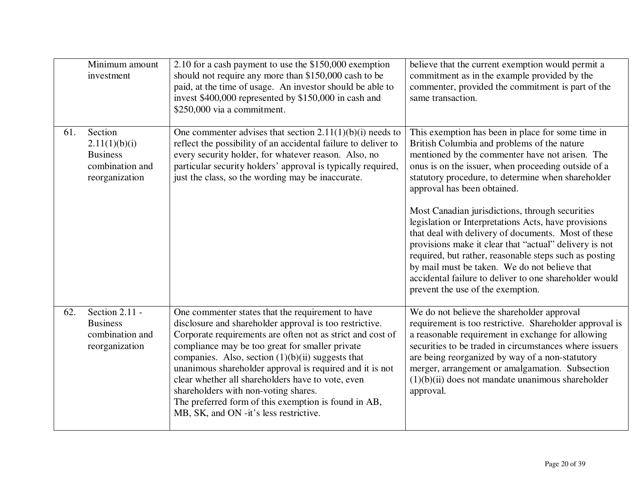|     | Minimum amount<br>investment                                                     | 2.10 for a cash payment to use the \$150,000 exemption<br>should not require any more than \$150,000 cash to be<br>paid, at the time of usage. An investor should be able to<br>invest \$400,000 represented by \$150,000 in cash and<br>\$250,000 via a commitment.                                                                                                                                                                                                                                                                            | believe that the current exemption would permit a<br>commitment as in the example provided by the<br>commenter, provided the commitment is part of the<br>same transaction.                                                                                                                                                                                                                                                                                                                                                                                                                                                                                                                                                           |
|-----|----------------------------------------------------------------------------------|-------------------------------------------------------------------------------------------------------------------------------------------------------------------------------------------------------------------------------------------------------------------------------------------------------------------------------------------------------------------------------------------------------------------------------------------------------------------------------------------------------------------------------------------------|---------------------------------------------------------------------------------------------------------------------------------------------------------------------------------------------------------------------------------------------------------------------------------------------------------------------------------------------------------------------------------------------------------------------------------------------------------------------------------------------------------------------------------------------------------------------------------------------------------------------------------------------------------------------------------------------------------------------------------------|
| 61. | Section<br>2.11(1)(b)(i)<br><b>Business</b><br>combination and<br>reorganization | One commenter advises that section $2.11(1)(b)(i)$ needs to<br>reflect the possibility of an accidental failure to deliver to<br>every security holder, for whatever reason. Also, no<br>particular security holders' approval is typically required,<br>just the class, so the wording may be inaccurate.                                                                                                                                                                                                                                      | This exemption has been in place for some time in<br>British Columbia and problems of the nature<br>mentioned by the commenter have not arisen. The<br>onus is on the issuer, when proceeding outside of a<br>statutory procedure, to determine when shareholder<br>approval has been obtained.<br>Most Canadian jurisdictions, through securities<br>legislation or Interpretations Acts, have provisions<br>that deal with delivery of documents. Most of these<br>provisions make it clear that "actual" delivery is not<br>required, but rather, reasonable steps such as posting<br>by mail must be taken. We do not believe that<br>accidental failure to deliver to one shareholder would<br>prevent the use of the exemption. |
| 62. | Section 2.11 -<br><b>Business</b><br>combination and<br>reorganization           | One commenter states that the requirement to have<br>disclosure and shareholder approval is too restrictive.<br>Corporate requirements are often not as strict and cost of<br>compliance may be too great for smaller private<br>companies. Also, section $(1)(b)(ii)$ suggests that<br>unanimous shareholder approval is required and it is not<br>clear whether all shareholders have to vote, even<br>shareholders with non-voting shares.<br>The preferred form of this exemption is found in AB,<br>MB, SK, and ON -it's less restrictive. | We do not believe the shareholder approval<br>requirement is too restrictive. Shareholder approval is<br>a reasonable requirement in exchange for allowing<br>securities to be traded in circumstances where issuers<br>are being reorganized by way of a non-statutory<br>merger, arrangement or amalgamation. Subsection<br>$(1)(b)(ii)$ does not mandate unanimous shareholder<br>approval.                                                                                                                                                                                                                                                                                                                                        |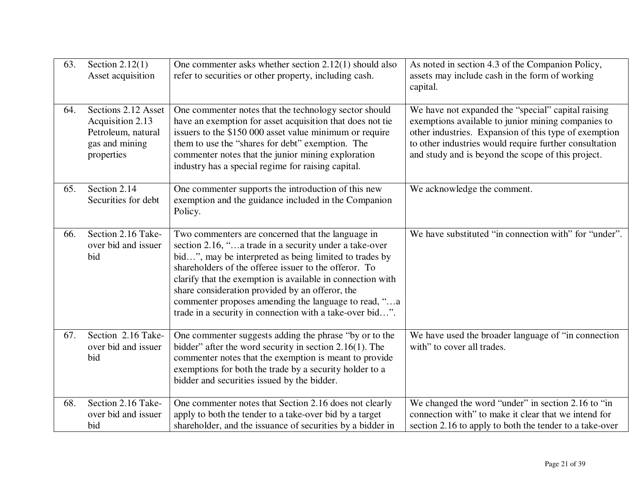| 63. | Section $2.12(1)$<br>Asset acquisition                                                        | One commenter asks whether section $2.12(1)$ should also<br>refer to securities or other property, including cash.                                                                                                                                                                                                                                                                                                                                                  | As noted in section 4.3 of the Companion Policy,<br>assets may include cash in the form of working<br>capital.                                                                                                                                                                    |
|-----|-----------------------------------------------------------------------------------------------|---------------------------------------------------------------------------------------------------------------------------------------------------------------------------------------------------------------------------------------------------------------------------------------------------------------------------------------------------------------------------------------------------------------------------------------------------------------------|-----------------------------------------------------------------------------------------------------------------------------------------------------------------------------------------------------------------------------------------------------------------------------------|
| 64. | Sections 2.12 Asset<br>Acquisition 2.13<br>Petroleum, natural<br>gas and mining<br>properties | One commenter notes that the technology sector should<br>have an exemption for asset acquisition that does not tie<br>issuers to the \$150 000 asset value minimum or require<br>them to use the "shares for debt" exemption. The<br>commenter notes that the junior mining exploration<br>industry has a special regime for raising capital.                                                                                                                       | We have not expanded the "special" capital raising<br>exemptions available to junior mining companies to<br>other industries. Expansion of this type of exemption<br>to other industries would require further consultation<br>and study and is beyond the scope of this project. |
| 65. | Section 2.14<br>Securities for debt                                                           | One commenter supports the introduction of this new<br>exemption and the guidance included in the Companion<br>Policy.                                                                                                                                                                                                                                                                                                                                              | We acknowledge the comment.                                                                                                                                                                                                                                                       |
| 66. | Section 2.16 Take-<br>over bid and issuer<br>bid                                              | Two commenters are concerned that the language in<br>section 2.16, "a trade in a security under a take-over<br>bid", may be interpreted as being limited to trades by<br>shareholders of the offeree issuer to the offeror. To<br>clarify that the exemption is available in connection with<br>share consideration provided by an offeror, the<br>commenter proposes amending the language to read, "a<br>trade in a security in connection with a take-over bid". | We have substituted "in connection with" for "under".                                                                                                                                                                                                                             |
| 67. | Section 2.16 Take-<br>over bid and issuer<br>bid                                              | One commenter suggests adding the phrase "by or to the<br>bidder" after the word security in section $2.16(1)$ . The<br>commenter notes that the exemption is meant to provide<br>exemptions for both the trade by a security holder to a<br>bidder and securities issued by the bidder.                                                                                                                                                                            | We have used the broader language of "in connection"<br>with" to cover all trades.                                                                                                                                                                                                |
| 68. | Section 2.16 Take-<br>over bid and issuer<br>bid                                              | One commenter notes that Section 2.16 does not clearly<br>apply to both the tender to a take-over bid by a target<br>shareholder, and the issuance of securities by a bidder in                                                                                                                                                                                                                                                                                     | We changed the word "under" in section 2.16 to "in<br>connection with" to make it clear that we intend for<br>section 2.16 to apply to both the tender to a take-over                                                                                                             |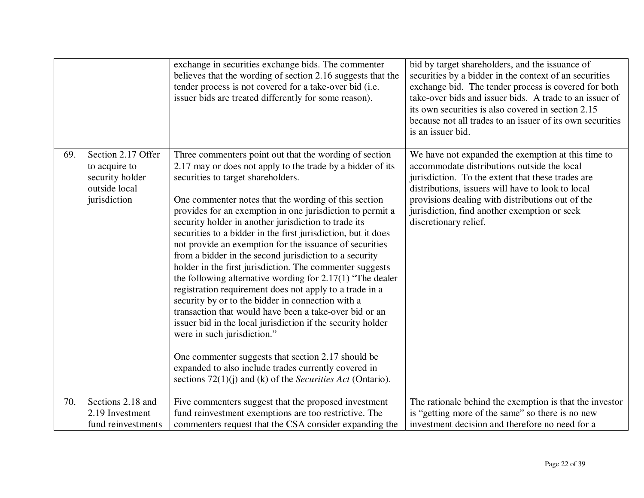|     |                                                                                         | exchange in securities exchange bids. The commenter<br>believes that the wording of section 2.16 suggests that the<br>tender process is not covered for a take-over bid (i.e.<br>issuer bids are treated differently for some reason).                                                                                                                                                                                                                                                                                                                                                                                                                                                                                                                                                                                                                                                                                                                                                                                                                                                                                 | bid by target shareholders, and the issuance of<br>securities by a bidder in the context of an securities<br>exchange bid. The tender process is covered for both<br>take-over bids and issuer bids. A trade to an issuer of<br>its own securities is also covered in section 2.15<br>because not all trades to an issuer of its own securities<br>is an issuer bid. |
|-----|-----------------------------------------------------------------------------------------|------------------------------------------------------------------------------------------------------------------------------------------------------------------------------------------------------------------------------------------------------------------------------------------------------------------------------------------------------------------------------------------------------------------------------------------------------------------------------------------------------------------------------------------------------------------------------------------------------------------------------------------------------------------------------------------------------------------------------------------------------------------------------------------------------------------------------------------------------------------------------------------------------------------------------------------------------------------------------------------------------------------------------------------------------------------------------------------------------------------------|----------------------------------------------------------------------------------------------------------------------------------------------------------------------------------------------------------------------------------------------------------------------------------------------------------------------------------------------------------------------|
| 69. | Section 2.17 Offer<br>to acquire to<br>security holder<br>outside local<br>jurisdiction | Three commenters point out that the wording of section<br>2.17 may or does not apply to the trade by a bidder of its<br>securities to target shareholders.<br>One commenter notes that the wording of this section<br>provides for an exemption in one jurisdiction to permit a<br>security holder in another jurisdiction to trade its<br>securities to a bidder in the first jurisdiction, but it does<br>not provide an exemption for the issuance of securities<br>from a bidder in the second jurisdiction to a security<br>holder in the first jurisdiction. The commenter suggests<br>the following alternative wording for $2.17(1)$ "The dealer"<br>registration requirement does not apply to a trade in a<br>security by or to the bidder in connection with a<br>transaction that would have been a take-over bid or an<br>issuer bid in the local jurisdiction if the security holder<br>were in such jurisdiction."<br>One commenter suggests that section 2.17 should be<br>expanded to also include trades currently covered in<br>sections $72(1)(i)$ and (k) of the <i>Securities Act</i> (Ontario). | We have not expanded the exemption at this time to<br>accommodate distributions outside the local<br>jurisdiction. To the extent that these trades are<br>distributions, issuers will have to look to local<br>provisions dealing with distributions out of the<br>jurisdiction, find another exemption or seek<br>discretionary relief.                             |
| 70. | Sections 2.18 and<br>2.19 Investment                                                    | Five commenters suggest that the proposed investment<br>fund reinvestment exemptions are too restrictive. The                                                                                                                                                                                                                                                                                                                                                                                                                                                                                                                                                                                                                                                                                                                                                                                                                                                                                                                                                                                                          | The rationale behind the exemption is that the investor<br>is "getting more of the same" so there is no new                                                                                                                                                                                                                                                          |
|     | fund reinvestments                                                                      | commenters request that the CSA consider expanding the                                                                                                                                                                                                                                                                                                                                                                                                                                                                                                                                                                                                                                                                                                                                                                                                                                                                                                                                                                                                                                                                 | investment decision and therefore no need for a                                                                                                                                                                                                                                                                                                                      |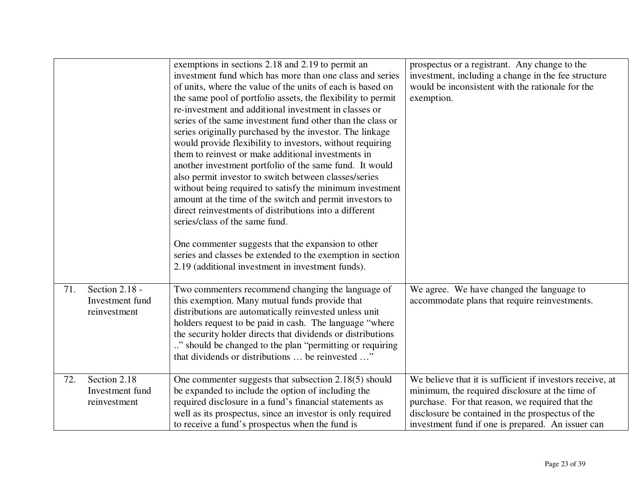|     |                                                   | exemptions in sections 2.18 and 2.19 to permit an<br>investment fund which has more than one class and series<br>of units, where the value of the units of each is based on<br>the same pool of portfolio assets, the flexibility to permit<br>re-investment and additional investment in classes or<br>series of the same investment fund other than the class or<br>series originally purchased by the investor. The linkage<br>would provide flexibility to investors, without requiring<br>them to reinvest or make additional investments in<br>another investment portfolio of the same fund. It would<br>also permit investor to switch between classes/series<br>without being required to satisfy the minimum investment<br>amount at the time of the switch and permit investors to<br>direct reinvestments of distributions into a different<br>series/class of the same fund.<br>One commenter suggests that the expansion to other<br>series and classes be extended to the exemption in section<br>2.19 (additional investment in investment funds). | prospectus or a registrant. Any change to the<br>investment, including a change in the fee structure<br>would be inconsistent with the rationale for the<br>exemption.                                                                                                   |
|-----|---------------------------------------------------|--------------------------------------------------------------------------------------------------------------------------------------------------------------------------------------------------------------------------------------------------------------------------------------------------------------------------------------------------------------------------------------------------------------------------------------------------------------------------------------------------------------------------------------------------------------------------------------------------------------------------------------------------------------------------------------------------------------------------------------------------------------------------------------------------------------------------------------------------------------------------------------------------------------------------------------------------------------------------------------------------------------------------------------------------------------------|--------------------------------------------------------------------------------------------------------------------------------------------------------------------------------------------------------------------------------------------------------------------------|
| 71. | Section 2.18 -<br>Investment fund<br>reinvestment | Two commenters recommend changing the language of<br>this exemption. Many mutual funds provide that<br>distributions are automatically reinvested unless unit<br>holders request to be paid in cash. The language "where<br>the security holder directs that dividends or distributions<br>" should be changed to the plan "permitting or requiring"<br>that dividends or distributions  be reinvested "                                                                                                                                                                                                                                                                                                                                                                                                                                                                                                                                                                                                                                                           | We agree. We have changed the language to<br>accommodate plans that require reinvestments.                                                                                                                                                                               |
| 72. | Section 2.18<br>Investment fund<br>reinvestment   | One commenter suggests that subsection 2.18(5) should<br>be expanded to include the option of including the<br>required disclosure in a fund's financial statements as<br>well as its prospectus, since an investor is only required<br>to receive a fund's prospectus when the fund is                                                                                                                                                                                                                                                                                                                                                                                                                                                                                                                                                                                                                                                                                                                                                                            | We believe that it is sufficient if investors receive, at<br>minimum, the required disclosure at the time of<br>purchase. For that reason, we required that the<br>disclosure be contained in the prospectus of the<br>investment fund if one is prepared. An issuer can |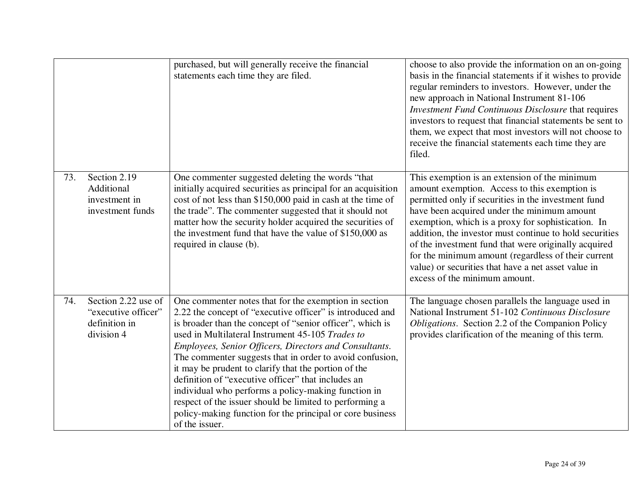|     |                                                                           | purchased, but will generally receive the financial<br>statements each time they are filed.                                                                                                                                                                                                                                                                                                                                                                                                                                                                                                                                                                              | choose to also provide the information on an on-going<br>basis in the financial statements if it wishes to provide<br>regular reminders to investors. However, under the<br>new approach in National Instrument 81-106<br>Investment Fund Continuous Disclosure that requires<br>investors to request that financial statements be sent to<br>them, we expect that most investors will not choose to<br>receive the financial statements each time they are<br>filed.                                                        |
|-----|---------------------------------------------------------------------------|--------------------------------------------------------------------------------------------------------------------------------------------------------------------------------------------------------------------------------------------------------------------------------------------------------------------------------------------------------------------------------------------------------------------------------------------------------------------------------------------------------------------------------------------------------------------------------------------------------------------------------------------------------------------------|------------------------------------------------------------------------------------------------------------------------------------------------------------------------------------------------------------------------------------------------------------------------------------------------------------------------------------------------------------------------------------------------------------------------------------------------------------------------------------------------------------------------------|
| 73. | Section 2.19<br>Additional<br>investment in<br>investment funds           | One commenter suggested deleting the words "that<br>initially acquired securities as principal for an acquisition<br>cost of not less than \$150,000 paid in cash at the time of<br>the trade". The commenter suggested that it should not<br>matter how the security holder acquired the securities of<br>the investment fund that have the value of \$150,000 as<br>required in clause (b).                                                                                                                                                                                                                                                                            | This exemption is an extension of the minimum<br>amount exemption. Access to this exemption is<br>permitted only if securities in the investment fund<br>have been acquired under the minimum amount<br>exemption, which is a proxy for sophistication. In<br>addition, the investor must continue to hold securities<br>of the investment fund that were originally acquired<br>for the minimum amount (regardless of their current<br>value) or securities that have a net asset value in<br>excess of the minimum amount. |
| 74. | Section 2.22 use of<br>"executive officer"<br>definition in<br>division 4 | One commenter notes that for the exemption in section<br>2.22 the concept of "executive officer" is introduced and<br>is broader than the concept of "senior officer", which is<br>used in Multilateral Instrument 45-105 Trades to<br>Employees, Senior Officers, Directors and Consultants.<br>The commenter suggests that in order to avoid confusion,<br>it may be prudent to clarify that the portion of the<br>definition of "executive officer" that includes an<br>individual who performs a policy-making function in<br>respect of the issuer should be limited to performing a<br>policy-making function for the principal or core business<br>of the issuer. | The language chosen parallels the language used in<br>National Instrument 51-102 Continuous Disclosure<br>Obligations. Section 2.2 of the Companion Policy<br>provides clarification of the meaning of this term.                                                                                                                                                                                                                                                                                                            |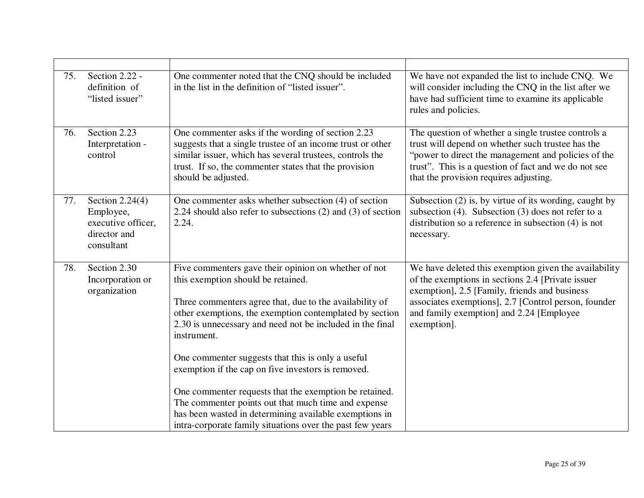| 75. | Section 2.22 -<br>definition of<br>"listed issuer"                                 | One commenter noted that the CNQ should be included<br>in the list in the definition of "listed issuer".                                                                                                                                                                                                                                                                                                                                                                                                                                                                                                                                        | We have not expanded the list to include CNQ. We<br>will consider including the CNQ in the list after we<br>have had sufficient time to examine its applicable<br>rules and policies.                                                                                          |
|-----|------------------------------------------------------------------------------------|-------------------------------------------------------------------------------------------------------------------------------------------------------------------------------------------------------------------------------------------------------------------------------------------------------------------------------------------------------------------------------------------------------------------------------------------------------------------------------------------------------------------------------------------------------------------------------------------------------------------------------------------------|--------------------------------------------------------------------------------------------------------------------------------------------------------------------------------------------------------------------------------------------------------------------------------|
| 76. | Section 2.23<br>Interpretation -<br>control                                        | One commenter asks if the wording of section 2.23<br>suggests that a single trustee of an income trust or other<br>similar issuer, which has several trustees, controls the<br>trust. If so, the commenter states that the provision<br>should be adjusted.                                                                                                                                                                                                                                                                                                                                                                                     | The question of whether a single trustee controls a<br>trust will depend on whether such trustee has the<br>"power to direct the management and policies of the<br>trust". This is a question of fact and we do not see<br>that the provision requires adjusting.              |
| 77. | Section $2.24(4)$<br>Employee,<br>executive officer,<br>director and<br>consultant | One commenter asks whether subsection (4) of section<br>2.24 should also refer to subsections $(2)$ and $(3)$ of section<br>2.24.                                                                                                                                                                                                                                                                                                                                                                                                                                                                                                               | Subsection (2) is, by virtue of its wording, caught by<br>subsection $(4)$ . Subsection $(3)$ does not refer to a<br>distribution so a reference in subsection $(4)$ is not<br>necessary.                                                                                      |
| 78. | Section 2.30<br>Incorporation or<br>organization                                   | Five commenters gave their opinion on whether of not<br>this exemption should be retained.<br>Three commenters agree that, due to the availability of<br>other exemptions, the exemption contemplated by section<br>2.30 is unnecessary and need not be included in the final<br>instrument.<br>One commenter suggests that this is only a useful<br>exemption if the cap on five investors is removed.<br>One commenter requests that the exemption be retained.<br>The commenter points out that much time and expense<br>has been wasted in determining available exemptions in<br>intra-corporate family situations over the past few years | We have deleted this exemption given the availability<br>of the exemptions in sections 2.4 [Private issuer<br>exemption], 2.5 [Family, friends and business<br>associates exemptions], 2.7 [Control person, founder<br>and family exemption] and 2.24 [Employee<br>exemption]. |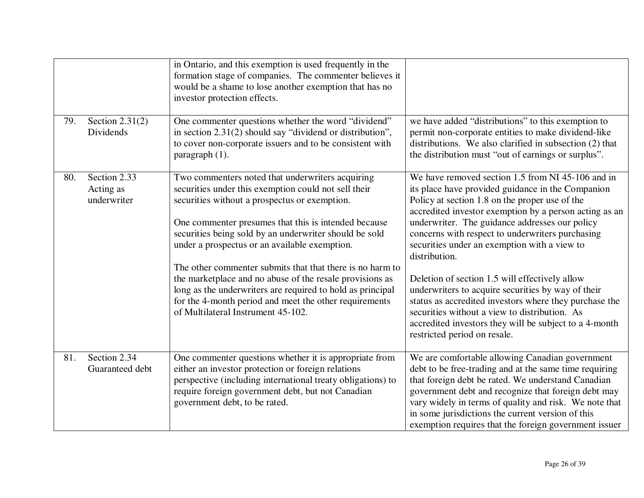|     |                                          | in Ontario, and this exemption is used frequently in the<br>formation stage of companies. The commenter believes it<br>would be a shame to lose another exemption that has no<br>investor protection effects.                                                                                                                                                                                                                                                                                                                                                                                                       |                                                                                                                                                                                                                                                                                                                                                                                                                                                                                                                                                                                                                                                                                                        |
|-----|------------------------------------------|---------------------------------------------------------------------------------------------------------------------------------------------------------------------------------------------------------------------------------------------------------------------------------------------------------------------------------------------------------------------------------------------------------------------------------------------------------------------------------------------------------------------------------------------------------------------------------------------------------------------|--------------------------------------------------------------------------------------------------------------------------------------------------------------------------------------------------------------------------------------------------------------------------------------------------------------------------------------------------------------------------------------------------------------------------------------------------------------------------------------------------------------------------------------------------------------------------------------------------------------------------------------------------------------------------------------------------------|
| 79. | Section $2.31(2)$<br>Dividends           | One commenter questions whether the word "dividend"<br>in section 2.31(2) should say "dividend or distribution",<br>to cover non-corporate issuers and to be consistent with<br>paragraph (1).                                                                                                                                                                                                                                                                                                                                                                                                                      | we have added "distributions" to this exemption to<br>permit non-corporate entities to make dividend-like<br>distributions. We also clarified in subsection (2) that<br>the distribution must "out of earnings or surplus".                                                                                                                                                                                                                                                                                                                                                                                                                                                                            |
| 80. | Section 2.33<br>Acting as<br>underwriter | Two commenters noted that underwriters acquiring<br>securities under this exemption could not sell their<br>securities without a prospectus or exemption.<br>One commenter presumes that this is intended because<br>securities being sold by an underwriter should be sold<br>under a prospectus or an available exemption.<br>The other commenter submits that that there is no harm to<br>the marketplace and no abuse of the resale provisions as<br>long as the underwriters are required to hold as principal<br>for the 4-month period and meet the other requirements<br>of Multilateral Instrument 45-102. | We have removed section 1.5 from NI 45-106 and in<br>its place have provided guidance in the Companion<br>Policy at section 1.8 on the proper use of the<br>accredited investor exemption by a person acting as an<br>underwriter. The guidance addresses our policy<br>concerns with respect to underwriters purchasing<br>securities under an exemption with a view to<br>distribution.<br>Deletion of section 1.5 will effectively allow<br>underwriters to acquire securities by way of their<br>status as accredited investors where they purchase the<br>securities without a view to distribution. As<br>accredited investors they will be subject to a 4-month<br>restricted period on resale. |
| 81. | Section 2.34<br>Guaranteed debt          | One commenter questions whether it is appropriate from<br>either an investor protection or foreign relations<br>perspective (including international treaty obligations) to<br>require foreign government debt, but not Canadian<br>government debt, to be rated.                                                                                                                                                                                                                                                                                                                                                   | We are comfortable allowing Canadian government<br>debt to be free-trading and at the same time requiring<br>that foreign debt be rated. We understand Canadian<br>government debt and recognize that foreign debt may<br>vary widely in terms of quality and risk. We note that<br>in some jurisdictions the current version of this<br>exemption requires that the foreign government issuer                                                                                                                                                                                                                                                                                                         |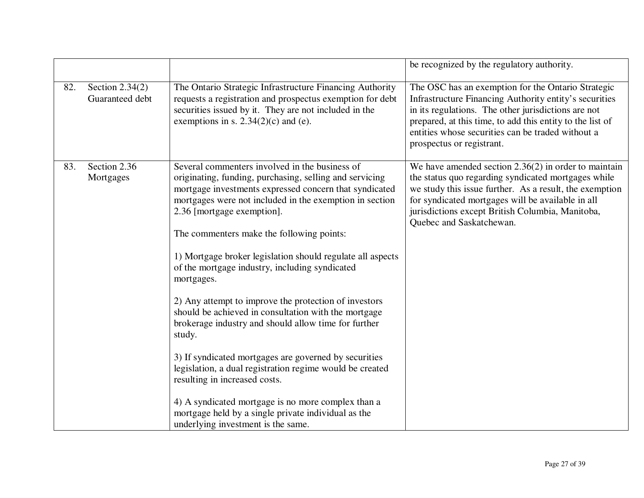|     |                                      |                                                                                                                                                                                                                                                                                                                                                                                                                                                                                                                                                                                                                                                                                                                                                                                                                                                                                                                                     | be recognized by the regulatory authority.                                                                                                                                                                                                                                                                         |
|-----|--------------------------------------|-------------------------------------------------------------------------------------------------------------------------------------------------------------------------------------------------------------------------------------------------------------------------------------------------------------------------------------------------------------------------------------------------------------------------------------------------------------------------------------------------------------------------------------------------------------------------------------------------------------------------------------------------------------------------------------------------------------------------------------------------------------------------------------------------------------------------------------------------------------------------------------------------------------------------------------|--------------------------------------------------------------------------------------------------------------------------------------------------------------------------------------------------------------------------------------------------------------------------------------------------------------------|
| 82. | Section $2.34(2)$<br>Guaranteed debt | The Ontario Strategic Infrastructure Financing Authority<br>requests a registration and prospectus exemption for debt<br>securities issued by it. They are not included in the<br>exemptions in s. $2.34(2)(c)$ and (e).                                                                                                                                                                                                                                                                                                                                                                                                                                                                                                                                                                                                                                                                                                            | The OSC has an exemption for the Ontario Strategic<br>Infrastructure Financing Authority entity's securities<br>in its regulations. The other jurisdictions are not<br>prepared, at this time, to add this entity to the list of<br>entities whose securities can be traded without a<br>prospectus or registrant. |
| 83. | Section 2.36<br>Mortgages            | Several commenters involved in the business of<br>originating, funding, purchasing, selling and servicing<br>mortgage investments expressed concern that syndicated<br>mortgages were not included in the exemption in section<br>2.36 [mortgage exemption].<br>The commenters make the following points:<br>1) Mortgage broker legislation should regulate all aspects<br>of the mortgage industry, including syndicated<br>mortgages.<br>2) Any attempt to improve the protection of investors<br>should be achieved in consultation with the mortgage<br>brokerage industry and should allow time for further<br>study.<br>3) If syndicated mortgages are governed by securities<br>legislation, a dual registration regime would be created<br>resulting in increased costs.<br>4) A syndicated mortgage is no more complex than a<br>mortgage held by a single private individual as the<br>underlying investment is the same. | We have amended section $2.36(2)$ in order to maintain<br>the status quo regarding syndicated mortgages while<br>we study this issue further. As a result, the exemption<br>for syndicated mortgages will be available in all<br>jurisdictions except British Columbia, Manitoba,<br>Quebec and Saskatchewan.      |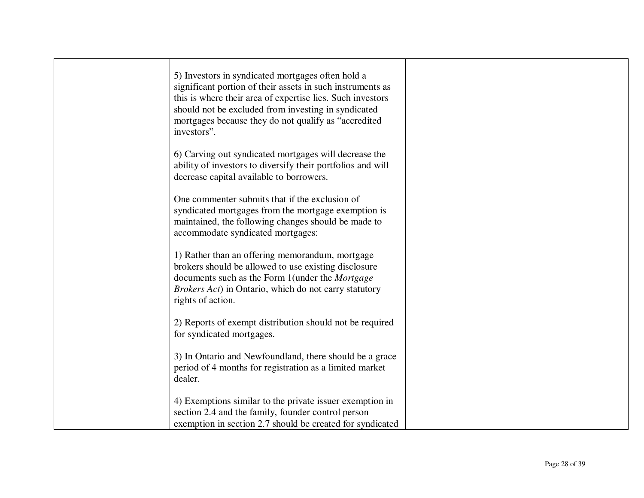| 5) Investors in syndicated mortgages often hold a<br>significant portion of their assets in such instruments as<br>this is where their area of expertise lies. Such investors<br>should not be excluded from investing in syndicated<br>mortgages because they do not qualify as "accredited"<br>investors". |  |
|--------------------------------------------------------------------------------------------------------------------------------------------------------------------------------------------------------------------------------------------------------------------------------------------------------------|--|
| 6) Carving out syndicated mortgages will decrease the<br>ability of investors to diversify their portfolios and will<br>decrease capital available to borrowers.                                                                                                                                             |  |
| One commenter submits that if the exclusion of<br>syndicated mortgages from the mortgage exemption is<br>maintained, the following changes should be made to<br>accommodate syndicated mortgages:                                                                                                            |  |
| 1) Rather than an offering memorandum, mortgage<br>brokers should be allowed to use existing disclosure<br>documents such as the Form 1 (under the Mortgage<br>Brokers Act) in Ontario, which do not carry statutory<br>rights of action.                                                                    |  |
| 2) Reports of exempt distribution should not be required<br>for syndicated mortgages.                                                                                                                                                                                                                        |  |
| 3) In Ontario and Newfoundland, there should be a grace<br>period of 4 months for registration as a limited market<br>dealer.                                                                                                                                                                                |  |
| 4) Exemptions similar to the private issuer exemption in<br>section 2.4 and the family, founder control person<br>exemption in section 2.7 should be created for syndicated                                                                                                                                  |  |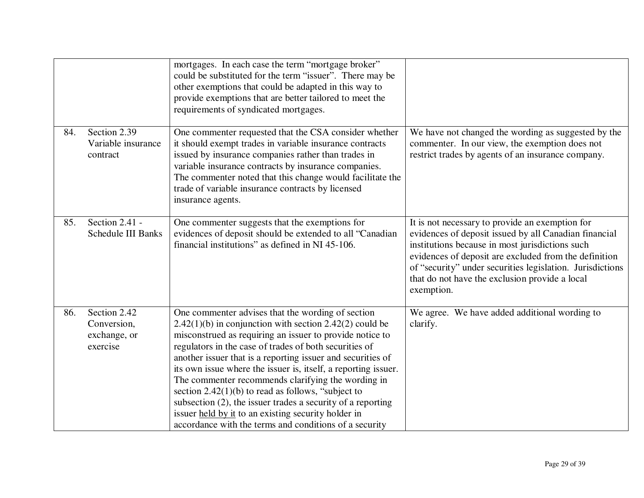|     |                                                         | mortgages. In each case the term "mortgage broker"<br>could be substituted for the term "issuer". There may be<br>other exemptions that could be adapted in this way to<br>provide exemptions that are better tailored to meet the<br>requirements of syndicated mortgages.                                                                                                                                                                                                                                                                                                                                                                                         |                                                                                                                                                                                                                                                                                                                                                   |
|-----|---------------------------------------------------------|---------------------------------------------------------------------------------------------------------------------------------------------------------------------------------------------------------------------------------------------------------------------------------------------------------------------------------------------------------------------------------------------------------------------------------------------------------------------------------------------------------------------------------------------------------------------------------------------------------------------------------------------------------------------|---------------------------------------------------------------------------------------------------------------------------------------------------------------------------------------------------------------------------------------------------------------------------------------------------------------------------------------------------|
| 84. | Section 2.39<br>Variable insurance<br>contract          | One commenter requested that the CSA consider whether<br>it should exempt trades in variable insurance contracts<br>issued by insurance companies rather than trades in<br>variable insurance contracts by insurance companies.<br>The commenter noted that this change would facilitate the<br>trade of variable insurance contracts by licensed<br>insurance agents.                                                                                                                                                                                                                                                                                              | We have not changed the wording as suggested by the<br>commenter. In our view, the exemption does not<br>restrict trades by agents of an insurance company.                                                                                                                                                                                       |
| 85. | Section 2.41 -<br><b>Schedule III Banks</b>             | One commenter suggests that the exemptions for<br>evidences of deposit should be extended to all "Canadian<br>financial institutions" as defined in NI 45-106.                                                                                                                                                                                                                                                                                                                                                                                                                                                                                                      | It is not necessary to provide an exemption for<br>evidences of deposit issued by all Canadian financial<br>institutions because in most jurisdictions such<br>evidences of deposit are excluded from the definition<br>of "security" under securities legislation. Jurisdictions<br>that do not have the exclusion provide a local<br>exemption. |
| 86. | Section 2.42<br>Conversion,<br>exchange, or<br>exercise | One commenter advises that the wording of section<br>$2.42(1)(b)$ in conjunction with section 2.42(2) could be<br>misconstrued as requiring an issuer to provide notice to<br>regulators in the case of trades of both securities of<br>another issuer that is a reporting issuer and securities of<br>its own issue where the issuer is, itself, a reporting issuer.<br>The commenter recommends clarifying the wording in<br>section $2.42(1)(b)$ to read as follows, "subject to<br>subsection (2), the issuer trades a security of a reporting<br>issuer held by it to an existing security holder in<br>accordance with the terms and conditions of a security | We agree. We have added additional wording to<br>clarify.                                                                                                                                                                                                                                                                                         |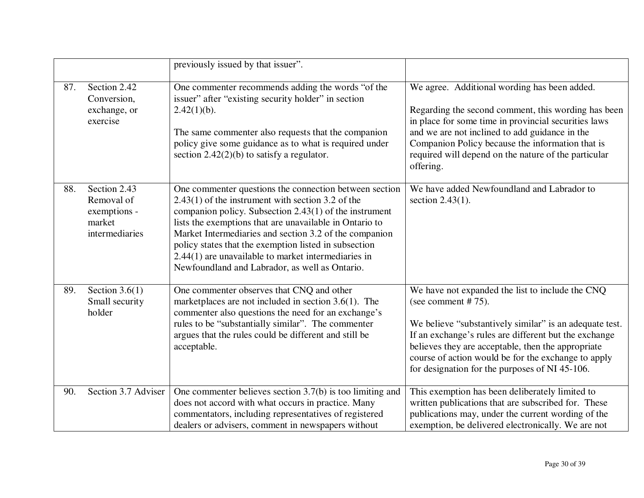|     |                                                                        | previously issued by that issuer".                                                                                                                                                                                                                                                                                                                                                                                                                                 |                                                                                                                                                                                                                                                                                                                                                              |
|-----|------------------------------------------------------------------------|--------------------------------------------------------------------------------------------------------------------------------------------------------------------------------------------------------------------------------------------------------------------------------------------------------------------------------------------------------------------------------------------------------------------------------------------------------------------|--------------------------------------------------------------------------------------------------------------------------------------------------------------------------------------------------------------------------------------------------------------------------------------------------------------------------------------------------------------|
| 87. | Section 2.42<br>Conversion,<br>exchange, or<br>exercise                | One commenter recommends adding the words "of the<br>issuer" after "existing security holder" in section<br>$2.42(1)(b)$ .<br>The same commenter also requests that the companion<br>policy give some guidance as to what is required under<br>section $2.42(2)(b)$ to satisfy a regulator.                                                                                                                                                                        | We agree. Additional wording has been added.<br>Regarding the second comment, this wording has been<br>in place for some time in provincial securities laws<br>and we are not inclined to add guidance in the<br>Companion Policy because the information that is<br>required will depend on the nature of the particular<br>offering.                       |
| 88. | Section 2.43<br>Removal of<br>exemptions -<br>market<br>intermediaries | One commenter questions the connection between section<br>$2.43(1)$ of the instrument with section 3.2 of the<br>companion policy. Subsection $2.43(1)$ of the instrument<br>lists the exemptions that are unavailable in Ontario to<br>Market Intermediaries and section 3.2 of the companion<br>policy states that the exemption listed in subsection<br>$2.44(1)$ are unavailable to market intermediaries in<br>Newfoundland and Labrador, as well as Ontario. | We have added Newfoundland and Labrador to<br>section $2.43(1)$ .                                                                                                                                                                                                                                                                                            |
| 89. | Section $3.6(1)$<br>Small security<br>holder                           | One commenter observes that CNQ and other<br>marketplaces are not included in section $3.6(1)$ . The<br>commenter also questions the need for an exchange's<br>rules to be "substantially similar". The commenter<br>argues that the rules could be different and still be<br>acceptable.                                                                                                                                                                          | We have not expanded the list to include the CNQ<br>(see comment $#75$ ).<br>We believe "substantively similar" is an adequate test.<br>If an exchange's rules are different but the exchange<br>believes they are acceptable, then the appropriate<br>course of action would be for the exchange to apply<br>for designation for the purposes of NI 45-106. |
| 90. | Section 3.7 Adviser                                                    | One commenter believes section $3.7(b)$ is too limiting and<br>does not accord with what occurs in practice. Many<br>commentators, including representatives of registered<br>dealers or advisers, comment in newspapers without                                                                                                                                                                                                                                   | This exemption has been deliberately limited to<br>written publications that are subscribed for. These<br>publications may, under the current wording of the<br>exemption, be delivered electronically. We are not                                                                                                                                           |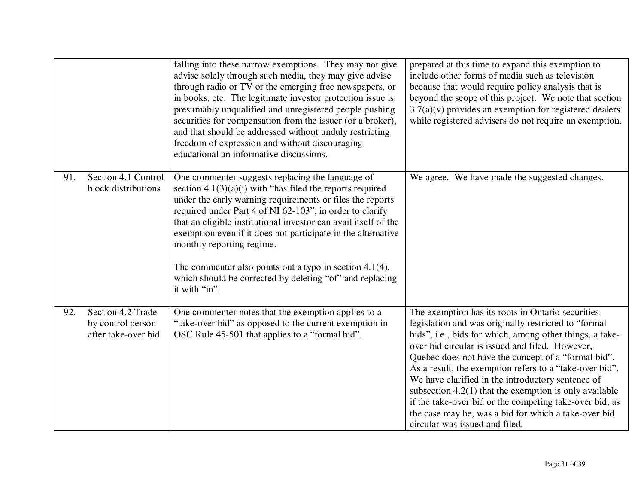|     |                                                               | falling into these narrow exemptions. They may not give<br>advise solely through such media, they may give advise<br>through radio or TV or the emerging free newspapers, or<br>in books, etc. The legitimate investor protection issue is<br>presumably unqualified and unregistered people pushing<br>securities for compensation from the issuer (or a broker),<br>and that should be addressed without unduly restricting<br>freedom of expression and without discouraging<br>educational an informative discussions.                          | prepared at this time to expand this exemption to<br>include other forms of media such as television<br>because that would require policy analysis that is<br>beyond the scope of this project. We note that section<br>$3.7(a)(v)$ provides an exemption for registered dealers<br>while registered advisers do not require an exemption.                                                                                                                                                                                                                                                                        |
|-----|---------------------------------------------------------------|-----------------------------------------------------------------------------------------------------------------------------------------------------------------------------------------------------------------------------------------------------------------------------------------------------------------------------------------------------------------------------------------------------------------------------------------------------------------------------------------------------------------------------------------------------|-------------------------------------------------------------------------------------------------------------------------------------------------------------------------------------------------------------------------------------------------------------------------------------------------------------------------------------------------------------------------------------------------------------------------------------------------------------------------------------------------------------------------------------------------------------------------------------------------------------------|
| 91. | Section 4.1 Control<br>block distributions                    | One commenter suggests replacing the language of<br>section $4.1(3)(a)(i)$ with "has filed the reports required<br>under the early warning requirements or files the reports<br>required under Part 4 of NI 62-103", in order to clarify<br>that an eligible institutional investor can avail itself of the<br>exemption even if it does not participate in the alternative<br>monthly reporting regime.<br>The commenter also points out a typo in section $4.1(4)$ ,<br>which should be corrected by deleting "of" and replacing<br>it with "in". | We agree. We have made the suggested changes.                                                                                                                                                                                                                                                                                                                                                                                                                                                                                                                                                                     |
| 92. | Section 4.2 Trade<br>by control person<br>after take-over bid | One commenter notes that the exemption applies to a<br>"take-over bid" as opposed to the current exemption in<br>OSC Rule 45-501 that applies to a "formal bid".                                                                                                                                                                                                                                                                                                                                                                                    | The exemption has its roots in Ontario securities<br>legislation and was originally restricted to "formal"<br>bids", i.e., bids for which, among other things, a take-<br>over bid circular is issued and filed. However,<br>Quebec does not have the concept of a "formal bid".<br>As a result, the exemption refers to a "take-over bid".<br>We have clarified in the introductory sentence of<br>subsection $4.2(1)$ that the exemption is only available<br>if the take-over bid or the competing take-over bid, as<br>the case may be, was a bid for which a take-over bid<br>circular was issued and filed. |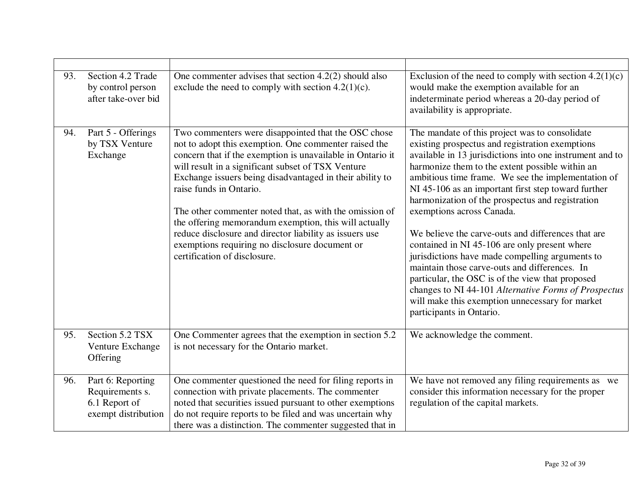| 93. | Section 4.2 Trade<br>by control person<br>after take-over bid                | One commenter advises that section $4.2(2)$ should also<br>exclude the need to comply with section $4.2(1)(c)$ .                                                                                                                                                                                                                                                                                                                                                                                                                                                                         | Exclusion of the need to comply with section $4.2(1)(c)$<br>would make the exemption available for an<br>indeterminate period whereas a 20-day period of<br>availability is appropriate.                                                                                                                                                                                                                                                                                                                                                                                                                                                                                                                                                                                                                             |
|-----|------------------------------------------------------------------------------|------------------------------------------------------------------------------------------------------------------------------------------------------------------------------------------------------------------------------------------------------------------------------------------------------------------------------------------------------------------------------------------------------------------------------------------------------------------------------------------------------------------------------------------------------------------------------------------|----------------------------------------------------------------------------------------------------------------------------------------------------------------------------------------------------------------------------------------------------------------------------------------------------------------------------------------------------------------------------------------------------------------------------------------------------------------------------------------------------------------------------------------------------------------------------------------------------------------------------------------------------------------------------------------------------------------------------------------------------------------------------------------------------------------------|
| 94. | Part 5 - Offerings<br>by TSX Venture<br>Exchange                             | Two commenters were disappointed that the OSC chose<br>not to adopt this exemption. One commenter raised the<br>concern that if the exemption is unavailable in Ontario it<br>will result in a significant subset of TSX Venture<br>Exchange issuers being disadvantaged in their ability to<br>raise funds in Ontario.<br>The other commenter noted that, as with the omission of<br>the offering memorandum exemption, this will actually<br>reduce disclosure and director liability as issuers use<br>exemptions requiring no disclosure document or<br>certification of disclosure. | The mandate of this project was to consolidate<br>existing prospectus and registration exemptions<br>available in 13 jurisdictions into one instrument and to<br>harmonize them to the extent possible within an<br>ambitious time frame. We see the implementation of<br>NI 45-106 as an important first step toward further<br>harmonization of the prospectus and registration<br>exemptions across Canada.<br>We believe the carve-outs and differences that are<br>contained in NI 45-106 are only present where<br>jurisdictions have made compelling arguments to<br>maintain those carve-outs and differences. In<br>particular, the OSC is of the view that proposed<br>changes to NI 44-101 Alternative Forms of Prospectus<br>will make this exemption unnecessary for market<br>participants in Ontario. |
| 95. | Section 5.2 TSX<br>Venture Exchange<br>Offering                              | One Commenter agrees that the exemption in section 5.2<br>is not necessary for the Ontario market.                                                                                                                                                                                                                                                                                                                                                                                                                                                                                       | We acknowledge the comment.                                                                                                                                                                                                                                                                                                                                                                                                                                                                                                                                                                                                                                                                                                                                                                                          |
| 96. | Part 6: Reporting<br>Requirements s.<br>6.1 Report of<br>exempt distribution | One commenter questioned the need for filing reports in<br>connection with private placements. The commenter<br>noted that securities issued pursuant to other exemptions<br>do not require reports to be filed and was uncertain why<br>there was a distinction. The commenter suggested that in                                                                                                                                                                                                                                                                                        | We have not removed any filing requirements as we<br>consider this information necessary for the proper<br>regulation of the capital markets.                                                                                                                                                                                                                                                                                                                                                                                                                                                                                                                                                                                                                                                                        |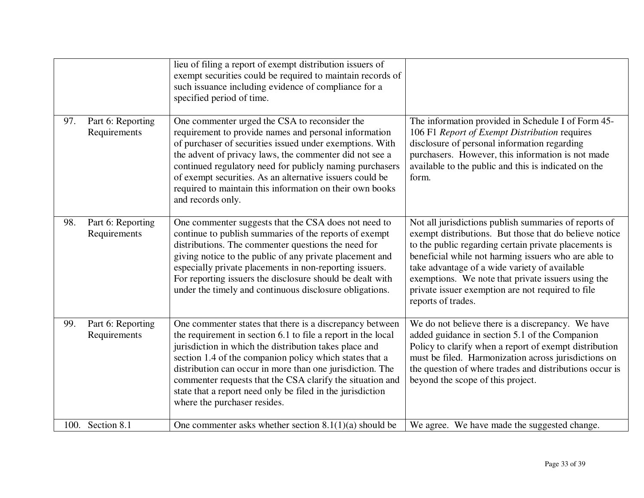|     |                                   | lieu of filing a report of exempt distribution issuers of<br>exempt securities could be required to maintain records of<br>such issuance including evidence of compliance for a<br>specified period of time.                                                                                                                                                                                                                                                          |                                                                                                                                                                                                                                                                                                                                                                                                                    |
|-----|-----------------------------------|-----------------------------------------------------------------------------------------------------------------------------------------------------------------------------------------------------------------------------------------------------------------------------------------------------------------------------------------------------------------------------------------------------------------------------------------------------------------------|--------------------------------------------------------------------------------------------------------------------------------------------------------------------------------------------------------------------------------------------------------------------------------------------------------------------------------------------------------------------------------------------------------------------|
| 97. | Part 6: Reporting<br>Requirements | One commenter urged the CSA to reconsider the<br>requirement to provide names and personal information<br>of purchaser of securities issued under exemptions. With<br>the advent of privacy laws, the commenter did not see a<br>continued regulatory need for publicly naming purchasers<br>of exempt securities. As an alternative issuers could be<br>required to maintain this information on their own books<br>and records only.                                | The information provided in Schedule I of Form 45-<br>106 F1 Report of Exempt Distribution requires<br>disclosure of personal information regarding<br>purchasers. However, this information is not made<br>available to the public and this is indicated on the<br>form.                                                                                                                                          |
| 98. | Part 6: Reporting<br>Requirements | One commenter suggests that the CSA does not need to<br>continue to publish summaries of the reports of exempt<br>distributions. The commenter questions the need for<br>giving notice to the public of any private placement and<br>especially private placements in non-reporting issuers.<br>For reporting issuers the disclosure should be dealt with<br>under the timely and continuous disclosure obligations.                                                  | Not all jurisdictions publish summaries of reports of<br>exempt distributions. But those that do believe notice<br>to the public regarding certain private placements is<br>beneficial while not harming issuers who are able to<br>take advantage of a wide variety of available<br>exemptions. We note that private issuers using the<br>private issuer exemption are not required to file<br>reports of trades. |
| 99. | Part 6: Reporting<br>Requirements | One commenter states that there is a discrepancy between<br>the requirement in section 6.1 to file a report in the local<br>jurisdiction in which the distribution takes place and<br>section 1.4 of the companion policy which states that a<br>distribution can occur in more than one jurisdiction. The<br>commenter requests that the CSA clarify the situation and<br>state that a report need only be filed in the jurisdiction<br>where the purchaser resides. | We do not believe there is a discrepancy. We have<br>added guidance in section 5.1 of the Companion<br>Policy to clarify when a report of exempt distribution<br>must be filed. Harmonization across jurisdictions on<br>the question of where trades and distributions occur is<br>beyond the scope of this project.                                                                                              |
|     | 100. Section 8.1                  | One commenter asks whether section $8.1(1)(a)$ should be                                                                                                                                                                                                                                                                                                                                                                                                              | We agree. We have made the suggested change.                                                                                                                                                                                                                                                                                                                                                                       |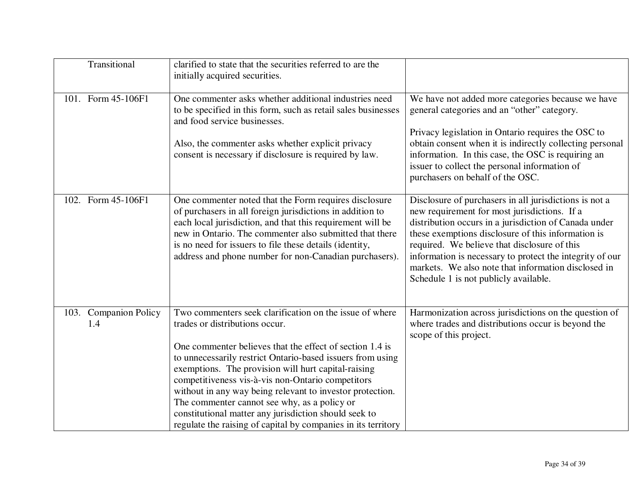| Transitional                 | clarified to state that the securities referred to are the<br>initially acquired securities.                                                                                                                                                                                                                                                                                                                                                                                                                                                                           |                                                                                                                                                                                                                                                                                                                                                                                                                                   |
|------------------------------|------------------------------------------------------------------------------------------------------------------------------------------------------------------------------------------------------------------------------------------------------------------------------------------------------------------------------------------------------------------------------------------------------------------------------------------------------------------------------------------------------------------------------------------------------------------------|-----------------------------------------------------------------------------------------------------------------------------------------------------------------------------------------------------------------------------------------------------------------------------------------------------------------------------------------------------------------------------------------------------------------------------------|
| 101. Form 45-106F1           | One commenter asks whether additional industries need<br>to be specified in this form, such as retail sales businesses<br>and food service businesses.<br>Also, the commenter asks whether explicit privacy                                                                                                                                                                                                                                                                                                                                                            | We have not added more categories because we have<br>general categories and an "other" category.<br>Privacy legislation in Ontario requires the OSC to<br>obtain consent when it is indirectly collecting personal                                                                                                                                                                                                                |
|                              | consent is necessary if disclosure is required by law.                                                                                                                                                                                                                                                                                                                                                                                                                                                                                                                 | information. In this case, the OSC is requiring an<br>issuer to collect the personal information of<br>purchasers on behalf of the OSC.                                                                                                                                                                                                                                                                                           |
| 102. Form 45-106F1           | One commenter noted that the Form requires disclosure<br>of purchasers in all foreign jurisdictions in addition to<br>each local jurisdiction, and that this requirement will be<br>new in Ontario. The commenter also submitted that there<br>is no need for issuers to file these details (identity,<br>address and phone number for non-Canadian purchasers).                                                                                                                                                                                                       | Disclosure of purchasers in all jurisdictions is not a<br>new requirement for most jurisdictions. If a<br>distribution occurs in a jurisdiction of Canada under<br>these exemptions disclosure of this information is<br>required. We believe that disclosure of this<br>information is necessary to protect the integrity of our<br>markets. We also note that information disclosed in<br>Schedule 1 is not publicly available. |
| 103. Companion Policy<br>1.4 | Two commenters seek clarification on the issue of where<br>trades or distributions occur.<br>One commenter believes that the effect of section 1.4 is<br>to unnecessarily restrict Ontario-based issuers from using<br>exemptions. The provision will hurt capital-raising<br>competitiveness vis-à-vis non-Ontario competitors<br>without in any way being relevant to investor protection.<br>The commenter cannot see why, as a policy or<br>constitutional matter any jurisdiction should seek to<br>regulate the raising of capital by companies in its territory | Harmonization across jurisdictions on the question of<br>where trades and distributions occur is beyond the<br>scope of this project.                                                                                                                                                                                                                                                                                             |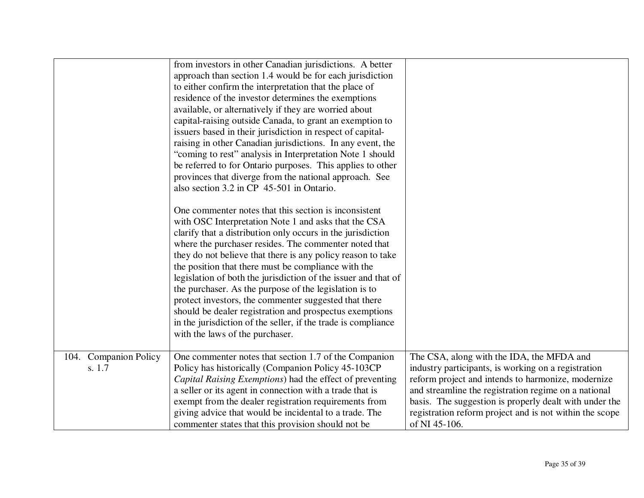|                                 | from investors in other Canadian jurisdictions. A better<br>approach than section 1.4 would be for each jurisdiction<br>to either confirm the interpretation that the place of<br>residence of the investor determines the exemptions<br>available, or alternatively if they are worried about<br>capital-raising outside Canada, to grant an exemption to<br>issuers based in their jurisdiction in respect of capital-<br>raising in other Canadian jurisdictions. In any event, the<br>"coming to rest" analysis in Interpretation Note 1 should<br>be referred to for Ontario purposes. This applies to other<br>provinces that diverge from the national approach. See<br>also section 3.2 in CP 45-501 in Ontario. |                                                                                                                                                                                                                                                                                                                                                      |
|---------------------------------|--------------------------------------------------------------------------------------------------------------------------------------------------------------------------------------------------------------------------------------------------------------------------------------------------------------------------------------------------------------------------------------------------------------------------------------------------------------------------------------------------------------------------------------------------------------------------------------------------------------------------------------------------------------------------------------------------------------------------|------------------------------------------------------------------------------------------------------------------------------------------------------------------------------------------------------------------------------------------------------------------------------------------------------------------------------------------------------|
|                                 | One commenter notes that this section is inconsistent<br>with OSC Interpretation Note 1 and asks that the CSA<br>clarify that a distribution only occurs in the jurisdiction<br>where the purchaser resides. The commenter noted that<br>they do not believe that there is any policy reason to take<br>the position that there must be compliance with the<br>legislation of both the jurisdiction of the issuer and that of<br>the purchaser. As the purpose of the legislation is to<br>protect investors, the commenter suggested that there<br>should be dealer registration and prospectus exemptions<br>in the jurisdiction of the seller, if the trade is compliance<br>with the laws of the purchaser.          |                                                                                                                                                                                                                                                                                                                                                      |
| 104. Companion Policy<br>s. 1.7 | One commenter notes that section 1.7 of the Companion<br>Policy has historically (Companion Policy 45-103CP<br>Capital Raising Exemptions) had the effect of preventing<br>a seller or its agent in connection with a trade that is<br>exempt from the dealer registration requirements from<br>giving advice that would be incidental to a trade. The<br>commenter states that this provision should not be                                                                                                                                                                                                                                                                                                             | The CSA, along with the IDA, the MFDA and<br>industry participants, is working on a registration<br>reform project and intends to harmonize, modernize<br>and streamline the registration regime on a national<br>basis. The suggestion is properly dealt with under the<br>registration reform project and is not within the scope<br>of NI 45-106. |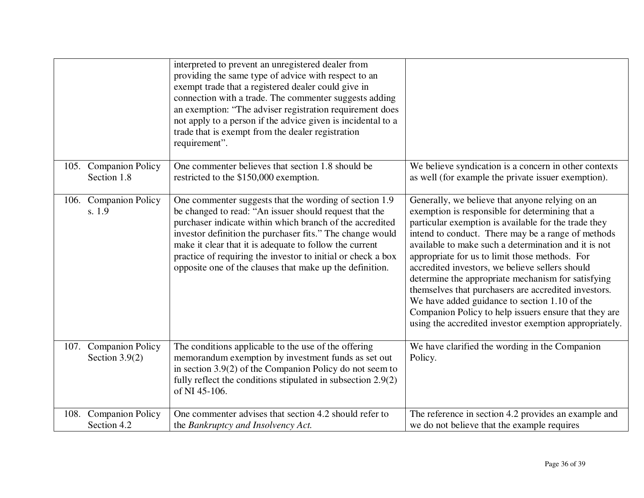|                                           | interpreted to prevent an unregistered dealer from<br>providing the same type of advice with respect to an<br>exempt trade that a registered dealer could give in<br>connection with a trade. The commenter suggests adding<br>an exemption: "The adviser registration requirement does<br>not apply to a person if the advice given is incidental to a<br>trade that is exempt from the dealer registration<br>requirement".    |                                                                                                                                                                                                                                                                                                                                                                                                                                                                                                                                                                                                                                                                 |
|-------------------------------------------|----------------------------------------------------------------------------------------------------------------------------------------------------------------------------------------------------------------------------------------------------------------------------------------------------------------------------------------------------------------------------------------------------------------------------------|-----------------------------------------------------------------------------------------------------------------------------------------------------------------------------------------------------------------------------------------------------------------------------------------------------------------------------------------------------------------------------------------------------------------------------------------------------------------------------------------------------------------------------------------------------------------------------------------------------------------------------------------------------------------|
| 105. Companion Policy<br>Section 1.8      | One commenter believes that section 1.8 should be<br>restricted to the \$150,000 exemption.                                                                                                                                                                                                                                                                                                                                      | We believe syndication is a concern in other contexts<br>as well (for example the private issuer exemption).                                                                                                                                                                                                                                                                                                                                                                                                                                                                                                                                                    |
| 106. Companion Policy<br>s. 1.9           | One commenter suggests that the wording of section 1.9<br>be changed to read: "An issuer should request that the<br>purchaser indicate within which branch of the accredited<br>investor definition the purchaser fits." The change would<br>make it clear that it is adequate to follow the current<br>practice of requiring the investor to initial or check a box<br>opposite one of the clauses that make up the definition. | Generally, we believe that anyone relying on an<br>exemption is responsible for determining that a<br>particular exemption is available for the trade they<br>intend to conduct. There may be a range of methods<br>available to make such a determination and it is not<br>appropriate for us to limit those methods. For<br>accredited investors, we believe sellers should<br>determine the appropriate mechanism for satisfying<br>themselves that purchasers are accredited investors.<br>We have added guidance to section 1.10 of the<br>Companion Policy to help issuers ensure that they are<br>using the accredited investor exemption appropriately. |
| 107. Companion Policy<br>Section $3.9(2)$ | The conditions applicable to the use of the offering<br>memorandum exemption by investment funds as set out<br>in section $3.9(2)$ of the Companion Policy do not seem to<br>fully reflect the conditions stipulated in subsection 2.9(2)<br>of NI 45-106.                                                                                                                                                                       | We have clarified the wording in the Companion<br>Policy.                                                                                                                                                                                                                                                                                                                                                                                                                                                                                                                                                                                                       |
| 108. Companion Policy<br>Section 4.2      | One commenter advises that section 4.2 should refer to<br>the Bankruptcy and Insolvency Act.                                                                                                                                                                                                                                                                                                                                     | The reference in section 4.2 provides an example and<br>we do not believe that the example requires                                                                                                                                                                                                                                                                                                                                                                                                                                                                                                                                                             |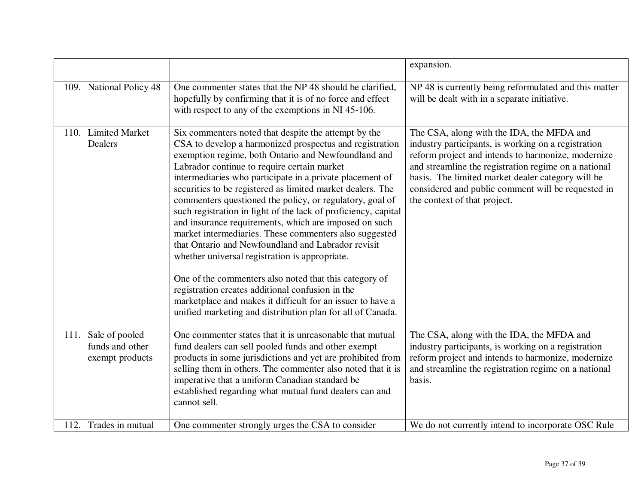|                                                           |                                                                                                                                                                                                                                                                                                                                                                                                                                                                                                                                                                                                                                                                                                                                                                                                                                                                                                                                                    | expansion.                                                                                                                                                                                                                                                                                                                                                |
|-----------------------------------------------------------|----------------------------------------------------------------------------------------------------------------------------------------------------------------------------------------------------------------------------------------------------------------------------------------------------------------------------------------------------------------------------------------------------------------------------------------------------------------------------------------------------------------------------------------------------------------------------------------------------------------------------------------------------------------------------------------------------------------------------------------------------------------------------------------------------------------------------------------------------------------------------------------------------------------------------------------------------|-----------------------------------------------------------------------------------------------------------------------------------------------------------------------------------------------------------------------------------------------------------------------------------------------------------------------------------------------------------|
| 109. National Policy 48                                   | One commenter states that the NP 48 should be clarified,<br>hopefully by confirming that it is of no force and effect<br>with respect to any of the exemptions in NI 45-106.                                                                                                                                                                                                                                                                                                                                                                                                                                                                                                                                                                                                                                                                                                                                                                       | $\overline{\text{NP } 48}$ is currently being reformulated and this matter<br>will be dealt with in a separate initiative.                                                                                                                                                                                                                                |
| 110. Limited Market<br>Dealers                            | Six commenters noted that despite the attempt by the<br>CSA to develop a harmonized prospectus and registration<br>exemption regime, both Ontario and Newfoundland and<br>Labrador continue to require certain market<br>intermediaries who participate in a private placement of<br>securities to be registered as limited market dealers. The<br>commenters questioned the policy, or regulatory, goal of<br>such registration in light of the lack of proficiency, capital<br>and insurance requirements, which are imposed on such<br>market intermediaries. These commenters also suggested<br>that Ontario and Newfoundland and Labrador revisit<br>whether universal registration is appropriate.<br>One of the commenters also noted that this category of<br>registration creates additional confusion in the<br>marketplace and makes it difficult for an issuer to have a<br>unified marketing and distribution plan for all of Canada. | The CSA, along with the IDA, the MFDA and<br>industry participants, is working on a registration<br>reform project and intends to harmonize, modernize<br>and streamline the registration regime on a national<br>basis. The limited market dealer category will be<br>considered and public comment will be requested in<br>the context of that project. |
| 111. Sale of pooled<br>funds and other<br>exempt products | One commenter states that it is unreasonable that mutual<br>fund dealers can sell pooled funds and other exempt<br>products in some jurisdictions and yet are prohibited from<br>selling them in others. The commenter also noted that it is<br>imperative that a uniform Canadian standard be<br>established regarding what mutual fund dealers can and<br>cannot sell.                                                                                                                                                                                                                                                                                                                                                                                                                                                                                                                                                                           | The CSA, along with the IDA, the MFDA and<br>industry participants, is working on a registration<br>reform project and intends to harmonize, modernize<br>and streamline the registration regime on a national<br>basis.                                                                                                                                  |
| 112. Trades in mutual                                     | One commenter strongly urges the CSA to consider                                                                                                                                                                                                                                                                                                                                                                                                                                                                                                                                                                                                                                                                                                                                                                                                                                                                                                   | We do not currently intend to incorporate OSC Rule                                                                                                                                                                                                                                                                                                        |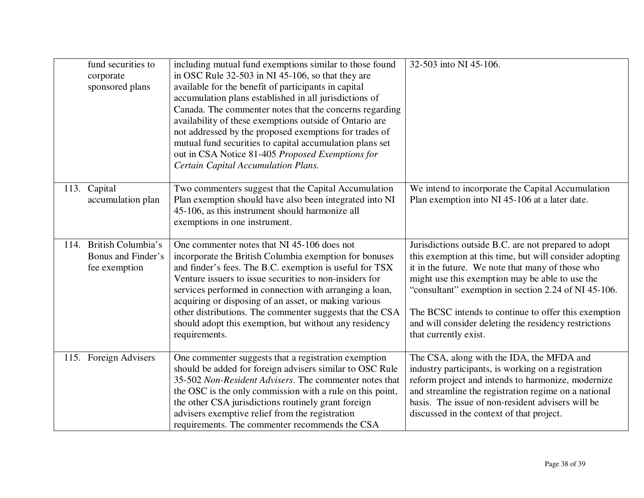|      | fund securities to<br>corporate<br>sponsored plans             | including mutual fund exemptions similar to those found<br>in OSC Rule 32-503 in NI 45-106, so that they are<br>available for the benefit of participants in capital<br>accumulation plans established in all jurisdictions of<br>Canada. The commenter notes that the concerns regarding<br>availability of these exemptions outside of Ontario are<br>not addressed by the proposed exemptions for trades of<br>mutual fund securities to capital accumulation plans set<br>out in CSA Notice 81-405 Proposed Exemptions for<br>Certain Capital Accumulation Plans. | 32-503 into NI 45-106.                                                                                                                                                                                                                                                                                                                                                                                                   |
|------|----------------------------------------------------------------|-----------------------------------------------------------------------------------------------------------------------------------------------------------------------------------------------------------------------------------------------------------------------------------------------------------------------------------------------------------------------------------------------------------------------------------------------------------------------------------------------------------------------------------------------------------------------|--------------------------------------------------------------------------------------------------------------------------------------------------------------------------------------------------------------------------------------------------------------------------------------------------------------------------------------------------------------------------------------------------------------------------|
| 113. | Capital<br>accumulation plan                                   | Two commenters suggest that the Capital Accumulation<br>Plan exemption should have also been integrated into NI<br>45-106, as this instrument should harmonize all<br>exemptions in one instrument.                                                                                                                                                                                                                                                                                                                                                                   | We intend to incorporate the Capital Accumulation<br>Plan exemption into NI 45-106 at a later date.                                                                                                                                                                                                                                                                                                                      |
|      | 114. British Columbia's<br>Bonus and Finder's<br>fee exemption | One commenter notes that NI 45-106 does not<br>incorporate the British Columbia exemption for bonuses<br>and finder's fees. The B.C. exemption is useful for TSX<br>Venture issuers to issue securities to non-insiders for<br>services performed in connection with arranging a loan,<br>acquiring or disposing of an asset, or making various<br>other distributions. The commenter suggests that the CSA<br>should adopt this exemption, but without any residency<br>requirements.                                                                                | Jurisdictions outside B.C. are not prepared to adopt<br>this exemption at this time, but will consider adopting<br>it in the future. We note that many of those who<br>might use this exemption may be able to use the<br>"consultant" exemption in section 2.24 of NI 45-106.<br>The BCSC intends to continue to offer this exemption<br>and will consider deleting the residency restrictions<br>that currently exist. |
|      | 115. Foreign Advisers                                          | One commenter suggests that a registration exemption<br>should be added for foreign advisers similar to OSC Rule<br>35-502 Non-Resident Advisers. The commenter notes that<br>the OSC is the only commission with a rule on this point,<br>the other CSA jurisdictions routinely grant foreign<br>advisers exemptive relief from the registration<br>requirements. The commenter recommends the CSA                                                                                                                                                                   | The CSA, along with the IDA, the MFDA and<br>industry participants, is working on a registration<br>reform project and intends to harmonize, modernize<br>and streamline the registration regime on a national<br>basis. The issue of non-resident advisers will be<br>discussed in the context of that project.                                                                                                         |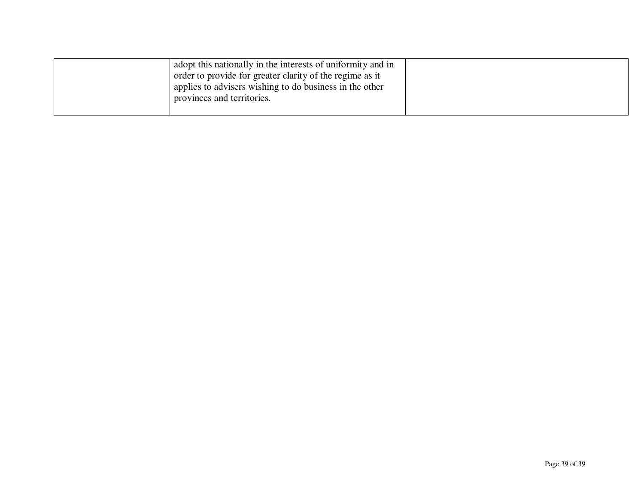| adopt this nationally in the interests of uniformity and in |  |
|-------------------------------------------------------------|--|
| order to provide for greater clarity of the regime as it    |  |
| applies to advisers wishing to do business in the other     |  |
| provinces and territories.                                  |  |
|                                                             |  |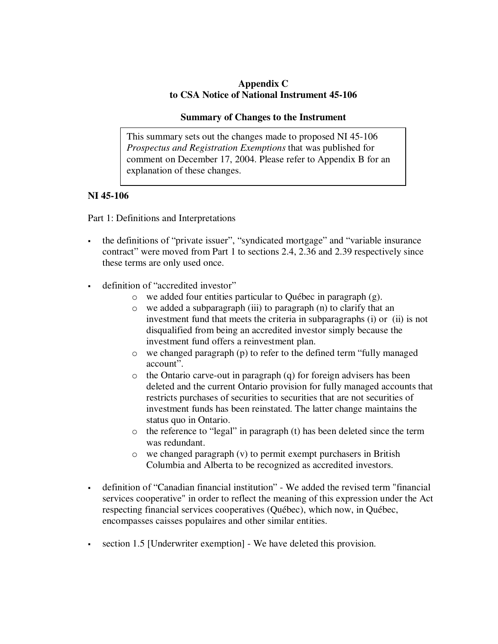## **Appendix C to CSA Notice of National Instrument 45-106**

#### **Summary of Changes to the Instrument**

This summary sets out the changes made to proposed NI 45-106 *Prospectus and Registration Exemptions* that was published for comment on December 17, 2004. Please refer to Appendix B for an explanation of these changes.

## **NI 45-106**

Part 1: Definitions and Interpretations

- the definitions of "private issuer", "syndicated mortgage" and "variable insurance contract" were moved from Part 1 to sections 2.4, 2.36 and 2.39 respectively since these terms are only used once.
- definition of "accredited investor"
	- o we added four entities particular to Québec in paragraph (g).
	- o we added a subparagraph (iii) to paragraph (n) to clarify that an investment fund that meets the criteria in subparagraphs (i) or (ii) is not disqualified from being an accredited investor simply because the investment fund offers a reinvestment plan.
	- o we changed paragraph (p) to refer to the defined term "fully managed account".
	- o the Ontario carve-out in paragraph (q) for foreign advisers has been deleted and the current Ontario provision for fully managed accounts that restricts purchases of securities to securities that are not securities of investment funds has been reinstated. The latter change maintains the status quo in Ontario.
	- o the reference to "legal" in paragraph (t) has been deleted since the term was redundant.
	- o we changed paragraph (v) to permit exempt purchasers in British Columbia and Alberta to be recognized as accredited investors.
- definition of "Canadian financial institution" We added the revised term "financial services cooperative" in order to reflect the meaning of this expression under the Act respecting financial services cooperatives (Québec), which now, in Québec, encompasses caisses populaires and other similar entities.
- section 1.5 [Underwriter exemption] We have deleted this provision.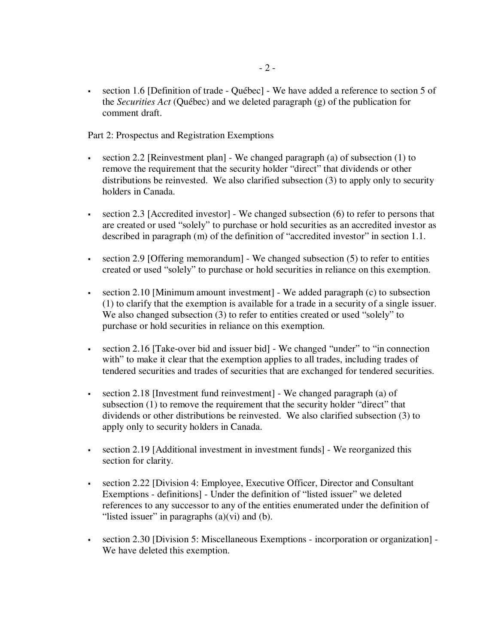section 1.6 [Definition of trade - Québec] - We have added a reference to section 5 of the *Securities Act* (Québec) and we deleted paragraph (g) of the publication for comment draft.

Part 2: Prospectus and Registration Exemptions

- section 2.2 [Reinvestment plan] We changed paragraph (a) of subsection (1) to remove the requirement that the security holder "direct" that dividends or other distributions be reinvested. We also clarified subsection (3) to apply only to security holders in Canada.
- section 2.3 [Accredited investor] We changed subsection (6) to refer to persons that are created or used "solely" to purchase or hold securities as an accredited investor as described in paragraph (m) of the definition of "accredited investor" in section 1.1.
- section 2.9 [Offering memorandum] We changed subsection  $(5)$  to refer to entities created or used "solely" to purchase or hold securities in reliance on this exemption.
- section 2.10 [Minimum amount investment] We added paragraph (c) to subsection (1) to clarify that the exemption is available for a trade in a security of a single issuer. We also changed subsection (3) to refer to entities created or used "solely" to purchase or hold securities in reliance on this exemption.
- section 2.16 [Take-over bid and issuer bid] We changed "under" to "in connection with" to make it clear that the exemption applies to all trades, including trades of tendered securities and trades of securities that are exchanged for tendered securities.
- section 2.18 [Investment fund reinvestment] We changed paragraph (a) of subsection (1) to remove the requirement that the security holder "direct" that dividends or other distributions be reinvested. We also clarified subsection (3) to apply only to security holders in Canada.
- section 2.19 [Additional investment in investment funds] We reorganized this section for clarity.
- section 2.22 [Division 4: Employee, Executive Officer, Director and Consultant Exemptions - definitions] - Under the definition of "listed issuer" we deleted references to any successor to any of the entities enumerated under the definition of "listed issuer" in paragraphs  $(a)(vi)$  and  $(b)$ .
- section 2.30 [Division 5: Miscellaneous Exemptions incorporation or organization] We have deleted this exemption.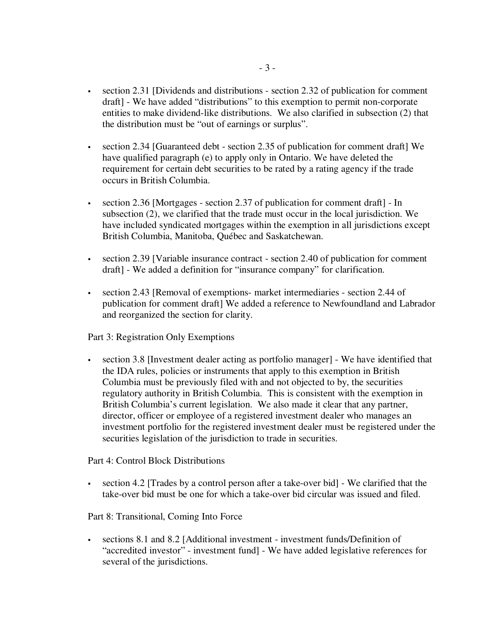- section 2.31 [Dividends and distributions section 2.32 of publication for comment draft] - We have added "distributions" to this exemption to permit non-corporate entities to make dividend-like distributions. We also clarified in subsection (2) that the distribution must be "out of earnings or surplus".
- section 2.34 [Guaranteed debt section 2.35 of publication for comment draft] We have qualified paragraph (e) to apply only in Ontario. We have deleted the requirement for certain debt securities to be rated by a rating agency if the trade occurs in British Columbia.
- section 2.36 [Mortgages section 2.37 of publication for comment draft] In subsection (2), we clarified that the trade must occur in the local jurisdiction. We have included syndicated mortgages within the exemption in all jurisdictions except British Columbia, Manitoba, Québec and Saskatchewan.
- section 2.39 [Variable insurance contract section 2.40 of publication for comment draft] - We added a definition for "insurance company" for clarification.
- section 2.43 [Removal of exemptions- market intermediaries section 2.44 of publication for comment draft] We added a reference to Newfoundland and Labrador and reorganized the section for clarity.

Part 3: Registration Only Exemptions

 section 3.8 [Investment dealer acting as portfolio manager] - We have identified that the IDA rules, policies or instruments that apply to this exemption in British Columbia must be previously filed with and not objected to by, the securities regulatory authority in British Columbia. This is consistent with the exemption in British Columbia's current legislation. We also made it clear that any partner, director, officer or employee of a registered investment dealer who manages an investment portfolio for the registered investment dealer must be registered under the securities legislation of the jurisdiction to trade in securities.

Part 4: Control Block Distributions

 section 4.2 [Trades by a control person after a take-over bid] - We clarified that the take-over bid must be one for which a take-over bid circular was issued and filed.

Part 8: Transitional, Coming Into Force

 sections 8.1 and 8.2 [Additional investment - investment funds/Definition of "accredited investor" - investment fund] - We have added legislative references for several of the jurisdictions.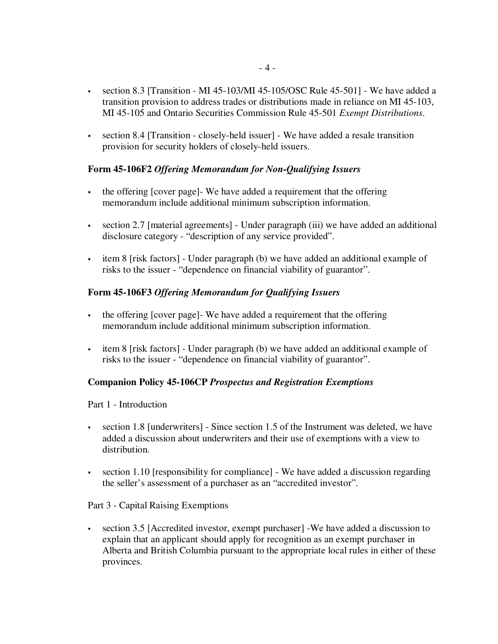- section 8.3 [Transition MI 45-103/MI 45-105/OSC Rule 45-501] We have added a transition provision to address trades or distributions made in reliance on MI 45-103, MI 45-105 and Ontario Securities Commission Rule 45-501 *Exempt Distributions*.
- section 8.4 [Transition closely-held issuer] We have added a resale transition provision for security holders of closely-held issuers.

## **Form 45-106F2** *Offering Memorandum for Non-Qualifying Issuers*

- the offering [cover page]- We have added a requirement that the offering memorandum include additional minimum subscription information.
- section 2.7 [material agreements] Under paragraph (iii) we have added an additional disclosure category - "description of any service provided".
- item 8 [risk factors] Under paragraph (b) we have added an additional example of risks to the issuer - "dependence on financial viability of guarantor".

### **Form 45-106F3** *Offering Memorandum for Qualifying Issuers*

- the offering [cover page]- We have added a requirement that the offering memorandum include additional minimum subscription information.
- item 8 [risk factors] Under paragraph (b) we have added an additional example of risks to the issuer - "dependence on financial viability of guarantor".

### **Companion Policy 45-106CP** *Prospectus and Registration Exemptions*

#### Part 1 - Introduction

- section 1.8 [underwriters] Since section 1.5 of the Instrument was deleted, we have added a discussion about underwriters and their use of exemptions with a view to distribution.
- section 1.10 [responsibility for compliance] We have added a discussion regarding the seller's assessment of a purchaser as an "accredited investor".

#### Part 3 - Capital Raising Exemptions

 section 3.5 [Accredited investor, exempt purchaser] -We have added a discussion to explain that an applicant should apply for recognition as an exempt purchaser in Alberta and British Columbia pursuant to the appropriate local rules in either of these provinces.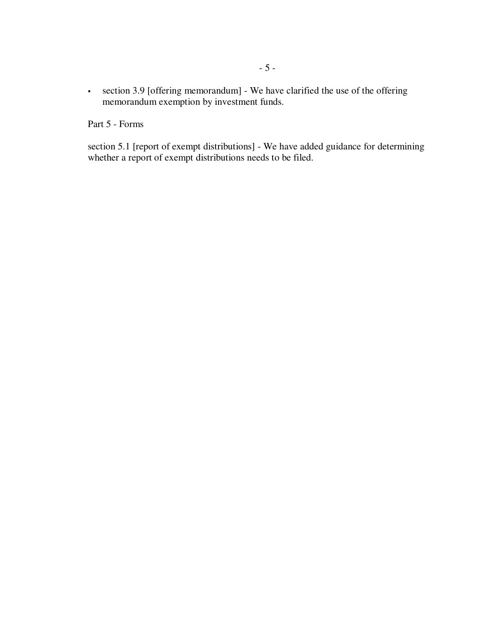section 3.9 [offering memorandum] - We have clarified the use of the offering memorandum exemption by investment funds.

Part 5 - Forms

section 5.1 [report of exempt distributions] - We have added guidance for determining whether a report of exempt distributions needs to be filed.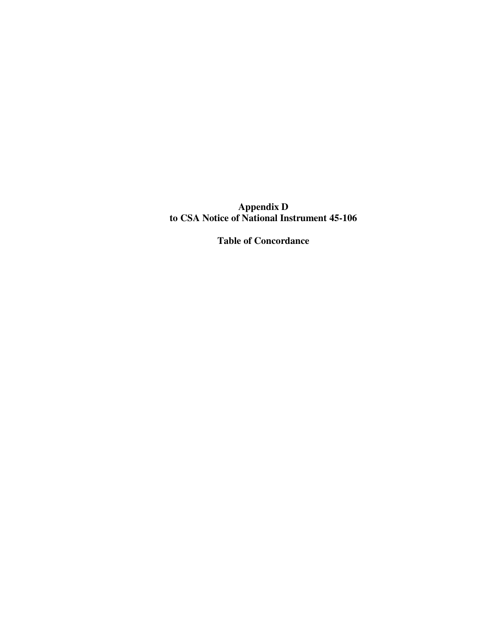**Appendix D to CSA Notice of National Instrument 45-106**

**Table of Concordance**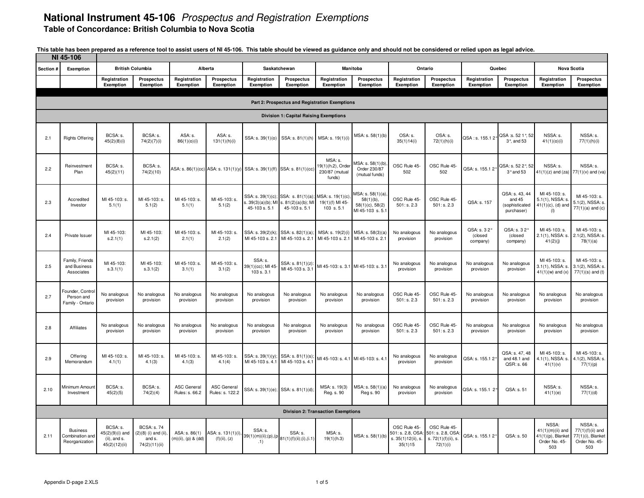|           | NI 45-106                                            |                                                                 |                                                                      |                                      |                                                                        |                                           |                                                                                   |                                                         |                                                                              |                                                                    |                                                                      |                                     |                                                          |                                                                          |                                                                             |
|-----------|------------------------------------------------------|-----------------------------------------------------------------|----------------------------------------------------------------------|--------------------------------------|------------------------------------------------------------------------|-------------------------------------------|-----------------------------------------------------------------------------------|---------------------------------------------------------|------------------------------------------------------------------------------|--------------------------------------------------------------------|----------------------------------------------------------------------|-------------------------------------|----------------------------------------------------------|--------------------------------------------------------------------------|-----------------------------------------------------------------------------|
| Section # | Exemption                                            |                                                                 | <b>British Columbia</b>                                              |                                      | Alberta                                                                |                                           | Saskatchewan                                                                      |                                                         | <b>Manitoba</b>                                                              | Ontario                                                            |                                                                      |                                     | Quebec                                                   |                                                                          | <b>Nova Scotia</b>                                                          |
|           |                                                      | Registration<br>Exemption                                       | Prospectus<br>Exemption                                              | Registration<br>Exemption            | Prospectus<br>Exemption                                                | Registration<br>Exemption                 | <b>Prospectus</b><br>Exemption                                                    | Registration<br>Exemption                               | <b>Prospectus</b><br>Exemption                                               | Registration<br>Exemption                                          | <b>Prospectus</b><br>Exemption                                       | Registration<br>Exemption           | Prospectus<br>Exemption                                  | Registration<br>Exemption                                                | <b>Prospectus</b><br>Exemption                                              |
|           |                                                      |                                                                 |                                                                      |                                      |                                                                        |                                           | Part 2: Prospectus and Registration Exemptions                                    |                                                         |                                                                              |                                                                    |                                                                      |                                     |                                                          |                                                                          |                                                                             |
|           |                                                      |                                                                 |                                                                      |                                      |                                                                        |                                           | <b>Division 1: Capital Raising Exemptions</b>                                     |                                                         |                                                                              |                                                                    |                                                                      |                                     |                                                          |                                                                          |                                                                             |
| 2.1       | <b>Rights Offering</b>                               | BCSA: s.<br>45(2)(8)(i)                                         | BCSA: s.<br>74(2)(7)(i)                                              | ASA: s.<br>86(1)(o)(i)               | ASA: s.<br>131(1)(h)(i)                                                | SSA: s. 39(1)(0)                          | SSA: s. 81(1)(h)                                                                  | MSA: s. 19(1)(i)                                        | MSA: s. 58(1)(b)                                                             | OSA: s.<br>35(1)14(i)                                              | OSA: s.<br>72(1)(h)(i)                                               | QSA: s. 155.1 2°                    | QSA :s. 52 1°, 52<br>3°, and 53                          | NSSA: s.<br>41(1)(0)(i)                                                  | NSSA: s.<br>77(1)(h)(i)                                                     |
| 2.2       | Reinvestment<br>Plan                                 | BCSA: s.<br>45(2)(11)                                           | BCSA: s.<br>74(2)(10)                                                |                                      | ASA: s. 86(1)(cc) ASA: s. 131(1)(y) SSA: s. 39(1)(ff) SSA: s. 81(1)(cc |                                           |                                                                                   | MSA: s.<br>19(1)(h.2), Orde<br>230/87 (mutual<br>funds) | ASA: s. 58(1)(b)<br>Order 230/87<br>(mutual funds)                           | OSC Rule 45-<br>502                                                | OSC Rule 45-<br>502                                                  | QSA: s. 155.1 2°                    | QSA: s. 52 2°, 52<br>$3°$ and 53                         | NSSA: s.<br>$41(1)(z)$ and $(za)$                                        | NSSA: s.<br>$77(1)(v)$ and (va)                                             |
| 2.3       | Accredited<br>Investor                               | MI 45-103: s.<br>5.1(1)                                         | MI 45-103: s.<br>5.1(2)                                              | MI 45-103: s.<br>5.1(1)              | MI 45-103: s.<br>5.1(2)                                                | SSA: s. 39(1)(c);<br>45-103 s. 5.1        | SSA: s. 81(1)(a);<br>$s. 39(3)(a)(b)$ ; MI s. $81(2)(a)(b)$ ; MI<br>45-103 s. 5.1 | MSA: s. 19(1)(c)<br>19(1)(f) MI 45-<br>103 s.5.1        | MSA: s. 58(1)(a).<br>$58(1)(b)$ ,<br>$58(1)(c)$ , $58(2)$<br>MI 45-103 s.5.1 | OSC Rule 45-<br>501: s. 2.3                                        | OSC Rule 45-<br>501: s. 2.3                                          | QSA: s. 157                         | QSA: s. 43, 44<br>and 45<br>(sophisticated<br>purchaser) | MI 45-103: s.<br>$5.1(1)$ , NSSA: s<br>$41(1)(c)$ , (d) and<br>(1)       | MI 45-103: s.<br>5.1(2), NSSA: s.<br>$77(1)(a)$ and $(c)$                   |
| 2.4       | Private Issuer                                       | MI 45-103:<br>S.2.1(1)                                          | MI 45-103:<br>s.2.1(2)                                               | MI 45-103: s.<br>2.1(1)              | MI 45-103: s.<br>2.1(2)                                                | SSA: s. 39(2)(k)<br>MI 45-103 s. 2.1      | SSA: s. 82(1)(a):<br>MI 45-103 s. 2.1                                             | MSA: s. 19(2)(i)<br>MI 45-103 s. 2.1                    | MSA: s. 58(3)(a)<br>MI 45-103 s. 2.1                                         | No analogous<br>provision                                          | No analogous<br>provision                                            | QSA: s. 3 2°<br>(closed<br>company) | QSA: s. 3 2°<br>(closed<br>company)                      | MI 45-103: s.<br>2.1(1), NSSA: s.<br>41(2)(j)                            | MI 45-103: s.<br>2.1(2), NSSA: s.<br>78(1)(a)                               |
| 2.5       | Family, Friends<br>and Business<br>Associates        | MI 45-103:<br>S.3.1(1)                                          | MI 45-103:<br>s.3.1(2)                                               | MI 45-103: s.<br>3.1(1)              | MI 45-103: s.<br>3.1(2)                                                | SSA: s.<br>39(1)(cc); MI 45<br>103 s. 3.1 | SSA: s. 81(1)(z):<br>MI 45-103 s. 3.1                                             | MI 45-103: s. 3.1 MI 45-103: s. 3.1                     |                                                                              | No analogous<br>provision                                          | No analogous<br>provision                                            | No analogous<br>provision           | No analogous<br>provision                                | MI 45-103: s.<br>$3.1(1)$ , NSSA: s.<br>$41(1)(w)$ and $(x)$             | MI 45-103: s.<br>3.1(2), NSSA: s.<br>$77(1)(s)$ and (t)                     |
| 2.7       | Founder, Control<br>Person and<br>Family - Ontario   | No analogous<br>provision                                       | No analogous<br>provision                                            | No analogous<br>provision            | No analogous<br>provision                                              | No analogous<br>provision                 | No analogous<br>provision                                                         | No analogous<br>provision                               | No analogous<br>provision                                                    | OSC Rule 45-<br>501: s. 2.3                                        | OSC Rule 45-<br>501: s. 2.3                                          | No analogous<br>provision           | No analogous<br>provision                                | No analogous<br>provision                                                | No analogous<br>provision                                                   |
| 2.8       | Affiliates                                           | No analogous<br>provision                                       | No analogous<br>provision                                            | No analogous<br>provision            | No analogous<br>provision                                              | No analogous<br>provision                 | No analogous<br>provision                                                         | No analogous<br>provision                               | No analogous<br>provision                                                    | OSC Rule 45<br>501: s. 2.3                                         | OSC Rule 45-<br>501: s. 2.3                                          | No analogous<br>provision           | No analogous<br>provision                                | No analogous<br>provision                                                | No analogous<br>provision                                                   |
| 2.9       | Offering<br>Memorandum                               | MI 45-103: s.<br>4.1(1)                                         | MI 45-103: s.<br>4.1(3)                                              | MI 45-103: s.<br>4.1(3)              | MI 45-103: s.<br>4.1(4)                                                | SSA: s. 39(1)(y)<br>MI 45-103 s. 4.1      | SSA: s. 81(1)(s)<br>MI 45-103 s. 4.1                                              | MI 45-103: s. 4.1 MI 45-103: s. 4.1                     |                                                                              | No analogous<br>provision                                          | No analogous<br>provision                                            | QSA: s. 155.1 2                     | QSA: s. 47, 48<br>and 48.1 and<br>QSR: s. 66             | MI 45-103: s.<br>4.1(1), NSSA: s.<br>41(1)(v)                            | MI 45-103: s.<br>4.1(2), NSSA: s.<br>77(1)(p)                               |
| 2.10      | Minimum Amount<br>Investment                         | BCSA: s.<br>45(2)(5)                                            | BCSA: s.<br>74(2)(4)                                                 | <b>ASC General</b><br>Rules: s. 66.2 | <b>ASC General</b><br>Rules: s. 122.2                                  |                                           | SSA: s. 39(1)(e); SSA: s. 81(1)(d);                                               | MSA: s. 19(3)<br>Reg. s. 90                             | MSA: s. 58(1)(a)<br>Reg s. 90                                                | No analogous<br>provision                                          | No analogous<br>provision                                            | QSA: s. 155.1 2°                    | QSA: s. 51                                               | NSSA: s.<br>41(1)(e)                                                     | NSSA: s<br>77(1)(d)                                                         |
|           |                                                      |                                                                 |                                                                      |                                      |                                                                        |                                           |                                                                                   | <b>Division 2: Transaction Exemptions</b>               |                                                                              |                                                                    |                                                                      |                                     |                                                          |                                                                          |                                                                             |
| 2.11      | <b>Business</b><br>Combination and<br>Reorganization | BCSA: s.<br>45(2)(9)(i) and<br>$(ii)$ , and s.<br>45(2)(12)(ii) | <b>BCSA: s.74</b><br>(2)(8) (i) and (ii),<br>and s.<br>74(2)(11)(ii) | ASA: s. 86(1)<br>(m)(ii), (p) & (dd) | ASA: s. 131(1)(i)<br>(f)(ii), (z)                                      | SSA: s.<br>39(1)(m)(ii);(p),(p<br>.1)     | SSA: s.<br>81(1)(f)(ii);(i),(i.1)                                                 | MSA: s.<br>19(1)(h.3)                                   | MSA: s. 58(1)(b)                                                             | OSC Rule 45-<br>501: s. 2.8, OSA:<br>s. 35(1)12(ii), s.<br>35(1)15 | OSC Rule 45-<br>501: s. 2.8, OSA:<br>s. 72(1)(f)(ii), s.<br>72(1)(i) | QSA: s. 155.12                      | QSA: s. 50                                               | NSSA:<br>$41(1)(m)(ii)$ and<br>41(1)(p), Blanket<br>Order No. 45-<br>503 | NSSA: s.<br>$77(1)(f)(ii)$ and<br>77(1)(i), Blanket<br>Order No. 45-<br>503 |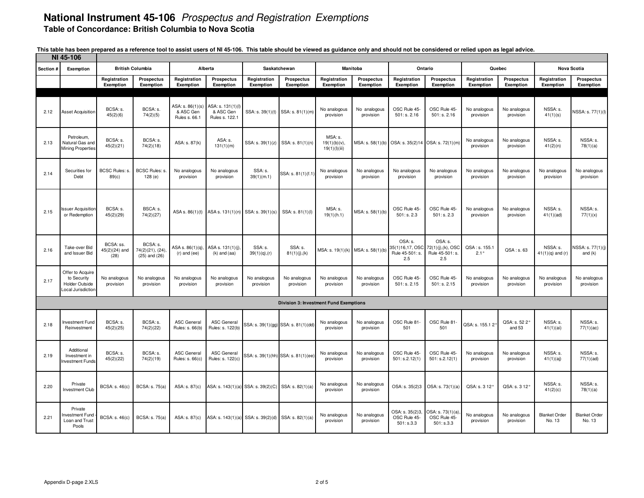|                | NI 45-106                                                                      |                                      |                                                  |                                                       |                                                  |                                                     |                                               |                                          |                                |                                                      |                                                        |                           |                                |                                |                                |
|----------------|--------------------------------------------------------------------------------|--------------------------------------|--------------------------------------------------|-------------------------------------------------------|--------------------------------------------------|-----------------------------------------------------|-----------------------------------------------|------------------------------------------|--------------------------------|------------------------------------------------------|--------------------------------------------------------|---------------------------|--------------------------------|--------------------------------|--------------------------------|
| <b>Section</b> | Exemption                                                                      |                                      | <b>British Columbia</b>                          |                                                       | Alberta                                          |                                                     | Saskatchewan                                  |                                          | Manitoba                       |                                                      | Ontario                                                |                           | Quebec                         |                                | <b>Nova Scotia</b>             |
|                |                                                                                | Registration<br>Exemption            | <b>Prospectus</b><br>Exemption                   | Registration<br>Exemption                             | Prospectus<br>Exemption                          | Registration<br>Exemption                           | Prospectus<br>Exemption                       | Registration<br>Exemption                | <b>Prospectus</b><br>Exemption | Registration<br>Exemption                            | Prospectus<br>Exemption                                | Registration<br>Exemption | <b>Prospectus</b><br>Exemption | Registration<br>Exemption      | <b>Prospectus</b><br>Exemption |
|                |                                                                                |                                      |                                                  |                                                       |                                                  |                                                     |                                               |                                          |                                |                                                      |                                                        |                           |                                |                                |                                |
| 2.12           | Asset Acquisition                                                              | BCSA: s.<br>45(2)(6)                 | BCSA: s.<br>74(2)(5)                             | ASA: s. 86(1)(s)<br>& ASC Gen<br><b>Rules s. 66.1</b> | ASA: s. 131(1)(l)<br>& ASC Gen<br>Rules s. 122.1 |                                                     | SSA: s. 39(1)(t) SSA: s. 81(1)(m)             | No analogous<br>provision                | No analogous<br>provision      | OSC Rule 45-<br>501: s. 2.16                         | OSC Rule 45-<br>501: s. 2.16                           | No analogous<br>provision | No analogous<br>provision      | NSSA: s.<br>41(1)(s)           | NSSA: s. 77(1)(l)              |
| 2.13           | Petroleum,<br>Natural Gas and<br><b>Mining Properties</b>                      | BCSA: s.<br>45(2)(21)                | BCSA: s.<br>74(2)(18)                            | ASA: s. 87(k)                                         | ASA: s.<br>131(1)(m)                             | SSA: s. 39(1)(z)                                    | SSA: s. 81(1)(n)                              | MSA: s.<br>19(1)(b)(v),<br>19(1)(1)(iii) | MSA: s. 58(1)(b)               | OSA: s. 35(2)14                                      | OSA: s. 72(1)(m)                                       | No analogous<br>provision | No analogous<br>provision      | NSSA: s.<br>41(2)(n)           | NSSA: s.<br>78(1)(a)           |
| 2.14           | Securities for<br>Debt                                                         | BCSC Rules: s.<br>89(c)              | BCSC Rules: s.<br>128(e)                         | No analogous<br>provision                             | No analogous<br>provision                        | SSA: s.<br>39(1)(m.1)                               | SSA: s. 81(1)(f.1                             | No analogous<br>provision                | No analogous<br>provision      | No analogous<br>provision                            | No analogous<br>provision                              | No analogous<br>provision | No analogous<br>provision      | No analogous<br>provision      | No analogous<br>provision      |
| 2.15           | <b>Issuer Acquisition</b><br>or Redemption                                     | BCSA: s.<br>45(2)(29)                | BSCA: s.<br>74(2)(27)                            | ASA s. 86(1)(t)                                       | ASA s. 131(1)(n) SSA: s. 39(1)(s)                |                                                     | SSA: s. 81(1)(l)                              | MSA: s.<br>19(1)(h.1)                    | MSA: s. 58(1)(b)               | OSC Rule 45-<br>501: s. 2.3                          | OSC Rule 45-<br>501: s. 2.3                            | No analogous<br>provision | No analogous<br>provision      | NSSA: s.<br>41(1)(ad)          | NSSA: s.<br>77(1)(x)           |
| 2.16           | Take-over Bid<br>and Issuer Bid                                                | BCSA: ss.<br>$45(2)(24)$ and<br>(28) | BCSA: s.<br>74(2)(21), (24)<br>$(25)$ and $(26)$ | ASA s. 86(1)(q),<br>$(r)$ and $(ee)$                  | ASA s. 131(1)(j),<br>$(k)$ and $(aa)$            | SSA: s.<br>$39(1)(q)$ , (r)                         | SSA: s.<br>81(1)(i), (k)                      | MSA: s. 19(1)(k) MSA: s. 58(1)(b         |                                | OSA: s.<br>35(1)16,17, OSC<br>Rule 45-501: s.<br>2.5 | OSA: s.<br>72(1)(j),(k), OSC<br>Rule 45-501: s.<br>2.5 | QSA: s. 155.1<br>2.1°     | QSA: s. 63                     | NSSA: s.<br>$41(1)(q)$ and (r) | NSSA: s. 77(1)(j)<br>and $(k)$ |
| 2.17           | Offer to Acquire<br>to Security<br><b>Holder Outside</b><br>Local Jurisdiction | No analogous<br>provision            | No analogous<br>provision                        | No analogous<br>provision                             | No analogous<br>provision                        | No analogous<br>provision                           | No analogous<br>provision                     | No analogous<br>provision                | No analogous<br>provision      | OSC Rule 45-<br>501: s. 2.15                         | OSC Rule 45-<br>501: s. 2.15                           | No analogous<br>provision | No analogous<br>provision      | No analogous<br>provision      | No analogous<br>provision      |
|                |                                                                                |                                      |                                                  |                                                       |                                                  |                                                     | <b>Division 3: Investment Fund Exemptions</b> |                                          |                                |                                                      |                                                        |                           |                                |                                |                                |
| 2.18           | Investment Fund<br>Reinvestment                                                | BCSA: s.<br>45(2)(25)                | BCSA: s.<br>74(2)(22)                            | <b>ASC General</b><br>Rules: s. 66(b)                 | <b>ASC General</b><br>Rules: s. 122(b)           |                                                     | SSA: s. 39(1)(gg) SSA: s. 81(1)(dd)           | No analogous<br>provision                | No analogous<br>provision      | OSC Rule 81-<br>501                                  | OSC Rule 81<br>501                                     | QSA: s. 155.12            | QSA: s. 522°<br>and 53         | NSSA: s.<br>41(1)(ai)          | NSSA: s.<br>77(1)(ac)          |
| 2.19           | Additional<br>Investment in<br>nvestment Funds                                 | BCSA: s.<br>45(2)(22)                | BCSA: s.<br>74(2)(19)                            | <b>ASC General</b><br>Rules: s. 66(c)                 | <b>ASC General</b><br>Rules: s. 122(c)           |                                                     | SSA: s. 39(1)(hh) SSA: s. 81(1)(ee            | No analogous<br>provision                | No analogous<br>provision      | OSC Rule 45-<br>501: s.2.12(1)                       | OSC Rule 45-<br>501: s.2.12(1)                         | No analogous<br>provision | No analogous<br>provision      | NSSA: s.<br>41(1)(aj)          | NSSA: s.<br>77(1)(ad)          |
| 2.20           | Private<br><b>Investment Club</b>                                              | <b>BCSA: s. 46(c)</b>                | BCSA: s. 75(a)                                   | ASA: s. 87(c)                                         |                                                  | ASA: s. 143(1)(a) SSA: s. 39(2)(C)                  | SSA: s. 82(1)(a)                              | No analogous<br>provision                | No analogous<br>provision      | OSA: s. 35(2)3                                       | OSA: s. 73(1)(a)                                       | QSA: s. 3 12°             | QSA: s. 3 12°                  | NSSA: s.<br>41(2)(c)           | NSSA: s.<br>78(1)(a)           |
| 2.21           | Private<br>nvestment Fund<br>Loan and Trust<br>Pools                           | <b>BCSA: s. 46(c)</b>                | BCSA: s. 75(a)                                   | ASA: s. 87(c)                                         |                                                  | ASA: s. 143(1)(a) SSA: s. 39(2)(d) SSA: s. 82(1)(a) |                                               | No analogous<br>provision                | No analogous<br>provision      | OSA: s. 35(2)3<br>OSC Rule 45-<br>501: s.3.3         | OSA: s. 73(1)(a)<br>OSC Rule 45-<br>501: s.3.3         | No analogous<br>provision | No analogous<br>provision      | <b>Blanket Order</b><br>No. 13 | <b>Blanket Order</b><br>No. 13 |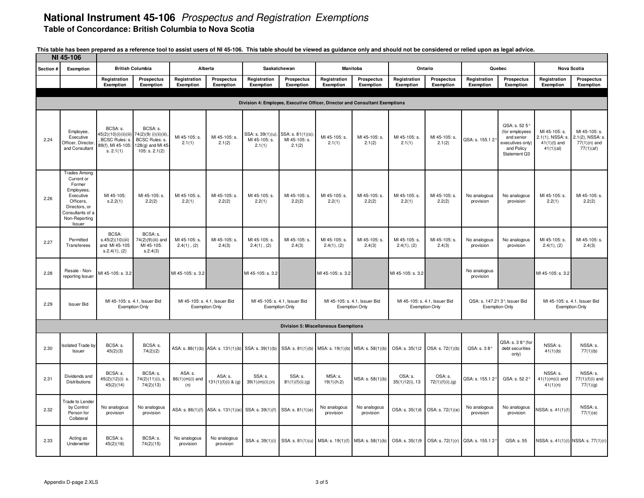|           | NI 45-106                                                                                                                                           |                                                                                     |                                                                                           |                                     |                                                        |                                                                                                        |                                                                |                                             |                                                        |                              |                                                        |                           |                                                                                                 |                                                                  |                                                                  |
|-----------|-----------------------------------------------------------------------------------------------------------------------------------------------------|-------------------------------------------------------------------------------------|-------------------------------------------------------------------------------------------|-------------------------------------|--------------------------------------------------------|--------------------------------------------------------------------------------------------------------|----------------------------------------------------------------|---------------------------------------------|--------------------------------------------------------|------------------------------|--------------------------------------------------------|---------------------------|-------------------------------------------------------------------------------------------------|------------------------------------------------------------------|------------------------------------------------------------------|
| Section # | Exemption                                                                                                                                           |                                                                                     | <b>British Columbia</b>                                                                   |                                     | Alberta                                                | Saskatchewan                                                                                           |                                                                |                                             | Manitoba                                               |                              | Ontario                                                |                           | Quebec                                                                                          |                                                                  | <b>Nova Scotia</b>                                               |
|           |                                                                                                                                                     | Registration<br>Exemption                                                           | Prospectus<br>Exemption                                                                   | Registration<br>Exemption           | <b>Prospectus</b><br>Exemption                         | Registration<br>Exemption                                                                              | <b>Prospectus</b><br>Exemption                                 | Registration<br>Exemption                   | <b>Prospectus</b><br>Exemption                         | Registration<br>Exemption    | Prospectus<br>Exemption                                | Registration<br>Exemption | Prospectus<br>Exemption                                                                         | Registration<br>Exemption                                        | Prospectus<br>Exemption                                          |
|           |                                                                                                                                                     |                                                                                     |                                                                                           |                                     |                                                        |                                                                                                        |                                                                |                                             |                                                        |                              |                                                        |                           |                                                                                                 |                                                                  |                                                                  |
|           |                                                                                                                                                     |                                                                                     |                                                                                           |                                     |                                                        | Division 4: Employee, Executive Officer, Director and Consultant Exemptions                            |                                                                |                                             |                                                        |                              |                                                        |                           |                                                                                                 |                                                                  |                                                                  |
| 2.24      | Employee,<br>Executive<br>Officer, Director<br>and Consultant                                                                                       | BCSA: s.<br>45(2)(10)(i)(ii)(iii)<br>BCSC Rules: s<br>89(f), MI 45-105<br>s. 2.1(1) | BCSA: s.<br>74(2)(9) (i)(ii)(iii)<br>BCSC Rules: s.<br>128(g) and MI 45<br>105: s. 2.1(2) | MI 45-105: s.<br>2.1(1)             | MI 45-105: s.<br>2.1(2)                                | MI 45-105: s.<br>2.1(1)                                                                                | SSA: s. 39(1)(u); SSA: s. 81(1)(o);<br>MI 45-105: s.<br>2.1(2) | MI 45-105: s.<br>2.1(1)                     | MI 45-105: s.<br>2.1(2)                                | MI 45-105: s.<br>2.1(1)      | MI 45-105: s.<br>2.1(2)                                | QSA: s. 155.1 2           | QSA: s. 52 5°<br>(for employees<br>and senior<br>executives only)<br>and Policy<br>Statement Q3 | MI 45-105: s.<br>2.1(1), NSSA: s.<br>$41(1)(t)$ and<br>41(1)(al) | MI 45-105: s.<br>2.1(2), NSSA: s.<br>$77(1)(n)$ and<br>77(1)(af) |
| 2.26      | <b>Trades Among</b><br>Current or<br>Former<br>Employees,<br>Executive<br>Officers,<br>Directors, or<br>Consultants of a<br>Non-Reporting<br>Issuer | MI 45-105:<br>s.2.2(1)                                                              | MI 45-105: s.<br>2.2(2)                                                                   | MI 45-105: s.<br>2.2(1)             | MI 45-105: s.<br>2.2(2)                                | MI 45-105: s.<br>2.2(1)                                                                                | MI 45-105: s.<br>2.2(2)                                        | MI 45-105: s.<br>2.2(1)                     | MI 45-105: s.<br>2.2(2)                                | MI 45-105: s.<br>2.2(1)      | MI 45-105: s.<br>2.2(2)                                | No analogous<br>provision | No analogous<br>provision                                                                       | MI 45-105: s.<br>2.2(1)                                          | MI 45-105: s.<br>2.2(2)                                          |
| 2.27      | Permitted<br>Transferees                                                                                                                            | BCSA:<br>s.45(2)(10)(iii)<br>and MI 45-105<br>S.2.4(1), (2)                         | BCSA: s.<br>74(2)(9)(iii) and<br>MI 45-105:<br>S.2.4(3)                                   | MI 45-105: s.<br>$2.4(1)$ , $(2)$   | MI 45-105: s.<br>2.4(3)                                | MI 45-105: s.<br>$2.4(1)$ , $(2)$                                                                      | MI 45-105: s.<br>2.4(3)                                        | MI 45-105: s.<br>2.4(1), (2)                | MI 45-105: s.<br>2.4(3)                                | MI 45-105: s.<br>2.4(1), (2) | MI 45-105: s.<br>2.4(3)                                | No analogous<br>provision | No analogous<br>provision                                                                       | MI 45-105: s.<br>2.4(1), (2)                                     | MI 45-105: s.<br>2.4(3)                                          |
| 2.28      | Resale - Non-<br>reporting Issuer                                                                                                                   | MI 45-105: s. 3.2                                                                   |                                                                                           | MI 45-105: s. 3.2                   |                                                        | MI 45-105: s. 3.2                                                                                      |                                                                | MI 45-105: s. 3.2                           |                                                        | MI 45-105: s. 3.2            |                                                        | No analogous<br>provision |                                                                                                 | MI 45-105: s. 3.2                                                |                                                                  |
| 2.29      | <b>Issuer Bid</b>                                                                                                                                   |                                                                                     | MI 45-105: s. 4.1, Issuer Bid<br><b>Exemption Only</b>                                    |                                     | MI 45-105: s. 4.1, Issuer Bid<br><b>Exemption Only</b> |                                                                                                        | MI 45-105: s. 4.1, Issuer Bid<br><b>Exemption Only</b>         |                                             | MI 45-105: s. 4.1, Issuer Bid<br><b>Exemption Only</b> |                              | MI 45-105: s. 4.1, Issuer Bid<br><b>Exemption Only</b> | <b>Exemption Only</b>     | QSA: s. 147.21 3°, Issuer Bid                                                                   | <b>Exemption Only</b>                                            | MI 45-105: s. 4.1, Issuer Bid                                    |
|           |                                                                                                                                                     |                                                                                     |                                                                                           |                                     |                                                        |                                                                                                        |                                                                | <b>Division 5: Miscellaneous Exemptions</b> |                                                        |                              |                                                        |                           |                                                                                                 |                                                                  |                                                                  |
| 2.30      | <b>Isolated Trade by</b><br>Issuer                                                                                                                  | BCSA: s.<br>45(2)(3)                                                                | BCSA: s.<br>74(2)(2)                                                                      |                                     |                                                        | ASA: s. 86(1)(b) ASA: s. 131(1)(b) SSA: s. 39(1)(b) SSA: s. 81(1)(b) MSA: s. 19(1)(b) MSA: s. 58(1)(b) |                                                                |                                             |                                                        | OSA: s. 35(1)2               | OSA: s. 72(1)(b)                                       | QSA: s. 38°               | QSA: s. 38° (for<br>debt securities<br>only)                                                    | NSSA: s.<br>41(1)(b)                                             | NSSA: s.<br>77(1)(b)                                             |
| 2.31      | Dividends and<br>Distributions                                                                                                                      | BCSA: s.<br>45(2)(12)(i) s.<br>45(2)(14)                                            | BCSA: s.<br>74(2)(11)(i), s.<br>74(2)(13)                                                 | ASA: s.<br>$86(1)(m)(i)$ and<br>(n) | ASA: s.<br>$131(1)(f)(i)$ & (g)                        | SSA: s.<br>39(1)(m)(i);(n)                                                                             | SSA: s.<br>81(1)(f)(i);(g)                                     | MSA: s.<br>19(1)(h.2)                       | MSA: s. 58(1)(b)                                       | OSA: s.<br>$35(1)12(i)$ , 13 | OSA: s.<br>72(1)(f)(i),(g)                             | QSA: s. 155.12°           | QSA: s. 522°                                                                                    | NSSA: s.<br>$41(1)(m)(i)$ and<br>41(1)(n)                        | NSSA: s.<br>$77(1)(f)(i)$ and<br>77(1)(g)                        |
| 2.32      | <b>Trade to Lender</b><br>by Control<br>Person for<br>Collateral                                                                                    | No analogous<br>provision                                                           | No analogous<br>provision                                                                 |                                     | ASA: s. 86(1)(f) ASA: s. 131(1)(e)                     | SSA: s. 39(1)(f)                                                                                       | SSA: s. 81(1)(e)                                               | No analogous<br>provision                   | No analogous<br>provision                              | OSA: s. 35(1)6               | OSA: s. 72(1)(e)                                       | No analogous<br>provision | No analogous<br>provision                                                                       | VSSA: s. 41(1)(f)                                                | NSSA: s.<br>77(1)(e)                                             |
| 2.33      | Acting as<br>Underwriter                                                                                                                            | BCSA: s.<br>45(2)(16)                                                               | BCSA: s.<br>74(2)(15)                                                                     | No analogous<br>provision           | No analogous<br>provision                              | SSA: s. 39(1)(i)                                                                                       | SSA: s. 81(1)(u)                                               |                                             | MSA: s. 19(1)(f) MSA: s. 58(1)(b)                      | OSA: s. 35(1)9               | OSA: s. 72(1)(r)                                       | QSA: s. 155.12°           | QSA: s. 55                                                                                      |                                                                  | NSSA: s. 41(1)(i) NSSA: s. 77(1)(r)                              |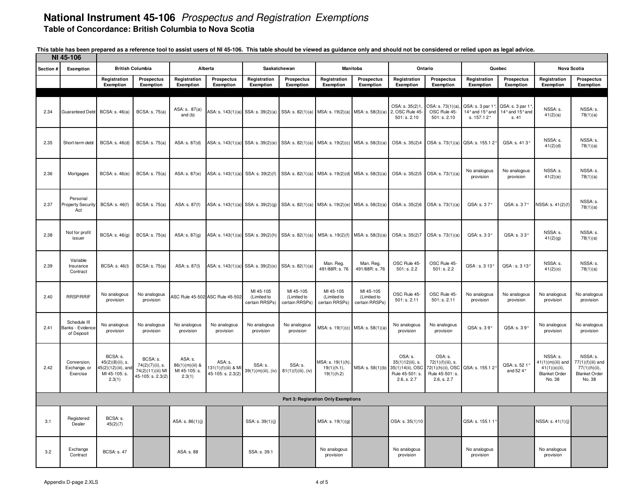|           | NI 45-106                                      |                                                                               |                                                                        |                                                       |                                                     |                                                                                       |                                            |                                                |                                            |                                                                                   |                                                                                     |                                                   |                                            |                                                                                     |                                                                                    |
|-----------|------------------------------------------------|-------------------------------------------------------------------------------|------------------------------------------------------------------------|-------------------------------------------------------|-----------------------------------------------------|---------------------------------------------------------------------------------------|--------------------------------------------|------------------------------------------------|--------------------------------------------|-----------------------------------------------------------------------------------|-------------------------------------------------------------------------------------|---------------------------------------------------|--------------------------------------------|-------------------------------------------------------------------------------------|------------------------------------------------------------------------------------|
| Section # | Exemption                                      |                                                                               | <b>British Columbia</b>                                                |                                                       | Alberta                                             | Saskatchewan                                                                          |                                            |                                                | Manitoba                                   |                                                                                   | Ontario                                                                             |                                                   | Quebec                                     | <b>Nova Scotia</b>                                                                  |                                                                                    |
|           |                                                | Registration<br>Exemption                                                     | Prospectus<br>Exemption                                                | Registration<br>Exemption                             | Prospectus<br>Exemption                             | Registration<br>Exemption                                                             | Prospectus<br>Exemption                    | Registration<br>Exemption                      | Prospectus<br>Exemption                    | Registration<br>Exemption                                                         | Prospectus<br>Exemption                                                             | Registration<br>Exemption                         | Prospectus<br>Exemption                    | Registration<br>Exemption                                                           | Prospectus<br>Exemption                                                            |
| 2.34      | Guaranteed Debt                                | <b>BCSA: s. 46(a)</b>                                                         | <b>BCSA: s. 75(a)</b>                                                  | ASA: s. 87(a)<br>and (b)                              | ASA: s. 143(1)(a) SSA: s. 39(2)(a)                  |                                                                                       | SSA: s. 82(1)(a)                           | MSA: s. 19(2)(a) MSA: s. 58(3)(a)              |                                            | OSA: s. 35(2)1<br>2, OSC Rule 45<br>501: s. 2.10                                  | OSA: s. 73(1)(a)<br>OSC Rule 45-<br>501: s. 2.10                                    | QSA: s. 3 par 1°<br>14° and 15° and<br>s. 157.12° | QSA: s. 3 par 1<br>14° and 15° and<br>s.41 | NSSA: s.<br>41(2)(a)                                                                | NSSA: s.<br>78(1)(a)                                                               |
| 2.35      | Short-term debt                                | BCSA: s. 46(d)                                                                | BCSA: s. 75(a)                                                         | ASA: s. 87(d)                                         |                                                     | ASA: s. 143(1)(a) SSA: s. 39(2)(e) SSA: s. 82(1)(a) MSA: s. 19(2)(c) MSA: s. 58(3)(a) |                                            |                                                |                                            | OSA: s. 35(2)4                                                                    | OSA: s. 73(1)(a)                                                                    | QSA: s. 155.1 2°                                  | QSA: s. 413°                               | NSSA: s.<br>41(2)(d)                                                                | NSSA: s.<br>78(1)(a)                                                               |
| 2.36      | Mortgages                                      | <b>BCSA: s. 46(e)</b>                                                         | BCSA: s. 75(a)                                                         | ASA: s. 87(e)                                         |                                                     | ASA: s. 143(1)(a) SSA: s. 39(2)(f) SSA: s. 82(1)(a) MSA: s. 19(2)(d) MSA: s. 58(3)(a) |                                            |                                                |                                            | OSA: s. 35(2)5                                                                    | OSA: s. 73(1)(a)                                                                    | No analogous<br>provision                         | No analogous<br>provision                  | NSSA: s.<br>41(2)(e)                                                                | NSSA: s.<br>78(1)(a)                                                               |
| 2.37      | Personal<br><b>Property Security</b><br>Act    | BCSA: s. 46(f)                                                                | BCSA: s. 75(a)                                                         | ASA: s. 87(f)                                         |                                                     | ASA: s. 143(1)(a) SSA: s. 39(2)(g) SSA: s. 82(1)(a) MSA: s. 19(2)(e) MSA: s. 58(3)(a) |                                            |                                                |                                            |                                                                                   | OSA: s. 35(2)6 OSA: s. 73(1)(a)                                                     | QSA: s. 37°                                       | QSA: s. 37°                                | VSSA: s. 41(2)(f)                                                                   | NSSA: s.<br>78(1)(a)                                                               |
| 2.38      | Not for profit<br>issuer                       | BCSA: s. 46(g)                                                                | <b>BCSA: s. 75(a)</b>                                                  | ASA: s. 87(g)                                         |                                                     | ASA: s. 143(1)(a) SSA: s. 39(2)(h) SSA: s. 82(1)(a)                                   |                                            | MSA: s. 19(2)(f) MSA: s. 58(3)(a)              |                                            | OSA: s. 35(2)7                                                                    | OSA: s. 73(1)(a)                                                                    | QSA: s. 33°                                       | QSA: s. 33°                                | NSSA: s.<br>41(2)(g)                                                                | NSSA: s.<br>78(1)(a)                                                               |
| 2.39      | Variable<br>Insurance<br>Contract              | <b>BCSA: s. 46(I)</b>                                                         | <b>BCSA: s. 75(a)</b>                                                  | ASA: s. 87(l)                                         |                                                     | ASA: s. 143(1)(a) SSA: s. 39(2)(0) SSA: s. 82(1)(a)                                   |                                            | Man. Reg.<br>491/88R: s. 76                    | Man. Reg.<br>491/88R: s. 76                | OSC Rule 45-<br>501: s. 2.2                                                       | OSC Rule 45-<br>501: s. 2.2                                                         | QSA: s. 3 13°                                     | QSA: s. 3 13°                              | NSSA: s.<br>41(2)(0)                                                                | NSSA: s.<br>78(1)(a)                                                               |
| 2.40      | <b>RRSP/RRIF</b>                               | No analogous<br>provision                                                     | No analogous<br>provision                                              |                                                       | ASC Rule 45-502 ASC Rule 45-502                     | MI 45-105<br>(Limited to<br>certain RRSPs)                                            | MI 45-105<br>(Limited to<br>certain RRSPs) | MI 45-105<br>(Limited to<br>certain RRSPs)     | MI 45-105<br>(Limited to<br>certain RRSPs) | OSC Rule 45<br>501: s. 2.11                                                       | OSC Rule 45-<br>501: s. 2.11                                                        | No analogous<br>provision                         | No analogous<br>provision                  | No analogous<br>provision                                                           | No analogous<br>provision                                                          |
| 2.41      | Schedule III<br>Banks - Evidence<br>of Deposit | No analogous<br>provision                                                     | No analogous<br>provision                                              | No analogous<br>provision                             | No analogous<br>provision                           | No analogous<br>provision                                                             | No analogous<br>provision                  |                                                | MSA: s. 19(1)(c) MSA: s. 58(1)(a)          | No analogous<br>provision                                                         | No analogous<br>provision                                                           | QSA: s. 39°                                       | QSA: s. 39°                                | No analogous<br>provision                                                           | No analogous<br>provision                                                          |
| 2.42      | Conversion,<br>Exchange, or<br>Exercise        | BCSA: s.<br>45(2)(8)(ii), s.<br>45(2)(12)(iii), an<br>MI 45-105: s.<br>2.3(1) | BCSA: s.<br>74(2)(7)(ii), s.<br>74(2)(11)(iii) MI<br>45-105: s. 2.3(2) | ASA: s.<br>86(1)(m)(iii) &<br>MI 45-105: s.<br>2.3(1) | ASA: s.<br>131(1)(f)(iii) & MI<br>45-105: s. 2.3(2) | SSA: s.<br>39(1)(m)(iii), (iv)                                                        | SSA: s.<br>81(1)(f)(iii), (iv)             | MSA: s. 19(1)(h).<br>19(1)(h.1),<br>19(1)(h.2) | MSA: s. 58(1)(b)                           | OSA: s.<br>35(1)12(iii), s.<br>35(1)14(ii), OSC<br>Rule 45-501: s.<br>2.6, s. 2.7 | OSA: s.<br>72(1)(f)(iii), s.<br>72(1)(h)(ii), OSC<br>Rule 45-501: s.<br>2.6, s. 2.7 | QSA: s. 155.1 2°                                  | QSA: s. 52 1'<br>and 52 $4^{\circ}$        | NSSA: s.<br>41(1)(m)(iii) and<br>$41(1)(0)(ii)$ ,<br><b>Blanket Order</b><br>No. 38 | NSSA: s.<br>$77(1)(f)(iii)$ and<br>77(1)(h)(ii),<br><b>Blanket Order</b><br>No. 38 |
|           |                                                |                                                                               |                                                                        |                                                       |                                                     |                                                                                       |                                            | Part 3: Regisration Only Exemptions            |                                            |                                                                                   |                                                                                     |                                                   |                                            |                                                                                     |                                                                                    |
| 3.1       | Registered<br>Dealer                           | BCSA: s.<br>45(2)(7)                                                          |                                                                        | ASA: s. 86(1)(j)                                      |                                                     | SSA: s. 39(1)(j)                                                                      |                                            | MSA: s. 19(1)(g)                               |                                            | OSA: s. 35(1)10                                                                   |                                                                                     | QSA: s. 155.1 1                                   |                                            | NSSA: s. 41(1)(j)                                                                   |                                                                                    |
| 3.2       | Exchange<br>Contract                           | <b>BCSA: s. 47</b>                                                            |                                                                        | ASA: s. 88                                            |                                                     | SSA: s. 39.1                                                                          |                                            | No analogous<br>provision                      |                                            | No analogous<br>provision                                                         |                                                                                     | No analogous<br>provision                         |                                            | No analogous<br>provision                                                           |                                                                                    |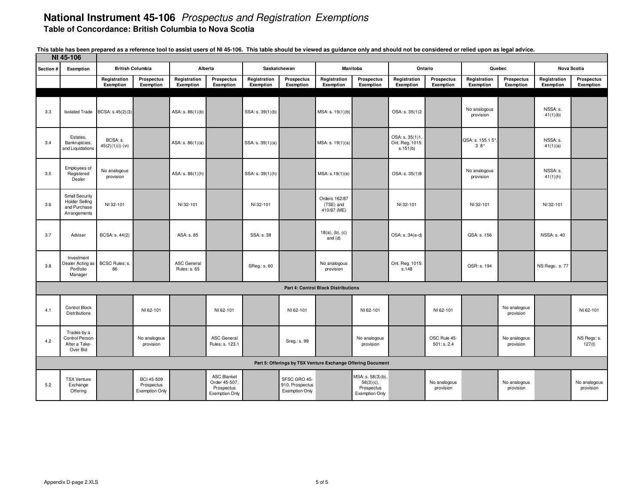|           | NI 45-106                                                                      |                                |                                                          |                                    |                                                                     |                           |                                                          |                                                             |                                                                          |                                               |                             |                           |                                |                           |                                |
|-----------|--------------------------------------------------------------------------------|--------------------------------|----------------------------------------------------------|------------------------------------|---------------------------------------------------------------------|---------------------------|----------------------------------------------------------|-------------------------------------------------------------|--------------------------------------------------------------------------|-----------------------------------------------|-----------------------------|---------------------------|--------------------------------|---------------------------|--------------------------------|
| Section # | Exemption                                                                      |                                | <b>British Columbia</b>                                  | Alberta                            |                                                                     | Saskatchewan              |                                                          |                                                             | Manitoba                                                                 |                                               | Ontario                     |                           | Quebec                         | <b>Nova Scotia</b>        |                                |
|           |                                                                                | Registration<br>Exemption      | Prospectus<br>Exemption                                  | Registration<br>Exemption          | <b>Prospectus</b><br>Exemption                                      | Registration<br>Exemption | Prospectus<br>Exemption                                  | Registration<br>Exemption                                   | <b>Prospectus</b><br>Exemption                                           | Registration<br>Exemption                     | Prospectus<br>Exemption     | Registration<br>Exemption | <b>Prospectus</b><br>Exemption | Registration<br>Exemption | <b>Prospectus</b><br>Exemption |
|           |                                                                                |                                |                                                          |                                    |                                                                     |                           |                                                          |                                                             |                                                                          |                                               |                             |                           |                                |                           |                                |
| 3.3       | <b>Isolated Trade</b>                                                          | BCSA: s.45(2)(3)               |                                                          | ASA: s. 86(1)(b)                   |                                                                     | SSA: s. 39(1)(b)          |                                                          | MSA: s. 19(1)(b)                                            |                                                                          | OSA: s. 35(1)2                                |                             | No analogous<br>provision |                                | NSSA: s.<br>41(1)(b)      |                                |
| 3.4       | Estates.<br>Bankruptcies,<br>and Liquidations                                  | BCSA: s.<br>$45(2)(1)(i)-(vi)$ |                                                          | ASA: $s. 86(1)(a)$                 |                                                                     | SSA: s. 39(1)(a)          |                                                          | MSA: s. 19(1)(a)                                            |                                                                          | OSA: s. 35(1)1<br>Ont. Reg. 1015:<br>s.151(b) |                             | QSA: s. 155.1 5°,<br>38°  |                                | NSSA: s.<br>41(1)(a)      |                                |
| 3.5       | Employees of<br>Registered<br>Dealer                                           | No analogous<br>provision      |                                                          | ASA: s. 86(1)(h)                   |                                                                     | SSA: s. 39(1)(h)          |                                                          | MSA: s.19(1)(e)                                             |                                                                          | OSA: s. 35(1)8                                |                             | No analogous<br>provision |                                | NSSA: s.<br>41(1)(h)      |                                |
| 3.6       | <b>Small Security</b><br><b>Holder Selling</b><br>and Purchase<br>Arrangements | NI 32-101                      |                                                          | NI 32-101                          |                                                                     | NI 32-101                 |                                                          | Orders 162/87<br>(TSE) and<br>410/87 (ME)                   |                                                                          | NI 32-101                                     |                             | NI 32-101                 |                                | NI 32-101                 |                                |
| 3.7       | Adviser                                                                        | BCSA: s. 44(2)                 |                                                          | ASA: s. 85                         |                                                                     | SSA: s. 38                |                                                          | $18(a)$ , (b), (c)<br>and (d)                               |                                                                          | OSA: s. 34(a-d)                               |                             | QSA: s. 156               |                                | <b>NSSA: s. 40</b>        |                                |
| 3.8       | Investment<br>Dealer Acting as<br>Portfolio<br>Manager                         | BCSC Rules: s.<br>86           |                                                          | <b>ASC General</b><br>Rules: s. 65 |                                                                     | SReg.: s. 60              |                                                          | No analogous<br>provision                                   |                                                                          | Ont. Reg. 1015:<br>s.148                      |                             | QSR: s. 194               |                                | NS Regs: s.77             |                                |
|           |                                                                                |                                |                                                          |                                    |                                                                     |                           |                                                          | <b>Part 4: Control Block Distributions</b>                  |                                                                          |                                               |                             |                           |                                |                           |                                |
| 4.1       | Control Block<br>Distributions                                                 |                                | NI 62-101                                                |                                    | NI 62-101                                                           |                           | NI 62-101                                                |                                                             | NI 62-101                                                                |                                               | NI 62-101                   |                           | No analogous<br>provision      |                           | NI 62-101                      |
| 4.2       | Trades by a<br>Control Person<br>After a Take-<br>Over Bid                     |                                | No analogous<br>provision                                |                                    | <b>ASC General</b><br>Rules: s. 123.1                               |                           | Sreg.: s. 99                                             |                                                             | No analogous<br>provision                                                |                                               | OSC Rule 45-<br>501: s. 2.4 |                           | No analogous<br>provision      |                           | NS Regs: s.<br>127(t)          |
|           |                                                                                |                                |                                                          |                                    |                                                                     |                           |                                                          | Part 5: Offerings by TSX Venture Exchange Offering Document |                                                                          |                                               |                             |                           |                                |                           |                                |
| 5.2       | <b>TSX Venture</b><br>Exchange<br>Offering                                     |                                | <b>BCI 45-509</b><br>Prospectus<br><b>Exemption Only</b> |                                    | <b>ASC Blanket</b><br>Order 45-507,<br>Prospectus<br>Exemption Only |                           | SFSC GRO 45-<br>910, Prospectus<br><b>Exemption Only</b> |                                                             | MSA: s. 58(3)(b),<br>$58(3)(c)$ ,<br>Prospectus<br><b>Exemption Only</b> |                                               | No analogous<br>provision   |                           | No analogous<br>provision      |                           | No analogous<br>provision      |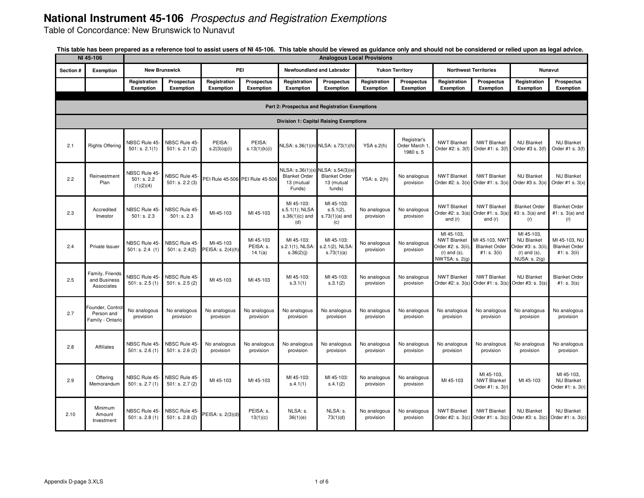Table of Concordance: New Brunswick to Nunavut

|           | NI 45-106                                         |                                           |                                 |                                |                                   |                                                                 |                                                                  | <b>Analogous Local Provisions</b> |                                           |                                                                                               |                                                        |                                                                                                     |                                                         |
|-----------|---------------------------------------------------|-------------------------------------------|---------------------------------|--------------------------------|-----------------------------------|-----------------------------------------------------------------|------------------------------------------------------------------|-----------------------------------|-------------------------------------------|-----------------------------------------------------------------------------------------------|--------------------------------------------------------|-----------------------------------------------------------------------------------------------------|---------------------------------------------------------|
| Section # | Exemption                                         |                                           | <b>New Brunswick</b>            |                                | <b>PEI</b>                        |                                                                 | Newfoundland and Labrador                                        |                                   | <b>Yukon Territory</b>                    |                                                                                               | <b>Northwest Territories</b>                           |                                                                                                     | Nunavut                                                 |
|           |                                                   | Registration<br>Exemption                 | Prospectus<br>Exemption         | Registration<br>Exemption      | <b>Prospectus</b><br>Exemption    | Registration<br>Exemption                                       | Prospectus<br>Exemption                                          | Registration<br>Exemption         | Prospectus<br>Exemption                   | Registration<br>Exemption                                                                     | <b>Prospectus</b><br>Exemption                         | Registration<br>Exemption                                                                           | Prospectus<br>Exemption                                 |
|           |                                                   |                                           |                                 |                                |                                   |                                                                 | Part 2: Prospectus and Registration Exemptions                   |                                   |                                           |                                                                                               |                                                        |                                                                                                     |                                                         |
|           |                                                   |                                           |                                 |                                |                                   |                                                                 | <b>Division 1: Capital Raising Exemptions</b>                    |                                   |                                           |                                                                                               |                                                        |                                                                                                     |                                                         |
| 2.1       | <b>Rights Offering</b>                            | NBSC Rule 45<br>501: s. 2.1(1)            | NBSC Rule 45-<br>501: s. 2.1(2) | PEISA:<br>s.2(3)(q)(i)         | PEISA:<br>s.13(1)(k)(i)           |                                                                 | NLSA: s.36(1)(n) NLSA: s.73(1)(h                                 | YSA s.2(h)                        | Registrar's<br>Order March 1<br>1980 s. 5 | <b>NWT Blanket</b><br>Order #2: s. 3(f                                                        | <b>NWT Blanket</b><br>Order #1: s. 3(f)                | <b>NU Blanket</b><br>Order #3 s. 3(f)                                                               | <b>NU Blanket</b><br>Order #1 s. 3(f)                   |
| 2.2       | Reinvestment<br>Plan                              | NBSC Rule 45-<br>501: s. 2.2<br>(1)(2)(4) | NBSC Rule 45<br>501: s. 2.2(3)  |                                | PEI Rule 45-506 PEI Rule 45-506   | NLSA: s.36(1)(x<br><b>Blanket Order</b><br>13 (mutual<br>Funds) | NLSA: s.54(3)(e)<br><b>Blanket Order</b><br>13 (mutual<br>funds) | YSA: s. 2(h)                      | No analogous<br>provision                 | <b>NWT Blanket</b><br>Order #2: s. 3(x)                                                       | <b>NWT Blanket</b><br>Order #1: $s. 3(x)$              | <b>NU Blanket</b><br>Order #3 s. $3(x)$                                                             | <b>NU Blanket</b><br>Order #1 s. $3(x)$                 |
| 2.3       | Accredited<br>Investor                            | NBSC Rule 45<br>501: s. 2.3               | NBSC Rule 45-<br>501: s. 2.3    | MI-45-103                      | MI 45-103                         | MI 45-103:<br>s.5.1(1); NLSA<br>$s.36(1)(c)$ and<br>(d)         | MI 45-103:<br>s.5.1(2),<br>$s.73(1)(a)$ and<br>(c)               | No analogous<br>provision         | No analogous<br>provision                 | <b>NWT Blanket</b><br>Order #2: $s. 3(a)$<br>and $(r)$                                        | <b>NWT Blanket</b><br>Order #1: s. 3(a)<br>and $(r)$   | <b>Blanket Order</b><br>#3: s. 3(a) and<br>(r)                                                      | <b>Blanket Order</b><br>#1: s. 3(a) and<br>(r)          |
| 2.4       | Private Issuer                                    | NBSC Rule 45<br>501: s. 2.4 (1)           | NBSC Rule 45<br>501: s. 2.4(2)  | MI-45-103<br>PEISA: s. 2(4)(h) | MI 45-103<br>PEISA: s.<br>14.1(a) | MI 45-103:<br>s.2.1(1), NLSA:<br>s.36(2)(j)                     | MI 45-103:<br>s.2.1(2), NLSA:<br>s.73(1)(a)                      | No analogous<br>provision         | No analogous<br>provision                 | MI 45-103.<br><b>NWT Blanket</b><br>Order #2: s. 3(ii)<br>$(r)$ and $(s)$ ,<br>NWTSA: s. 2(g) | MI 45-103, NWT<br><b>Blanket Order</b><br>#1: s. 3(ii) | MI 45-103,<br><b>NU Blanket</b><br>)rder #3: s. 3(ii).<br>$(r)$ and $(s)$ ,<br><b>NUSA: s. 2(g)</b> | MI 45-103, NU<br><b>Blanket Order</b><br>#1: s. $3(ii)$ |
| 2.5       | Family, Friends<br>and Business<br>Associates     | NBSC Rule 45-<br>501: s. 2.5(1)           | NBSC Rule 45-<br>501: s. 2.5(2) | MI 45-103                      | MI 45-103                         | MI 45-103:<br>s.3.1(1)                                          | MI 45-103:<br>s.3.1(2)                                           | No analogous<br>provision         | No analogous<br>provision                 | <b>NWT Blanket</b><br>Order #2: s. 3(s)                                                       | <b>NWT Blanket</b><br>Order #1: s. 3(s)                | <b>NU Blanket</b><br>Order #3: s. 3(s)                                                              | <b>Blanket Order</b><br>#1: s. 3(s)                     |
| 2.7       | Founder, Contro<br>Person and<br>Family - Ontario | No analogous<br>provision                 | No analogous<br>provision       | No analogous<br>provision      | No analogous<br>provision         | No analogous<br>provision                                       | No analogous<br>provision                                        | No analogous<br>provision         | No analogous<br>provision                 | No analogous<br>provision                                                                     | No analogous<br>provision                              | No analogous<br>provision                                                                           | No analogous<br>provision                               |
| 2.8       | Affiliates                                        | NBSC Rule 45<br>501: s. 2.6(1)            | NBSC Rule 45<br>501: s. 2.6(2)  | No analogous<br>provision      | No analogous<br>provision         | No analogous<br>provision                                       | No analogous<br>provision                                        | No analogous<br>provision         | No analogous<br>provision                 | No analogous<br>provision                                                                     | No analogous<br>provision                              | No analogous<br>provision                                                                           | No analogous<br>provision                               |
| 2.9       | Offering<br>Memorandum                            | NBSC Rule 45<br>501: s. 2.7(1)            | NBSC Rule 45-<br>501: s. 2.7(2) | MI 45-103                      | MI 45-103                         | MI 45-103:<br>s.4.1(1)                                          | MI 45-103:<br>s.4.1(2)                                           | No analogous<br>provision         | No analogous<br>provision                 | MI 45-103                                                                                     | MI 45-103.<br><b>NWT Blanket</b><br>Order #1: s. 3(r)  | MI 45-103                                                                                           | MI 45-103.<br><b>NU Blanket</b><br>Order #1: s. 3(r)    |
| 2.10      | Minimum<br>Amount<br>Investment                   | NBSC Rule 45<br>501: s. 2.8(1)            | NBSC Rule 45<br>501: s. 2.8(2)  | PEISA: s. 2(3)(d)              | PEISA: s.<br>13(1)(c)             | NLSA: s.<br>36(1)(e)                                            | NLSA: s.<br>73(1)(d)                                             | No analogous<br>provision         | No analogous<br>provision                 | <b>NWT Blanket</b><br>Order #2: s. 3(c)                                                       | <b>NWT Blanket</b>                                     | <b>NU Blanket</b><br>Order #1: s. 3(c) Order #3: s. 3(c)                                            | <b>NU Blanket</b><br>Order #1: s. 3(c)                  |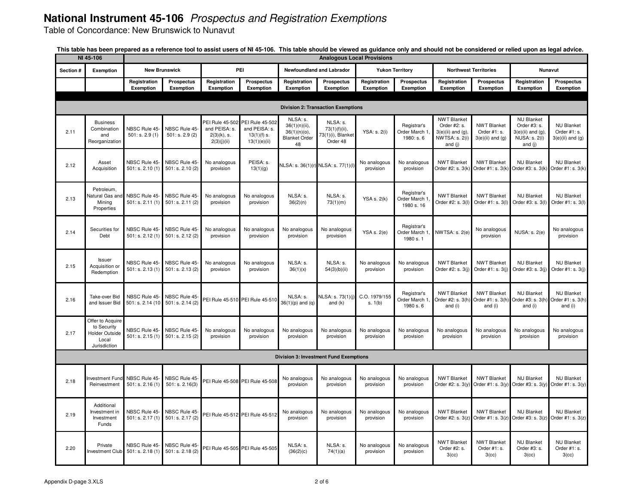Table of Concordance: New Brunswick to Nunavut

|           | NI 45-106                                                                         |                                                  |                                       |                                                                   |                                                                   |                                                                            |                                                            | <b>Analogous Local Provisions</b> |                                            |                                                                                         |                                                           |                                                                                                |                                                          |
|-----------|-----------------------------------------------------------------------------------|--------------------------------------------------|---------------------------------------|-------------------------------------------------------------------|-------------------------------------------------------------------|----------------------------------------------------------------------------|------------------------------------------------------------|-----------------------------------|--------------------------------------------|-----------------------------------------------------------------------------------------|-----------------------------------------------------------|------------------------------------------------------------------------------------------------|----------------------------------------------------------|
| Section # | Exemption                                                                         |                                                  | <b>New Brunswick</b>                  |                                                                   | PEI                                                               |                                                                            | Newfoundland and Labrador                                  |                                   | <b>Yukon Territory</b>                     |                                                                                         | <b>Northwest Territories</b>                              |                                                                                                | Nunavut                                                  |
|           |                                                                                   | Registration<br>Exemption                        | <b>Prospectus</b><br><b>Exemption</b> | Registration<br><b>Exemption</b>                                  | Prospectus<br>Exemption                                           | Registration<br>Exemption                                                  | <b>Prospectus</b><br>Exemption                             | Registration<br>Exemption         | Prospectus<br>Exemption                    | Registration<br>Exemption                                                               | <b>Prospectus</b><br>Exemption                            | Registration<br>Exemption                                                                      | Prospectus<br>Exemption                                  |
|           |                                                                                   |                                                  |                                       |                                                                   |                                                                   |                                                                            |                                                            |                                   |                                            |                                                                                         |                                                           |                                                                                                |                                                          |
|           |                                                                                   |                                                  |                                       |                                                                   |                                                                   |                                                                            | <b>Division 2: Transaction Exemptions</b>                  |                                   |                                            |                                                                                         |                                                           |                                                                                                |                                                          |
| 2.11      | <b>Business</b><br>Combination<br>and<br>Reorganization                           | NBSC Rule 45-<br>501: s. 2.9(1)                  | NBSC Rule 45-<br>501: s. 2.9(2)       | PEI Rule 45-502<br>and PEISA: s.<br>$2(3)(k)$ , s.<br>2(3)(j)(ii) | PEI Rule 45-502<br>and PEISA: s.<br>$13(1)(f)$ s.<br>13(1)(e)(ii) | NLSA: s.<br>$36(1)(n)(ii)$ ,<br>36(1)(n)(o),<br><b>Blanket Order</b><br>48 | NLSA: s.<br>73(1)(f)(ii),<br>73(1)(i), Blanket<br>Order 48 | YSA: s. 2(i)                      | Registrar's<br>Order March 1<br>1980: s. 6 | <b>NWT Blanket</b><br>Order #2: s.<br>$3(e)$ (ii) and (g).<br>NWTSA: s. 2(i)<br>and (j) | <b>NWT Blanket</b><br>Order #1: s.<br>$3(e)$ (ii) and (g) | <b>NU Blanket</b><br>Order #3: s.<br>$3(e)(ii)$ and $(g)$ ,<br><b>NUSA: s. 2(i)</b><br>and (j) | <b>NU Blanket</b><br>Order #1: s.<br>$3(e)$ (ii) and (g) |
| 2.12      | Asset<br>Acquisition                                                              | NBSC Rule 45-<br>501: s. 2.10(1)                 | NBSC Rule 45-<br>501: s. 2.10(2)      | No analogous<br>provision                                         | PEISA: s.<br>13(1)(g)                                             |                                                                            | NLSA: s. 36(1)(r) NLSA: s. 77(1)(l)                        | No analogous<br>provision         | No analogous<br>provision                  | <b>NWT Blanket</b><br>Order #2: s. 3(k                                                  | <b>NWT Blanket</b><br>Order #1: s. 3(k)                   | <b>NU Blanket</b><br>Order #3: s. 3(k)                                                         | <b>NU Blanket</b><br>Order #1: s. 3(k)                   |
| 2.13      | Petroleum.<br><b>Vatural Gas an</b><br>Mining<br>Properties                       | NBSC Rule 45<br>501: s. 2.11(1)                  | NBSC Rule 45-<br>501: s. 2.11(2)      | No analogous<br>provision                                         | No analogous<br>provision                                         | NLSA: s.<br>36(2)(n)                                                       | NLSA: s.<br>73(1)(m)                                       | <b>YSA s. 2(k)</b>                | Registrar's<br>Order March 1<br>1980 s. 16 | <b>NWT Blanket</b><br>Order #2: s. 3(I)                                                 | <b>NWT Blanket</b><br>Order #1: s. 3(l)                   | <b>NU Blanket</b><br>Order #3: s. 3(I)                                                         | <b>NU Blanket</b><br>Order #1: s. 3(l)                   |
| 2.14      | Securities for<br>Debt                                                            | NBSC Rule 45-<br>501: s. 2.12(1)                 | NBSC Rule 45-<br>501: s. 2.12(2)      | No analogous<br>provision                                         | No analogous<br>provision                                         | No analogous<br>provision                                                  | No analogous<br>provision                                  | <b>YSA s. 2(e)</b>                | Registrar's<br>Order March 1<br>1980 s. 1  | NWTSA: s. 2(e)                                                                          | No analogous<br>provision                                 | NUSA: s. 2(e)                                                                                  | No analogous<br>provision                                |
| 2.15      | Issuer<br>Acquisition or<br>Redemption                                            | NBSC Rule 45-<br>501: s. 2.13(1)                 | NBSC Rule 45-<br>501: s. 2.13(2)      | No analogous<br>provision                                         | No analogous<br>provision                                         | NLSA: s.<br>36(1)(x)                                                       | NLSA: s.<br>54(3)(b)(ii)                                   | No analogous<br>provision         | No analogous<br>provision                  | <b>NWT Blanket</b><br>Order #2: s. 3(j)                                                 | <b>NWT Blanket</b><br>Order #1: s. 3(j)                   | <b>NU Blanket</b><br>Order #3: s. 3(j)                                                         | <b>NU Blanket</b><br>Order #1: s. 3(j)                   |
| 2.16      | Take-over Bid<br>and Issuer Bid                                                   | NBSC Rule 45-<br>501: s. 2.14 (10)               | NBSC Rule 45-<br>501: s. 2.14(2)      |                                                                   | PEI Rule 45-510 PEI Rule 45-510                                   | NLSA: s.<br>$36(1)(p)$ and $(q)$                                           | NLSA: s. 73(1)(j)<br>and $(k)$                             | C.O. 1979/155<br>s. 1(b)          | Registrar's<br>Order March 1<br>1980 s. 6  | <b>NWT Blanket</b><br>Order #2: s. 3(h<br>and (i)                                       | <b>NWT Blanket</b><br>Order #1: s. 3(h)<br>and (i)        | <b>NU Blanket</b><br>Order #3: s. 3(h)<br>and (i)                                              | <b>NU Blanket</b><br>Order #1: s. 3(h)<br>and (i)        |
| 2.17      | Offer to Acquire<br>to Security<br><b>Holder Outside</b><br>Local<br>Jurisdiction | NBSC Rule 45-<br>501: s. 2.15(1)                 | NBSC Rule 45-<br>501: s. 2.15(2)      | No analogous<br>provision                                         | No analogous<br>provision                                         | No analogous<br>provision                                                  | No analogous<br>provision                                  | No analogous<br>provision         | No analogous<br>provision                  | No analogous<br>provision                                                               | No analogous<br>provision                                 | No analogous<br>provision                                                                      | No analogous<br>provision                                |
|           |                                                                                   |                                                  |                                       |                                                                   |                                                                   |                                                                            | <b>Division 3: Investment Fund Exemptions</b>              |                                   |                                            |                                                                                         |                                                           |                                                                                                |                                                          |
| 2.18      | Reinvestment                                                                      | nvestment Fund NBSC Rule 45-<br>501: s. 2.16(1)  | NBSC Rule 45-<br>501: s. 2.16(3)      |                                                                   | PEI Rule 45-508 PEI Rule 45-508                                   | No analogous<br>provision                                                  | No analogous<br>provision                                  | No analogous<br>provision         | No analogous<br>provision                  | <b>NWT Blanket</b><br>Order #2: s. 3(y)                                                 | <b>NWT Blanket</b><br>Order #1: s. 3(y)                   | <b>NU Blanket</b><br>Order #3: s. $3(y)$                                                       | <b>NU Blanket</b><br>Order #1: s. 3(y)                   |
| 2.19      | Additional<br>Investment in<br>Investment<br>Funds                                | NBSC Rule 45<br>501: s. 2.17(1)                  | NBSC Rule 45-<br>501: s. 2.17 (2)     |                                                                   | PEI Rule 45-512 PEI Rule 45-512                                   | No analogous<br>provision                                                  | No analogous<br>provision                                  | No analogous<br>provision         | No analogous<br>provision                  | <b>NWT Blanket</b><br>Order #2: s. 3(z)                                                 | <b>NWT Blanket</b><br>Order #1: $s. 3(z)$                 | <b>NU Blanket</b><br>Order #3: s. 3(z)                                                         | <b>NU Blanket</b><br>Order $#1: s. 3(z)$                 |
| 2.20      | Private                                                                           | NBSC Rule 45<br>Investment Club 501: s. 2.18 (1) | NBSC Rule 45-<br>501: s. 2.18(2)      |                                                                   | PEI Rule 45-505 PEI Rule 45-505                                   | NLSA: s.<br>(36(2)(c)                                                      | NLSA: s.<br>74(1)(a)                                       | No analogous<br>provision         | No analogous<br>provision                  | <b>NWT Blanket</b><br>Order #2: s.<br>3(cc)                                             | <b>NWT Blanket</b><br>Order #1: s.<br>3(cc)               | <b>NU Blanket</b><br>Order #3: s.<br>3(cc)                                                     | <b>NU Blanket</b><br>Order #1: s.<br>3(cc)               |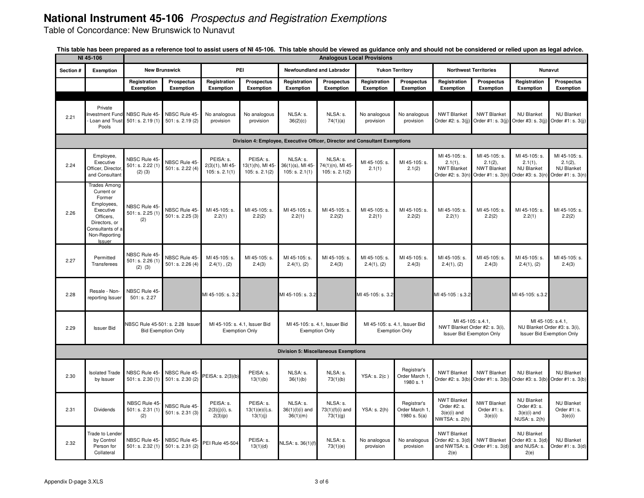Table of Concordance: New Brunswick to Nunavut

|           | NI 45-106                                                                                                                                           |                                                  |                                                               |                                                   |                                                        |                                                                             |                                               | <b>Analogous Local Provisions</b> |                                                        |                                                                       |                                                                                 |                                                                     |                                                                    |
|-----------|-----------------------------------------------------------------------------------------------------------------------------------------------------|--------------------------------------------------|---------------------------------------------------------------|---------------------------------------------------|--------------------------------------------------------|-----------------------------------------------------------------------------|-----------------------------------------------|-----------------------------------|--------------------------------------------------------|-----------------------------------------------------------------------|---------------------------------------------------------------------------------|---------------------------------------------------------------------|--------------------------------------------------------------------|
| Section # | Exemption                                                                                                                                           |                                                  | <b>New Brunswick</b>                                          |                                                   | PEI                                                    |                                                                             | Newfoundland and Labrador                     |                                   | <b>Yukon Territory</b>                                 |                                                                       | <b>Northwest Territories</b>                                                    |                                                                     | Nunavut                                                            |
|           |                                                                                                                                                     | Registration<br>Exemption                        | <b>Prospectus</b><br>Exemption                                | Registration<br>Exemption                         | <b>Prospectus</b><br>Exemption                         | Registration<br>Exemption                                                   | <b>Prospectus</b><br>Exemption                | Registration<br>Exemption         | Prospectus<br>Exemption                                | Registration<br>Exemption                                             | <b>Prospectus</b><br>Exemption                                                  | Registration<br>Exemption                                           | Prospectus<br>Exemption                                            |
|           |                                                                                                                                                     |                                                  |                                                               |                                                   |                                                        |                                                                             |                                               |                                   |                                                        |                                                                       |                                                                                 |                                                                     |                                                                    |
| 2.21      | Private<br>Investment Fund NBSC Rule 45<br>Loan and Trust<br>Pools                                                                                  | 501: s. 2.19(1)                                  | NBSC Rule 45-<br>501: s. 2.19(2)                              | No analogous<br>provision                         | No analogous<br>provision                              | NLSA: s.<br>36(2)(c)                                                        | NLSA: s.<br>74(1)(a)                          | No analogous<br>provision         | No analogous<br>provision                              | <b>NWT Blanket</b><br>Order #2: s. 3(jj)                              | <b>NWT Blanket</b><br>Order #1: s. 3(jj)                                        | <b>NU Blanket</b><br>Order #3: s. 3(jj)                             | <b>NU Blanket</b><br>Order #1: s. 3(jj)                            |
|           |                                                                                                                                                     |                                                  |                                                               |                                                   |                                                        | Division 4: Employee, Executive Officer, Director and Consultant Exemptions |                                               |                                   |                                                        |                                                                       |                                                                                 |                                                                     |                                                                    |
| 2.24      | Employee,<br>Executive<br>Officer, Director<br>and Consultant                                                                                       | NBSC Rule 45-<br>501: s. 2.22 (1)<br>$(2)$ $(3)$ | NBSC Rule 45-<br>501: s. 2.22 (4)                             | PEISA: s.<br>$2(3)(1)$ , MI 45-<br>105: s. 2.1(1) | PEISA: s.<br>13(1)(h), MI 45-<br>105: s. 2.1(2)        | NLSA: s.<br>36(1)(s), MI 45-<br>105: s. 2.1(1)                              | NLSA: s.<br>74(1)(n), MI 45<br>105: s. 2.1(2) | MI 45-105: s.<br>2.1(1)           | MI 45-105: s.<br>2.1(2)                                | MI 45-105: s.<br>2.1(1),<br><b>NWT Blanket</b><br>Order #2: s. 3(n    | MI 45-105: s.<br>2.1(2),<br><b>NWT Blanket</b><br>Order #1: s. 3(n)             | MI 45-105: s.<br>2.1(1),<br><b>NU Blanket</b><br>Order #3: s. 3(n)  | MI 45-105: s.<br>2.1(2),<br><b>NU Blanket</b><br>Order #1: s. 3(n) |
| 2.26      | <b>Trades Among</b><br>Current or<br>Former<br>Employees,<br>Executive<br>Officers,<br>Directors, or<br>Consultants of a<br>Non-Reporting<br>Issuer | NBSC Rule 45<br>501: s. 2.25(1)<br>(2)           | NBSC Rule 45-<br>501: s. 2.25(3)                              | MI 45-105: s.<br>2.2(1)                           | MI 45-105: s.<br>2.2(2)                                | MI 45-105: s.<br>2.2(1)                                                     | MI 45-105: s.<br>2.2(2)                       | MI 45-105: s.<br>2.2(1)           | MI 45-105: s.<br>2.2(2)                                | MI 45-105: s.<br>2.2(1)                                               | MI 45-105: s.<br>2.2(2)                                                         | MI 45-105: s.<br>2.2(1)                                             | MI 45-105: s.<br>2.2(2)                                            |
| 2.27      | Permitted<br>Transferees                                                                                                                            | NBSC Rule 45-<br>501: s. 2.26(1)<br>$(2)$ $(3)$  | NBSC Rule 45-<br>501: s. 2.26(4)                              | MI 45-105: s.<br>$2.4(1)$ , $(2)$                 | MI 45-105: s.<br>2.4(3)                                | MI 45-105: s.<br>2.4(1), (2)                                                | MI 45-105: s.<br>2.4(3)                       | MI 45-105: s.<br>2.4(1), (2)      | MI 45-105: s.<br>2.4(3)                                | MI 45-105: s.<br>2.4(1), (2)                                          | MI 45-105: s.<br>2.4(3)                                                         | MI 45-105: s.<br>2.4(1), (2)                                        | MI 45-105: s.<br>2.4(3)                                            |
| 2.28      | Resale - Non-<br>reporting Issuer                                                                                                                   | NBSC Rule 45<br>501: s. 2.27                     |                                                               | MI 45-105: s. 3.2                                 |                                                        | MI 45-105: s. 3.2                                                           |                                               | MI 45-105: s. 3.2                 |                                                        | MI 45-105 : s.3.2                                                     |                                                                                 | MI 45-105: s.3.2                                                    |                                                                    |
| 2.29      | <b>Issuer Bid</b>                                                                                                                                   |                                                  | NBSC Rule 45-501: s. 2.28 Issuer<br><b>Bid Exemption Only</b> |                                                   | MI 45-105: s. 4.1, Issuer Bid<br><b>Exemption Only</b> | MI 45-105: s. 4.1, Issuer Bid                                               | <b>Exemption Only</b>                         |                                   | MI 45-105: s. 4.1, Issuer Bid<br><b>Exemption Only</b> |                                                                       | MI 45-105: s.4.1,<br>NWT Blanket Order #2: s. 3(i),<br>Issuer Bid Exempton Only | NU Blanket Order #3: s. 3(i),                                       | MI 45-105: s.4.1,<br><b>Issuer Bid Exemption Only</b>              |
|           |                                                                                                                                                     |                                                  |                                                               |                                                   |                                                        | <b>Division 5: Miscellaneous Exemptions</b>                                 |                                               |                                   |                                                        |                                                                       |                                                                                 |                                                                     |                                                                    |
| 2.30      | <b>Isolated Trade</b><br>by Issuer                                                                                                                  | NBSC Rule 45-<br>501: s. 2.30(1)                 | NBSC Rule 45-<br>501: s. 2.30 (2)                             | PEISA: s. 2(3)(b)                                 | PEISA: s.<br>13(1)(b)                                  | NLSA: s.<br>36(1)(b)                                                        | NLSA: s.<br>73(1)(b)                          | YSA: s. 2(c)                      | Registrar's<br>Order March <sup>.</sup><br>1980 s. 1   | <b>NWT Blanket</b><br>Order #2: s. 3(b                                | <b>NWT Blanket</b><br>Order #1: s. $3(b)$                                       | <b>NU Blanket</b><br>Order #3: s. 3(b)                              | <b>NU Blanket</b><br>Order #1: s. 3(b)                             |
| 2.31      | <b>Dividends</b>                                                                                                                                    | NBSC Rule 45<br>501: s. 2.31(1)<br>(2)           | NBSC Rule 45-<br>501: s. 2.31(3)                              | PEISA: s.<br>$2(3)(j)(i)$ , s.<br>2(3)(p)         | PEISA: s.<br>$13(1)(e)(i)$ , s.<br>13(1)(j)            | NLSA: s.<br>$36(1)(I)(i)$ and<br>36(1)(m)                                   | NLSA: s.<br>73(1)(f)(i) and<br>73(1)(g)       | YSA: s. 2(h)                      | Registrar's<br>Order March 1<br>1980 s. $5(a)$         | <b>NWT Blanket</b><br>Order #2: s.<br>$3(e)(i)$ and<br>NWTSA: s. 2(h) | <b>NWT Blanket</b><br>Order #1: s.<br>3(e)(i)                                   | <b>NU Blanket</b><br>Order #3: s.<br>$3(e)(i)$ and<br>NUSA: s. 2(h) | <b>NU Blanket</b><br>Order #1: s.<br>3(e)(i)                       |
| 2.32      | <b>Trade to Lender</b><br>by Control<br>Person for<br>Collateral                                                                                    | NBSC Rule 45<br>501: s. 2.32(1)                  | NBSC Rule 45-<br>501: s. 2.31(2)                              | PEI Rule 45-504                                   | PEISA: s<br>13(1)(d)                                   | NLSA: s. 36(1)(f                                                            | NLSA: s.<br>73(1)(e)                          | No analogous<br>provision         | No analogous<br>provision                              | <b>NWT Blanket</b><br>Order #2: s. 3(d)<br>and NWTSA: s.<br>2(e)      | <b>NWT Blanket</b><br>Order #1: s. 3(d)                                         | <b>NU Blanket</b><br>Order #3: s. 3(d)<br>and NUSA: s.<br>2(e)      | <b>NU Blanket</b><br>Order #1: s. 3(d)                             |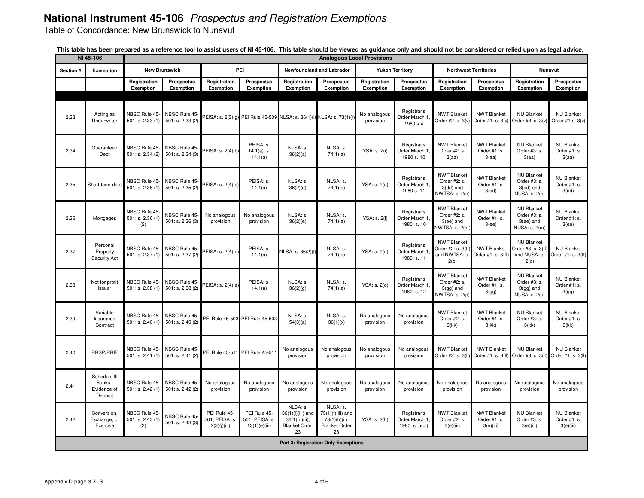Table of Concordance: New Brunswick to Nunavut

|           | NI 45-106                                         |                                        |                                  |                                                |                                                 |                                                                                 |                                                                              | <b>Analogous Local Provisions</b> |                                               |                                                                      |                                                 |                                                                          |                                                |
|-----------|---------------------------------------------------|----------------------------------------|----------------------------------|------------------------------------------------|-------------------------------------------------|---------------------------------------------------------------------------------|------------------------------------------------------------------------------|-----------------------------------|-----------------------------------------------|----------------------------------------------------------------------|-------------------------------------------------|--------------------------------------------------------------------------|------------------------------------------------|
| Section # | Exemption                                         |                                        | <b>New Brunswick</b>             |                                                | PEI                                             |                                                                                 | Newfoundland and Labrador                                                    |                                   | <b>Yukon Territory</b>                        |                                                                      | <b>Northwest Territories</b>                    |                                                                          | <b>Nunavut</b>                                 |
|           |                                                   | Registration<br>Exemption              | Prospectus<br>Exemption          | Registration<br>Exemption                      | Prospectus<br>Exemption                         | Registration<br>Exemption                                                       | Prospectus<br>Exemption                                                      | Registration<br>Exemption         | Prospectus<br>Exemption                       | Registration<br>Exemption                                            | Prospectus<br>Exemption                         | Registration<br>Exemption                                                | Prospectus<br>Exemption                        |
|           |                                                   |                                        |                                  |                                                |                                                 |                                                                                 |                                                                              |                                   |                                               |                                                                      |                                                 |                                                                          |                                                |
| 2.33      | Acting as<br>Underwriter                          | NBSC Rule 45-<br>501: s. 2.33(1)       | NBSC Rule 45-<br>501: s. 2.33(2) |                                                |                                                 | PEISA: s. 2(3)(g) PEI Rule 45-509 NLSA: s. 36(1)(i) NLSA: s. 73(1)(r)           |                                                                              | No analogous<br>provision         | Registrar's<br>Order March 1<br>1980 s.4      | <b>NWT Blanket</b><br>Order #2: s. 3(v)                              | <b>NWT Blanket</b><br>Order #1: $s. 3(v)$       | <b>NU Blanket</b><br>Order #3: s. 3(v)                                   | <b>NU Blanket</b><br>Order #1 s. 3(v)          |
| 2.34      | Guaranteed<br>Debt                                | NBSC Rule 45-<br>501: s. 2.34(2)       | NBSC Rule 45-<br>501: s. 2.34(3) | PEISA: s. 2(4)(b)                              | PEISA: s.<br>$14.1(a)$ , s.<br>14.1(a)          | NLSA: s.<br>36(2)(a)                                                            | NLSA: s.<br>74(1)(a)                                                         | YSA: s. 2(i)                      | Registrar's<br>Order March 1<br>1980 s. 10    | <b>NWT Blanket</b><br>Order #2: s.<br>3(aa)                          | <b>NWT Blanket</b><br>Order #1: s.<br>3(aa)     | <b>NU Blanket</b><br>Order #3: s.<br>3(aa)                               | <b>NU Blanket</b><br>Order #1: s.<br>3(aa)     |
| 2.35      | Short-term debt                                   | NBSC Rule 45-<br>501: s. 2.35(1)       | NBSC Rule 45-<br>501: s. 2.35(2) | PEISA: s. 2(4)(c)                              | PEISA: s.<br>14.1(a)                            | NLSA: s.<br>36(2)(d)                                                            | NLSA: s.<br>74(1)(a)                                                         | YSA: s. 2(e)                      | Registrar's<br>Order March 1,<br>1980 s. 11   | <b>NWT Blanket</b><br>Order #2: s.<br>$3$ (dd) and<br>NWTSA: s. 2(n) | <b>NWT Blanket</b><br>Order #1: s.<br>3(dd)     | <b>NU Blanket</b><br>Order #3: s.<br>3(dd) and<br><b>NUSA: s. 2(n)</b>   | <b>NU Blanket</b><br>Order #1: s.<br>3(dd)     |
| 2.36      | Mortgages                                         | NBSC Rule 45<br>501: s. 2.36(1)<br>(2) | NBSC Rule 45-<br>501: s. 2.36(3) | No analogous<br>provision                      | No analogous<br>provision                       | NLSA: s.<br>36(2)(e)                                                            | NLSA: s.<br>74(1)(a)                                                         | YSA: s. 2(l)                      | Registrar's<br>Order March 1<br>1980: s. 10   | <b>NWT Blanket</b><br>Order #2: s.<br>$3(ee)$ and<br>NWTSA: s. 2(m)  | <b>NWT Blanket</b><br>Order #1: s.<br>3(ee)     | <b>NU Blanket</b><br>Order #3: s.<br>$3(ee)$ and<br>NUSA: s. 2(m)        | <b>NU Blanket</b><br>Order #1: s.<br>3(ee)     |
| 2.37      | Personal<br>Property<br><b>Security Act</b>       | NBSC Rule 45<br>501: s. 2.37(1)        | NBSC Rule 45<br>501: s. 2.37 (2) | PEISA: s. 2(4)(d)                              | PEISA: s.<br>14.1(a)                            | NLSA: s. 36(2)(f)                                                               | NLSA: s.<br>74(1)(a)                                                         | YSA: s. 2(n)                      | Registrar's<br>Order March 1<br>1980: s. 11   | <b>NWT Blanket</b><br>Order #2: s. 3(ff)<br>and NWTSA: s.<br>2(0)    | <b>NWT Blanket</b><br>Order #1: s. 3(ff)        | <b>NU Blanket</b><br>Order #3: s. 3(ff)<br>and NUSA: s.<br>2(0)          | <b>NU Blanket</b><br>Order #1: s. 3(ff)        |
| 2.38      | Not for profit<br>issuer                          | NBSC Rule 45-<br>501: s. 2.38(1)       | NBSC Rule 45-<br>501: s. 2.38(2) | PEISA: s. 2(4)(e)                              | PEISA: s.<br>14.1(a)                            | NLSA: s.<br>36(2)(g)                                                            | NLSA: s.<br>74(1)(a)                                                         | YSA: s. 2(0)                      | Registrar's<br>Order March 1.<br>1980: s. 12  | <b>NWT Blanket</b><br>Order #2: s.<br>$3(gg)$ and<br>NWTSA: s. 2(p)  | <b>NWT Blanket</b><br>Order #1: s.<br>3(gg)     | <b>NU Blanket</b><br>Order #3: s.<br>$3(gg)$ and<br><b>NUSA: s. 2(p)</b> | <b>NU Blanket</b><br>Order #1: s.<br>3(gg)     |
| 2.39      | Variable<br>Insurance<br>Contract                 | NBSC Rule 45<br>501: s. 2.40(1)        | NBSC Rule 45-<br>501: s. 2.40(2) |                                                | PEI Rule 45-503 PEI Rule 45-503                 | NLSA: s.<br>54(3)(a)                                                            | NLSA: s.<br>36(1)(x)                                                         | No analogous<br>provision         | No analogous<br>provision                     | <b>NWT Blanket</b><br>Order #2: s.<br>3(kk)                          | <b>NWT Blanket</b><br>Order #1: s.<br>3(kk)     | <b>NU Blanket</b><br>Order #3: s.<br>3(kk)                               | <b>NU Blanket</b><br>Order #1: s.<br>3(kk)     |
| 2.40      | <b>RRSP/RRIF</b>                                  | NBSC Rule 45<br>501: s. 2.41(1)        | NBSC Rule 45-<br>501: s. 2.41(2) | PEI Rule 45-511                                | PEI Rule 45-51                                  | No analogous<br>provision                                                       | No analogous<br>provision                                                    | No analogous<br>provision         | No analogous<br>provision                     | <b>NWT Blanket</b><br>Order #2: s. 3(II)                             | <b>NWT Blanket</b><br>Order #1: s. 3(II)        | <b>NU Blanket</b><br>Order #3: s. 3(II)                                  | <b>NU Blanket</b><br>Order #1: s. 3(II)        |
| 2.41      | Schedule III<br>Banks -<br>Evidence of<br>Deposit | NBSC Rule 45<br>501: s. 2.42(1)        | NBSC Rule 45-<br>501: s. 2.42(2) | No analogous<br>provision                      | No analogous<br>provision                       | No analogous<br>provision                                                       | No analogous<br>provision                                                    | No analogous<br>provision         | No analogous<br>provision                     | No analogous<br>provision                                            | No analogous<br>provision                       | No analogous<br>provision                                                | No analogous<br>provision                      |
| 2.42      | Conversion,<br>Exchange, or<br>Exercise           | NBSC Rule 45<br>501: s. 2.43(1)<br>(2) | NBSC Rule 45-<br>501: s. 2.43(3) | PEI Rule 45-<br>501, PEISA: s.<br>2(3)(j)(iii) | PEI Rule 45-<br>501, PEISA: s.<br>13(1)(e)(iii) | NLSA: s.<br>36(1)(l)(iii) and<br>$36(1)(n)(ii)$ ,<br><b>Blanket Order</b><br>23 | NLSA: s.<br>73(1)(f)(iii) and<br>73(1)(h)(ii),<br><b>Blanket Order</b><br>23 | YSA: s. 2(h)                      | Registrar's<br>Order March 1<br>1980: s. 5(c) | <b>NWT Blanket</b><br>Order #2: s.<br>3(e)(iii)                      | <b>NWT Blanket</b><br>Order #1: s.<br>3(e)(iii) | <b>NU Blanket</b><br>Order #3: s.<br>3(e)(iii)                           | <b>NU Blanket</b><br>Order #1: s.<br>3(e)(iii) |
|           |                                                   |                                        |                                  |                                                |                                                 |                                                                                 | <b>Part 3: Regisration Only Exemptions</b>                                   |                                   |                                               |                                                                      |                                                 |                                                                          |                                                |

| This table has been prepared as a reference tool to assist users of NI 45-106. This table should be viewed as guidance only and should not be considered or relied upon as legal advice. |  |  |  |
|------------------------------------------------------------------------------------------------------------------------------------------------------------------------------------------|--|--|--|
|------------------------------------------------------------------------------------------------------------------------------------------------------------------------------------------|--|--|--|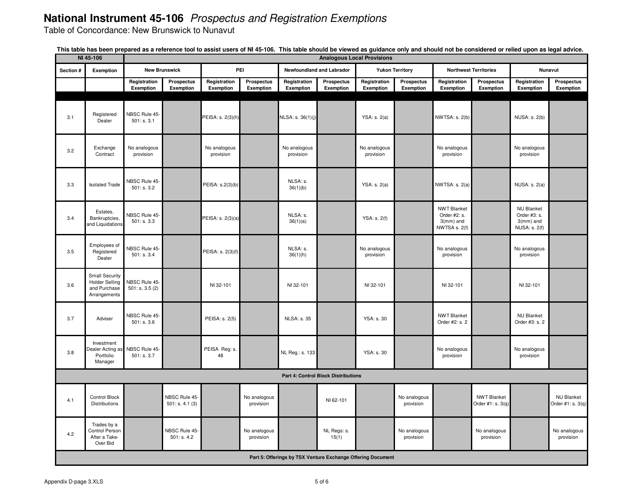Table of Concordance: New Brunswick to Nunavut

|                                                             | NI 45-106<br><b>Analogous Local Provisions</b>                          |                                 |                                 |                           |                           |                           |                      |                           |                           |                                                                     |                                         |                                                                           |                                        |
|-------------------------------------------------------------|-------------------------------------------------------------------------|---------------------------------|---------------------------------|---------------------------|---------------------------|---------------------------|----------------------|---------------------------|---------------------------|---------------------------------------------------------------------|-----------------------------------------|---------------------------------------------------------------------------|----------------------------------------|
| Section #                                                   | Exemption                                                               |                                 | <b>New Brunswick</b>            |                           | PEI                       | Newfoundland and Labrador |                      | <b>Yukon Territory</b>    |                           | <b>Northwest Territories</b>                                        |                                         |                                                                           | <b>Nunavut</b>                         |
|                                                             |                                                                         | Registration<br>Exemption       | <b>Prospectus</b><br>Exemption  | Registration              | <b>Prospectus</b>         | Registration              | <b>Prospectus</b>    | Registration              | <b>Prospectus</b>         | Registration<br>Exemption                                           | <b>Prospectus</b>                       | Registration                                                              | Prospectus<br>Exemption                |
|                                                             |                                                                         |                                 |                                 | Exemption                 | Exemption                 | Exemption                 | Exemption            | Exemption                 | Exemption                 |                                                                     | Exemption                               | Exemption                                                                 |                                        |
| 3.1                                                         | Registered<br>Dealer                                                    | NBSC Rule 45<br>501: s. 3.1     |                                 | PEISA: s. 2(3)(h)         |                           | NLSA: s. 36(1)(j)         |                      | YSA: s. 2(a)              |                           | NWTSA: s. 2(b)                                                      |                                         | NUSA: s. 2(b)                                                             |                                        |
| 3.2                                                         | Exchange<br>Contract                                                    | No analogous<br>provision       |                                 | No analogous<br>provision |                           | No analogous<br>provision |                      | No analogous<br>provision |                           | No analogous<br>provision                                           |                                         | No analogous<br>provision                                                 |                                        |
| 3.3                                                         | <b>Isolated Trade</b>                                                   | NBSC Rule 45<br>501: s. 3.2     |                                 | PEISA: s.2(3)(b)          |                           | NLSA: s.<br>36(1)(b)      |                      | YSA: s. 2(a)              |                           | NWTSA: s. 2(a)                                                      |                                         | NUSA: s. 2(a)                                                             |                                        |
| 3.4                                                         | Estates,<br>Bankruptcies,<br>and Liquidations                           | NBSC Rule 45-<br>501: s. 3.3    |                                 | PEISA: s. 2(3)(a)         |                           | NLSA: s.<br>36(1)(a)      |                      | YSA: s. 2(f)              |                           | <b>NWT Blanket</b><br>Order #2: s.<br>$3$ (mm) and<br>NWTSA s. 2(f) |                                         | <b>NU Blanket</b><br>Order #3: s.<br>$3$ (mm) and<br><b>NUSA: s. 2(f)</b> |                                        |
| 3.5                                                         | Employees of<br>Registered<br>Dealer                                    | NBSC Rule 45-<br>501: s. 3.4    |                                 | PEISA: s. 2(3)(f)         |                           | NLSA: s.<br>36(1)(h)      |                      | No analogous<br>provision |                           | No analogous<br>provision                                           |                                         | No analogous<br>provision                                                 |                                        |
| 3.6                                                         | Small Security<br><b>Holder Selling</b><br>and Purchase<br>Arrangements | NBSC Rule 45-<br>501: s. 3.5(2) |                                 | NI 32-101                 |                           | NI 32-101                 |                      | NI 32-101                 |                           | NI 32-101                                                           |                                         | NI 32-101                                                                 |                                        |
| 3.7                                                         | Adviser                                                                 | NBSC Rule 45<br>501: s. 3.6     |                                 | PEISA: s. 2(5)            |                           | <b>NLSA: s. 35</b>        |                      | YSA: s. 30                |                           | <b>NWT Blanket</b><br>Order #2: s. 2                                |                                         | <b>NU Blanket</b><br>Order #3: s. 2                                       |                                        |
| 3.8                                                         | Investment<br>Dealer Acting a<br>Portfolio<br>Manager                   | NBSC Rule 45<br>501: s. 3.7     |                                 | PEISA Reg: s.<br>48       |                           | NL Reg.: s. 133           |                      | YSA: s. 30                |                           | No analogous<br>provision                                           |                                         | No analogous<br>provision                                                 |                                        |
| Part 4: Control Block Distributions                         |                                                                         |                                 |                                 |                           |                           |                           |                      |                           |                           |                                                                     |                                         |                                                                           |                                        |
| 4.1                                                         | <b>Control Block</b><br>Distributions                                   |                                 | NBSC Rule 45-<br>501: s. 4.1(3) |                           | No analogous<br>provision |                           | NI 62-101            |                           | No analogous<br>provision |                                                                     | <b>NWT Blanket</b><br>Order #1: s. 3(q) |                                                                           | <b>NU Blanket</b><br>Order #1: s. 3(q) |
| 4.2                                                         | Trades by a<br>Control Person<br>After a Take-<br>Over Bid              |                                 | NBSC Rule 45-<br>501: s. 4.2    |                           | No analogous<br>provision |                           | NL Regs: s.<br>15(1) |                           | No analogous<br>provision |                                                                     | No analogous<br>provision               |                                                                           | No analogous<br>provision              |
| Part 5: Offerings by TSX Venture Exchange Offering Document |                                                                         |                                 |                                 |                           |                           |                           |                      |                           |                           |                                                                     |                                         |                                                                           |                                        |